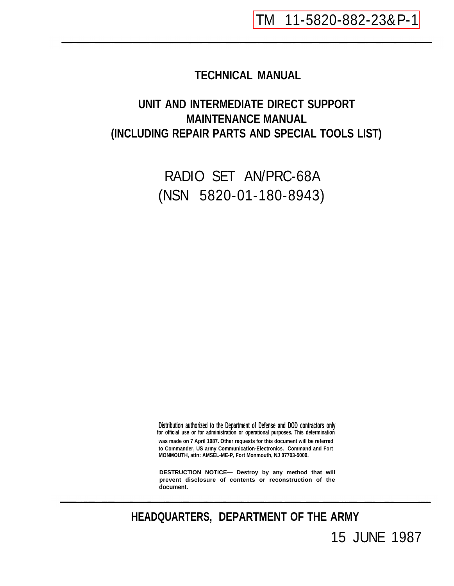# **TECHNICAL MANUAL**

# **UNIT AND INTERMEDIATE DIRECT SUPPORT MAINTENANCE MANUAL (INCLUDING REPAIR PARTS AND SPECIAL TOOLS LIST)**

RADIO SET AN/PRC-68A (NSN 5820-01-180-8943)

**Distribution authorized to the Department of Defense and DOD contractors only was made on 7 April 1987. Other requests for this document will be referred to Commander, US army Communication-Electronics. Command and Fort MONMOUTH, attn: AMSEL-ME-P, Fort Monmouth, NJ 07703-5000. for official use or for administration or operational purposes. This determination**

**DESTRUCTION NOTICE— Destroy by any method that will prevent disclosure of contents or reconstruction of the document.**

**HEADQUARTERS, DEPARTMENT OF THE ARMY** 15 JUNE 1987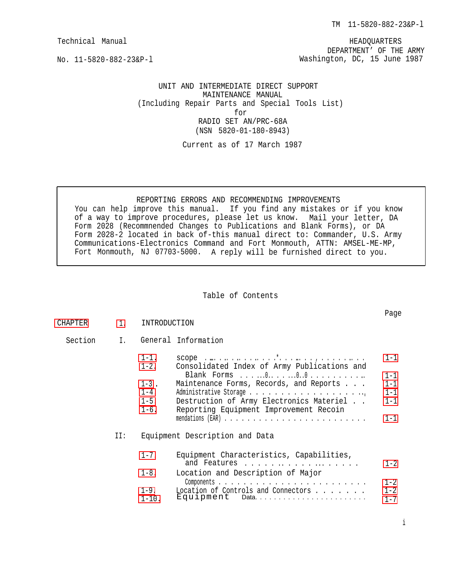HEADQUARTERS DEPARTMENT' OF THE ARMY Washington, DC, 15 June 1987

<span id="page-2-0"></span>No. 11-5820-882-23&P-l

UNIT AND INTERMEDIATE DIRECT SUPPORT MAINTENANCE MANUAL (Including Repair Parts and Special Tools List) for RADIO SET AN/PRC-68A (NSN 5820-01-180-8943)

Current as of 17 March 1987

### REPORTING ERRORS AND RECOMMENDING IMPROVEMENTS

You can help improve this manual. If you find any mistakes or if you know of a way to improve procedures, please let us know. Mail your letter, DA Form 2028 (Recommnended Changes to Publications and Blank Forms), or DA Form 2028-2 located in back of-this manual direct to: Commander, U.S. Army Communications-Electronics Command and Fort Monmouth, ATTN: AMSEL-ME-MP, Fort Monmouth, NJ 07703-5000. A reply will be furnished direct to you.

#### Table of Contents

| CHAPTER | 1.  | INTRODUCTION                                                               |                                                                                                                                                                                          | Page                                                           |
|---------|-----|----------------------------------------------------------------------------|------------------------------------------------------------------------------------------------------------------------------------------------------------------------------------------|----------------------------------------------------------------|
| Section | I.  |                                                                            | General Information                                                                                                                                                                      |                                                                |
|         |     | $1 - 1$ .<br>$1 - 2$ .<br>$1 - 3$ .<br>$1 - 4$ .<br>$1 - 5$ .<br>$1 - 6$ . | Consolidated Index of Army Publications and<br>Maintenance Forms, Records, and Reports<br>Destruction of Army Electronics Materiel<br>Reporting Equipment Improvement Recoin             | $1 - 1$<br>$1 - 1$<br>$1 - 1$<br>$1 - 1$<br>$1 - 1$<br>$1 - 1$ |
|         | II: | $1 - 7$ .<br>$1 - 8$ .<br>$1 - 9$ .<br>$1 - 10$ .                          | Equipment Description and Data<br>Equipment Characteristics, Capabilities,<br>and Features<br>Location and Description of Major<br>Location of Controls and Connectors<br>Equipment Data | $1 - 2$<br>$1 - 2$<br>$1 - 2$<br>$1 - 7$                       |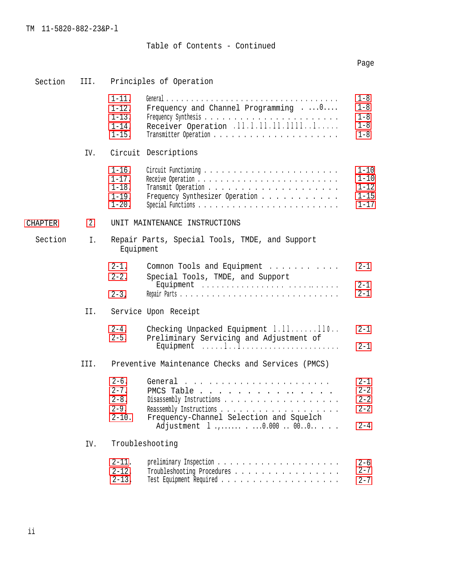# Table of Contents - Continued

# Page

| Section        | III. | Principles of Operation                                            |                                                                                                                                                        |                                                          |  |  |
|----------------|------|--------------------------------------------------------------------|--------------------------------------------------------------------------------------------------------------------------------------------------------|----------------------------------------------------------|--|--|
|                |      | $1 - 11.$<br>$1 - 12$ .<br>$1 - 13$ .<br>$1 - 14$ .<br>$1 - 15$ .  | Frequency and Channel Programming 0<br>Receiver Operation .11.1.11.11.11111                                                                            | $1 - 8$<br>$1 - 8$<br>$1 - 8$<br>$1 - 8$<br>$1 - 8$      |  |  |
|                | IV.  |                                                                    | Circuit Descriptions                                                                                                                                   |                                                          |  |  |
|                |      | $1 - 16$ .<br>$1 - 17$ .<br>$1 - 18$ .<br>$1 - 19$ .<br>$1 - 20$ . | Frequency Synthesizer Operation                                                                                                                        | $1 - 10$<br>$1 - 10$<br>$1 - 12$<br>$1 - 15$<br>$1 - 17$ |  |  |
| <b>CHAPTER</b> | 2.   |                                                                    | UNIT MAINTENANCE INSTRUCTIONS                                                                                                                          |                                                          |  |  |
| Section        | Ι.   | Equipment                                                          | Repair Parts, Special Tools, TMDE, and Support                                                                                                         |                                                          |  |  |
|                |      | $2 - 1$ .<br>$2 - 2$ .                                             | Comnon Tools and Equipment<br>Special Tools, TMDE, and Support                                                                                         | $2 - 1$<br>$2 - 1$                                       |  |  |
|                |      | $2 - 3$ ,                                                          |                                                                                                                                                        | $2 - 1$                                                  |  |  |
|                | II.  |                                                                    | Service Upon Receipt                                                                                                                                   |                                                          |  |  |
|                |      | $2 - 4$ .<br>$2 - 5$ .                                             | Checking Unpacked Equipment 1.11110<br>Preliminary Servicing and Adjustment of<br>Equipment $\dots 1.1.1\dots\dots\dots\dots\dots\dots\dots\dots\dots$ | $2 - 1$<br>$2 - 1$                                       |  |  |
|                | III. |                                                                    | Preventive Maintenance Checks and Services (PMCS)                                                                                                      |                                                          |  |  |
|                |      | $2 - 6$ .<br>$2 - 7$ .<br>$2 - 8$ .<br>$2 - 9$ .<br>$2 - 10$ .     | PMCS Table<br>Frequency-Channel Selection and Squelch<br>Adjustment 1  0.000  000                                                                      | $2 - 1$<br>$2 - 2$<br>$2 - 2$<br>$2 - 2$<br>$2 - 4$      |  |  |
|                | IV.  |                                                                    | Troubleshooting                                                                                                                                        |                                                          |  |  |
|                |      | $2 - 11$ .<br>$2 - 12$ .<br>$2 - 13$ .                             | Troubleshooting Procedures                                                                                                                             | $2 - 6$<br>$2 - 7$<br>$2 - 7$                            |  |  |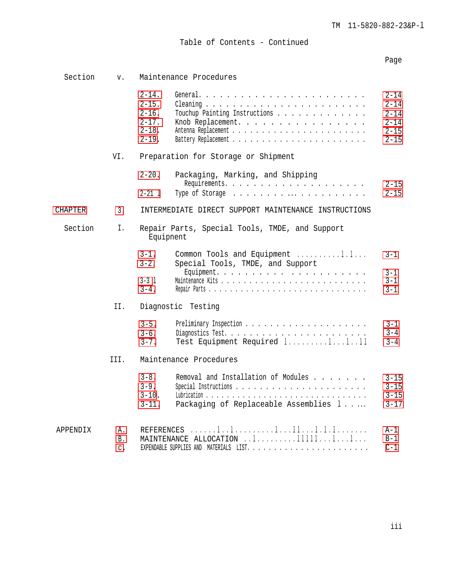Table of Contents - Continued

# Page

| Section  | V.                                 |                                                                                  | Maintenance Procedures                                                       |                                                                  |  |
|----------|------------------------------------|----------------------------------------------------------------------------------|------------------------------------------------------------------------------|------------------------------------------------------------------|--|
|          |                                    | $2 - 14$ .<br>$2 - 15$ .<br>$2 - 16$ .<br>$2 - 17$ .<br>$2 - 18$ .<br>$2 - 19$ . | Touchup Painting Instructions<br>Knob Replacement.                           | 2-14<br>$2 - 14$<br>$2 - 14$<br>$2 - 14$<br>$2 - 15$<br>$2 - 15$ |  |
| VI.      |                                    | Preparation for Storage or Shipment                                              |                                                                              |                                                                  |  |
|          |                                    | $2 - 20$ .<br>$2 - 21$ 1                                                         | Packaging, Marking, and Shipping                                             | $2 - 15$<br>$2 - 15$                                             |  |
| CHAPTER  | 3.                                 |                                                                                  | INTERMEDIATE DIRECT SUPPORT MAINTENANCE INSTRUCTIONS                         |                                                                  |  |
| Section  | Ι.                                 | Equipnent                                                                        | Repair Parts, Special Tools, TMDE, and Support                               |                                                                  |  |
|          |                                    | $3 - 1$ .<br>$3 - 2$ .<br>$3 - 3$ 1<br>$3 - 4$ .                                 | Common Tools and Equipment 1.1<br>Special Tools, TMDE, and Support           | $3 - 1$<br>$3 - 1$<br>$3 - 1$<br>$3 - 1$                         |  |
|          | II.                                |                                                                                  | Diagnostic Testing                                                           |                                                                  |  |
|          |                                    | $3 - 5$ .<br>$3 - 6$ .<br>$3 - 7$ .                                              | Test Equipment Required 11111                                                | 3-1<br>$3 - 4$<br>$3 - 4$                                        |  |
|          | TTT.                               |                                                                                  | Maintenance Procedures                                                       |                                                                  |  |
|          |                                    | $3 - 8$ .<br>$3 - 9$ .<br>$3 - 10$ .<br>$3 - 11$ .                               | Removal and Installation of Modules<br>Packaging of Replaceable Assemblies 1 | $3 - 15$<br>$3 - 15$<br>$3 - 15$<br>$3 - 17$                     |  |
| APPENDIX | Α.<br><b>B</b> .<br>$\mathsf{C}$ . | REFERENCES                                                                       | MAINTENANCE ALLOCATION l1111111                                              | A-1<br>$B-1$<br>$C-1$                                            |  |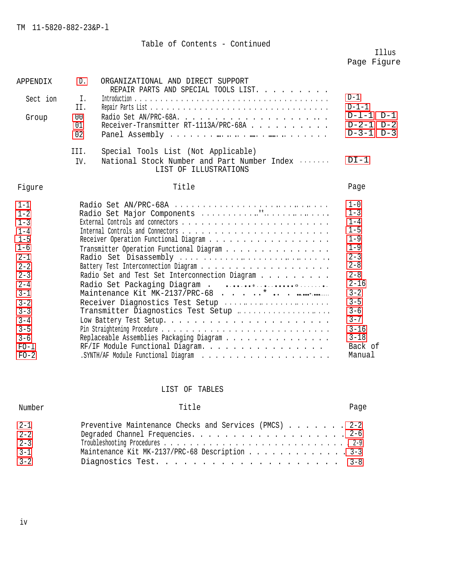# Table of Contents - Continued

# Illus Page Figure

| APPENDIX                                                                                                                                                                                         | D.                                                                                                                                                                                                                                                                                                            | ORGANIZATIONAL AND DIRECT SUPPORT<br>REPAIR PARTS AND SPECIAL TOOLS LIST.                                                                                                                            |                                                    |
|--------------------------------------------------------------------------------------------------------------------------------------------------------------------------------------------------|---------------------------------------------------------------------------------------------------------------------------------------------------------------------------------------------------------------------------------------------------------------------------------------------------------------|------------------------------------------------------------------------------------------------------------------------------------------------------------------------------------------------------|----------------------------------------------------|
| Sect ion                                                                                                                                                                                         | Ι.<br>II.                                                                                                                                                                                                                                                                                                     |                                                                                                                                                                                                      | $D-1$<br>$D-1-1$                                   |
| Group                                                                                                                                                                                            | 0 <sub>0</sub><br>01<br>02                                                                                                                                                                                                                                                                                    | Receiver-Transmitter RT-1113A/PRC-68A                                                                                                                                                                | $D-1-1$<br>$D-1$<br>$D-2-1$ $D-2$<br>$D-3-1$ $D-3$ |
|                                                                                                                                                                                                  | III.<br>IV.                                                                                                                                                                                                                                                                                                   | Special Tools List (Not Applicable)<br>National Stock Number and Part Number Index<br>LIST OF ILLUSTRATIONS                                                                                          | $DI-1$                                             |
| Fiqure                                                                                                                                                                                           |                                                                                                                                                                                                                                                                                                               | Title                                                                                                                                                                                                | Page                                               |
| $1 - 1$<br>$1 - 2$<br>$1 - 3$<br>$1 - 4$<br>$1 - 5$<br>$1 - 6$<br>$2 - 1$<br>$2 - 2$<br>$2 - 3$<br>$2 - 4$<br>$3 - 1$<br>$3 - 2$<br>$3 - 3$<br>$3 - 4$<br>$3 - 5$<br>$3 - 6$<br>$FO-1$<br>$FO-2$ | Radio Set Major Components **<br>Transmitter Operation Functional Diagram<br>Radio Set Disassembly<br>Radio Set and Test Set Interconnection Diagram<br>Receiver Diagnostics Test Setup<br>Transmitter Diagnostics Test Setup<br>Replaceable Assemblies Packaging Diagram<br>RF/IF Module Functional Diagram. | $1 - 0$<br>$1 - 3$<br>$1 - 4$<br>$1 - 5$<br>$1 - 9$<br>$1 - 9$<br>$2 - 3$<br>$2 - 8$<br>$2 - 8$<br>$2 - 16$<br>$3 - 2$<br>$3 - 5$<br>$3 - 6$<br>$3 - 7$<br>$3 - 16$<br>$3 - 18$<br>Back of<br>Manual |                                                    |

# LIST OF TABLES

| Number             | Title                                                 | Page |
|--------------------|-------------------------------------------------------|------|
| $2 - 1$            | Preventive Maintenance Checks and Services (PMCS) 2-2 |      |
| $2 - 2$<br>$2 - 3$ |                                                       |      |
| $3 - 1$            | Maintenance Kit MK-2137/PRC-68 Description 3-3        |      |
| $3 - 2$            |                                                       |      |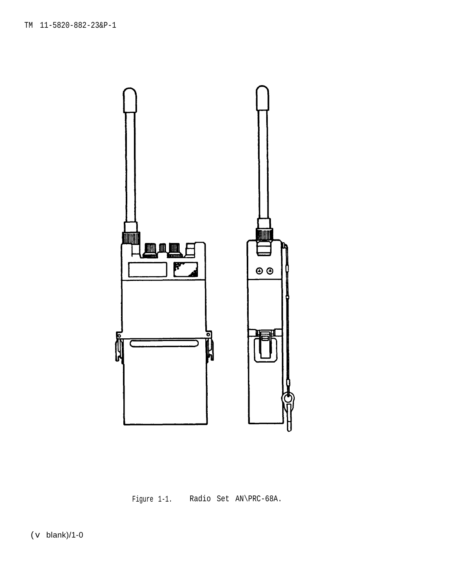<span id="page-7-0"></span>

Figure 1-1. Radio Set AN\PRC-68A.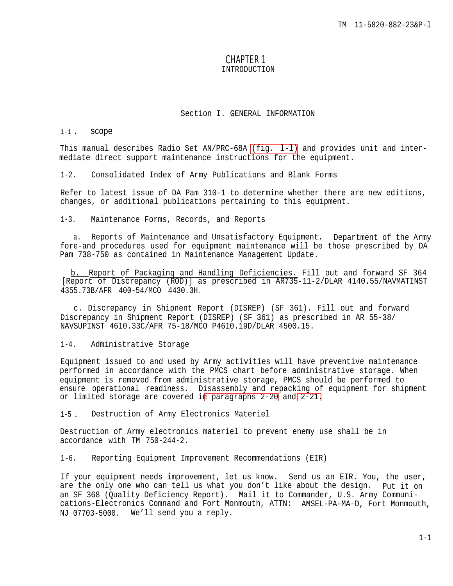# CHAPTER 1 INTRODUCTION

#### Section I. GENERAL INFORMATION

### <span id="page-8-0"></span> $1-1$  . SCOPE

This manual describes Radio Set AN/PRC-68A [\(fig.](#page-7-0) l-l) and provides unit and intermediate direct support maintenance instructions for the equipment.

1-2. Consolidated Index of Army Publications and Blank Forms

Refer to latest issue of DA Pam 310-1 to determine whether there are new editions, changes, or additional publications pertaining to this equipment.

1-3. Maintenance Forms, Records, and Reports

a. Reports of Maintenance and Unsatisfactory Equipment. Department of the Army fore-and procedures used for equipment maintenance will be those prescribed by DA Pam 738-750 as contained in Maintenance Management Update.

b. Report of Packaginq and Handling Deficiencies. Fill out and forward SF 364 [Report of Discrepancy (ROD)] as prescribed in AR735-11-2/DLAR 4140.55/NAVMATINST 4355.73B/AFR 400-54/MCO 4430.3H.

c. Discrepancy in Shipnent Report (DISREP) (SF 361). Fill out and forward Discrepancy in Shipment Report (DISREP) (SF 361) as prescribed in AR 55-38/ NAVSUPINST 4610.33C/AFR 75-18/MCO P4610.19D/DLAR 4500.15.

1-4. Administrative Storage

Equipment issued to and used by Army activities will have preventive maintenance performed in accordance with the PMCS chart before administrative storage. When equipment is removed from administrative storage, PMCS should be performed to ensure operational readiness. Disassembly and repacking of equipment for shipment or limited storage are covered i[n paragraphs 2-20](#page-40-0) and [2-21.](#page-40-0)

1-5. Destruction of Army Electronics Materiel

Destruction of Army electronics materiel to prevent enemy use shall be in accordance with TM 750-244-2.

1-6. Reporting Equipment Improvement Recommendations (EIR)

If your equipment needs improvement, let us know. Send us an EIR. You, the user, are the only one who can tell us what you don't like about the design. Put it on an SF 368 (Quality Deficiency Report). Mail it to Commander, U.S. Army Communications-Electronics Comnand and Fort Monmouth, ATTN: AMSEL-PA-MA-D, Fort Monmouth, NJ 07703-5000. We'll send you a reply.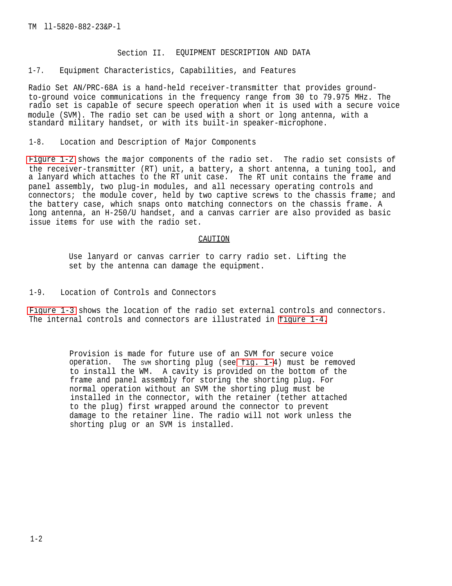# Section II. EQUIPMENT DESCRIPTION AND DATA

### <span id="page-9-0"></span>1-7. Equipment Characteristics, Capabilities, and Features

Radio Set AN/PRC-68A is a hand-held receiver-transmitter that provides groundto-ground voice communications in the frequency range from 30 to 79.975 MHz. The radio set is capable of secure speech operation when it is used with a secure voice module (SVM). The radio set can be used with a short or long antenna, with a standard military handset, or with its built-in speaker-microphone.

#### 1-8. Location and Description of Major Components

[Figure 1-2](#page-10-0) shows the major components of the radio set. The radio set consists of the receiver-transmitter (RT) unit, a battery, a short antenna, a tuning tool, and a lanyard which attaches to the RT unit case. The RT unit contains the frame and panel assembly, two plug-in modules, and all necessary operating controls and connectors; the module cover, held by two captive screws to the chassis frame; and the battery case, which snaps onto matching connectors on the chassis frame. A long antenna, an H-250/U handset, and a canvas carrier are also provided as basic issue items for use with the radio set.

#### CAUTION

Use lanyard or canvas carrier to carry radio set. Lifting the set by the antenna can damage the equipment.

# 1-9. Location of Controls and Connectors

[Figure 1-3](#page-11-0) shows the location of the radio set external controls and connectors. The internal controls and connectors are illustrated in [figure 1-4.](#page-12-0)

> Provision is made for future use of an SVM for secure voice operation. The svm shorting plug (see [fig. 1-4](#page-12-0)) must be removed to install the WM. A cavity is provided on the bottom of the frame and panel assembly for storing the shorting plug. For normal operation without an SVM the shorting plug must be installed in the connector, with the retainer (tether attached to the plug) first wrapped around the connector to prevent damage to the retainer line. The radio will not work unless the shorting plug or an SVM is installed.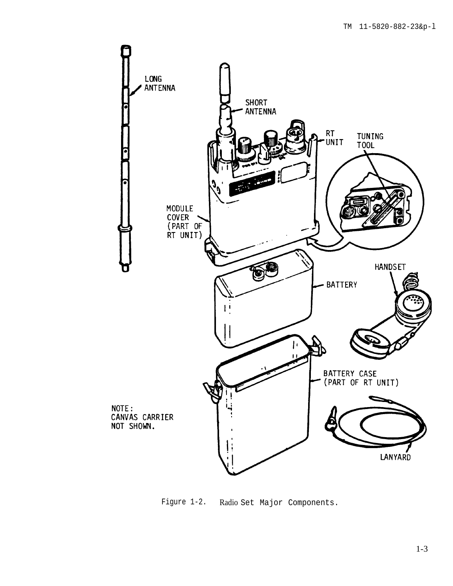<span id="page-10-0"></span>

Figure 1-2. Radio Set Major Components.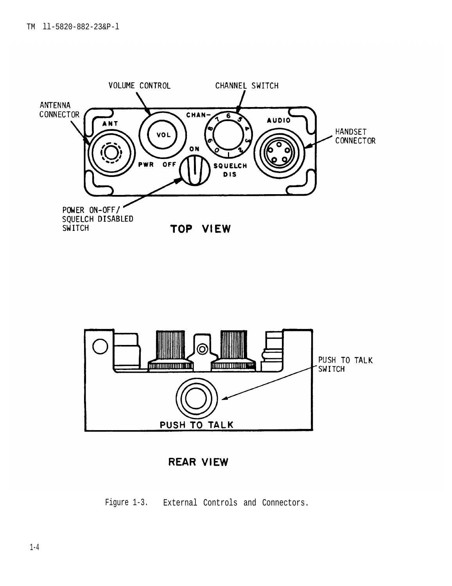<span id="page-11-0"></span>



**REAR VIEW** 

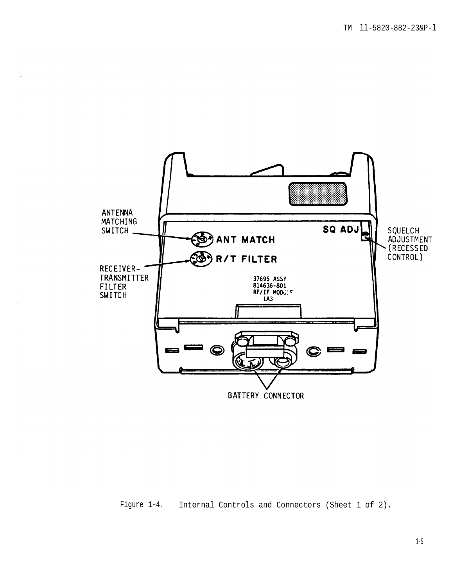<span id="page-12-0"></span>

Figure 1-4. Internal Controls and Connectors (Sheet 1 of 2).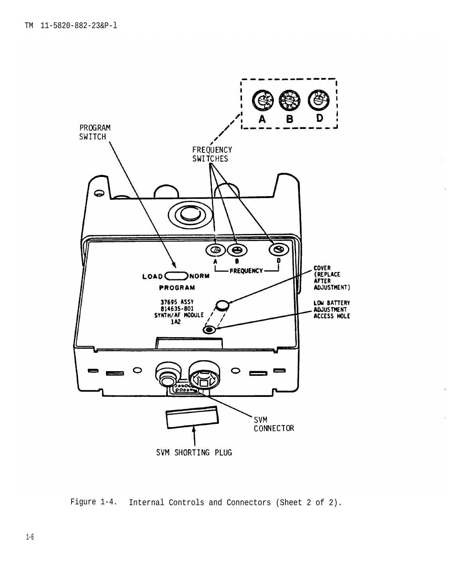

Figure 1-4. Internal Controls and Connectors (Sheet 2 of 2).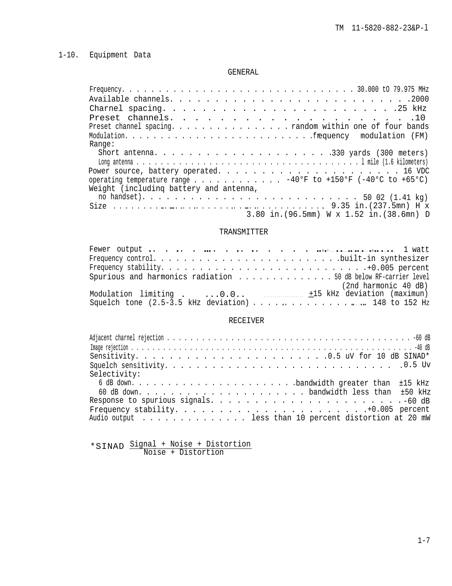# <span id="page-14-0"></span>1-10. Equipment Data

#### GENERAL

| Preset channels. 10                                         |
|-------------------------------------------------------------|
| Preset channel spacing. random within one of four bands     |
|                                                             |
| Range:                                                      |
|                                                             |
|                                                             |
|                                                             |
| operating temperature range 40°F to +150°F (-40°C to +65°C) |
| Weight (including battery and antenna,                      |
|                                                             |
|                                                             |
| 3.80 in. (96.5mm) W x 1.52 in. (38.6mn) D                   |

# TRANSMITTER

| Spurious and harmonics radiation 50 dB below RF-carrier level |
|---------------------------------------------------------------|
| (2nd harmonic 40 dB)                                          |
|                                                               |
| Squelch tone (2.5-3.5 kHz deviation) 148 to 152 Hz            |

# RECEIVER

| Selectivity:                                          |
|-------------------------------------------------------|
|                                                       |
|                                                       |
|                                                       |
|                                                       |
| Audio output less than 10 percent distortion at 20 mW |

\*SINAD Signal + Noise + Distortion Noise + Distortion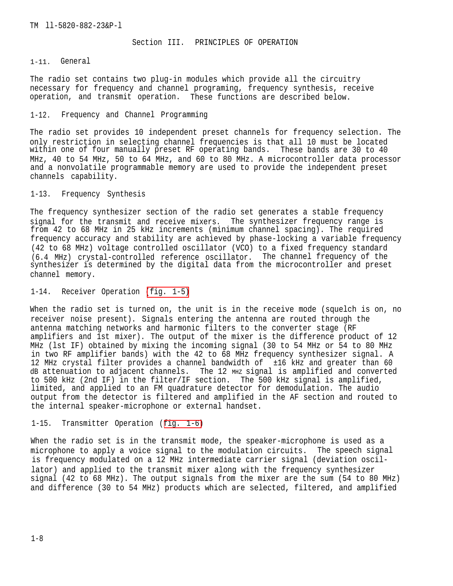Section III. PRINCIPLES OF OPERATION

<span id="page-15-0"></span>1-11. General

The radio set contains two plug-in modules which provide all the circuitry necessary for frequency and channel programing, frequency synthesis, receive operation, and transmit operation. These functions are described below.

### 1-12. Frequency and Channel Programming

The radio set provides 10 independent preset channels for frequency selection. The only restriction in selecting channel frequencies is that all 10 must be located within one of four manually preset RF operating bands. These bands are 30 to 40 MHz, 40 to 54 MHz, 50 to 64 MHz, and 60 to 80 MHz. A microcontroller data processor and a nonvolatile programmable memory are used to provide the independent preset channels capability.

1-13. Frequency Synthesis

The frequency synthesizer section of the radio set generates a stable frequency signal for the transmit and receive mixers. The synthesizer frequency range is from 42 to 68 MHz in 25 kHz increments (minimum channel spacing). The required frequency accuracy and stability are achieved by phase-locking a variable frequency (42 to 68 MHz) voltage controlled oscillator (VCO) to a fixed frequency standard (6.4 MHz) crystal-controlled reference oscillator. The channel frequency of the synthesizer is determined by the digital data from the microcontroller and preset channel memory.

1-14. Receiver Operation [\(fig. 1-5\)](#page-16-0)

When the radio set is turned on, the unit is in the receive mode (squelch is on, no receiver noise present). Signals entering the antenna are routed through the antenna matching networks and harmonic filters to the converter stage (RF amplifiers and 1st mixer). The output of the mixer is the difference product of 12 MHz (lst IF) obtained by mixing the incoming signal (30 to 54 MHz or 54 to 80 MHz in two RF amplifier bands) with the 42 to 68 MHz frequency synthesizer signal. A 12 MHz crystal filter provides a channel bandwidth of ±16 kHz and greater than 60 dB attenuation to adjacent channels. The 12 MHZ signal is amplified and converted to 500 kHz (2nd IF) in the filter/IF section. The 500 kHz signal is amplified, limited, and applied to an FM quadrature detector for demodulation. The audio output from the detector is filtered and amplified in the AF section and routed to the internal speaker-microphone or external handset.

1-15. Transmitter Operation ([fig. 1-6\)](#page-16-0)

When the radio set is in the transmit mode, the speaker-microphone is used as a microphone to apply a voice signal to the modulation circuits. The speech signal is frequency modulated on a 12 MHz intermediate carrier signal (deviation oscillator) and applied to the transmit mixer along with the frequency synthesizer signal (42 to 68 MHz). The output signals from the mixer are the sum (54 to 80 MHz) and difference (30 to 54 MHz) products which are selected, filtered, and amplified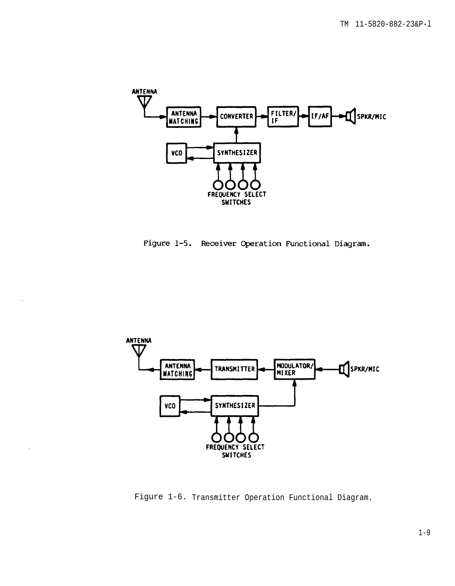<span id="page-16-0"></span>





Figure 1-6. Transmitter Operation Functional Diagram.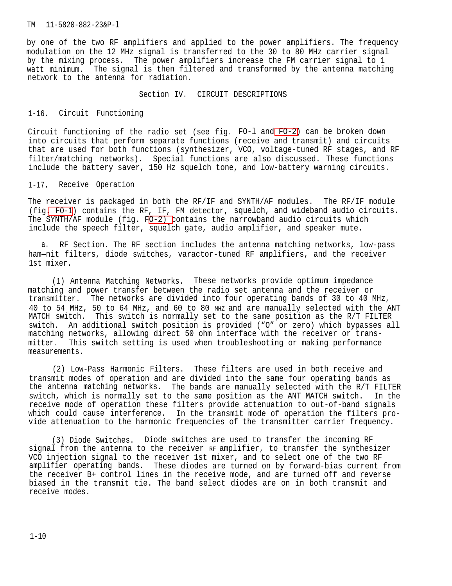<span id="page-17-0"></span>by one of the two RF amplifiers and applied to the power amplifiers. The frequency modulation on the 12 MHz signal is transferred to the 30 to 80 MHz carrier signal by the mixing process. The power amplifiers increase the FM carrier signal to 1 watt minimum. The signal is then filtered and transformed by the antenna matching network to the antenna for radiation.

Section IV. CIRCUIT DESCRIPTIONS

### 1-16. Circuit Functioning

Circuit functioning of the radio set (see fig. FO-l and [FO-2\)](#page-99-0) can be broken down into circuits that perform separate functions (receive and transmit) and circuits that are used for both functions (synthesizer, VCO, voltage-tuned RF stages, and RF filter/matching networks). Special functions are also discussed. These functions include the battery saver, 150 Hz squelch tone, and low-battery warning circuits.

### 1-17. Receive Operation

The receiver is packaged in both the RF/IF and SYNTH/AF modules. The RF/IF module (fig[. FO-1](#page-98-0)) contains the RF, IF, FM detector, squelch, and wideband audio circuits. The SYNTH/AF module (fig. [FO-2\) c](#page-99-0)ontains the narrowband audio circuits which include the speech filter, squelch gate, audio amplifier, and speaker mute.

a. RF Section. The RF section includes the antenna matching networks, low-pass ham—nit filters, diode switches, varactor-tuned RF amplifiers, and the receiver 1st mixer.

(1) Antenna Matching Networks. These networks provide optimum impedance matching and power transfer between the radio set antenna and the receiver or transmitter. The networks are divided into four operating bands of 30 to 40 MHz, 40 to 54 MHz, 50 to 64 MHz, and 60 to 80 MHZ and are manually selected with the ANT MATCH switch. This switch is normally set to the same position as the R/T FILTER switch. An additional switch position is provided ("O" or zero) which bypasses all matching networks, allowing direct 50 ohm interface with the receiver or transmitter. This switch setting is used when troubleshooting or making performance measurements.

(2) Low-Pass Harmonic Filters. These filters are used in both receive and transmit modes of operation and are divided into the same four operating bands as the antenna matching networks. The bands are manually selected with the R/T FILTER switch, which is normally set to the same position as the ANT MATCH switch. In the receive mode of operation these filters provide attenuation to out-of-band signals which could cause interference. In the transmit mode of operation the filters provide attenuation to the harmonic frequencies of the transmitter carrier frequency.

(3) Diode Switches. Diode switches are used to transfer the incoming RF signal from the antenna to the receiver RF amplifier, to transfer the synthesizer VCO injection signal to the receiver 1st mixer, and to select one of the two RF amplifier operating bands. These diodes are turned on by forward-bias current from the receiver B+ control lines in the receive mode, and are turned off and reverse biased in the transmit tie. The band select diodes are on in both transmit and receive modes.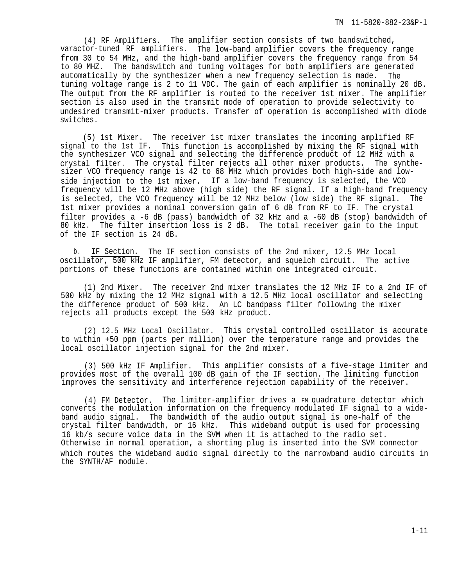(4) RF Amplifiers. The amplifier section consists of two bandswitched, varactor-tuned RF amplifiers. The low-band amplifier covers the frequency range from 30 to 54 MHz, and the high-band amplifier covers the frequency range from 54 to 80 MHZ. The bandswitch and tuning voltages for both amplifiers are generated automatically by the synthesizer when a new frequency selection is made. The tuning voltage range is 2 to 11 VDC. The gain of each amplifier is nominally 20 dB. The output from the RF amplifier is routed to the receiver 1st mixer. The amplifier section is also used in the transmit mode of operation to provide selectivity to undesired transmit-mixer products. Transfer of operation is accomplished with diode switches.

(5) 1st Mixer. The receiver 1st mixer translates the incoming amplified RF signal to the 1st IF. This function is accomplished by mixing the RF signal with the synthesizer VCO signal and selecting the difference product of 12 MHz with a crystal filter. The crystal filter rejects all other mixer products. The synthesizer VCO frequency range is 42 to 68 MHz which provides both high-side and lowside injection to the 1st mixer. If a low-band frequency is selected, the VCO frequency will be 12 MHz above (high side) the RF signal. If a high-band frequency is selected, the VCO frequency will be 12 MHz below (low side) the RF signal. The 1st mixer provides a nominal conversion gain of 6 dB from RF to IF. The crystal filter provides a -6 dB (pass) bandwidth of 32 kHz and a -60 dB (stop) bandwidth of 80 kHz. The filter insertion loss is 2 dB. The total receiver gain to the input of the IF section is 24 dB.

b. IF Section. The IF section consists of the 2nd mixer, 12.5 MHz local oscillator, 500 kHz IF amplifier, FM detector, and squelch circuit. The active portions of these functions are contained within one integrated circuit.

(1) 2nd Mixer. The receiver 2nd mixer translates the 12 MHz IF to a 2nd IF of 500 kHz by mixing the 12 MHz signal with a 12.5 MHz local oscillator and selecting the difference product of 500 kHz. An LC bandpass filter following the mixer rejects all products except the 500 kHz product.

(2) 12.5 MHz Local Oscillator. This crystal controlled oscillator is accurate to within +50 ppm (parts per million) over the temperature range and provides the local oscillator injection signal for the 2nd mixer.

(3) 500 kHz IF Amplifier. This amplifier consists of a five-stage limiter and provides most of the overall 100 dB gain of the IF section. The limiting function improves the sensitivity and interference rejection capability of the receiver.

(4) FM Detector. The limiter-amplifier drives a FM quadrature detector which converts the modulation information on the frequency modulated IF signal to a wideband audio signal. The bandwidth of the audio output signal is one-half of the crystal filter bandwidth, or 16 kHz. This wideband output is used for processing 16 kb/s secure voice data in the SVM when it is attached to the radio set. Otherwise in normal operation, a shorting plug is inserted into the SVM connector which routes the wideband audio signal directly to the narrowband audio circuits in the SYNTH/AF module.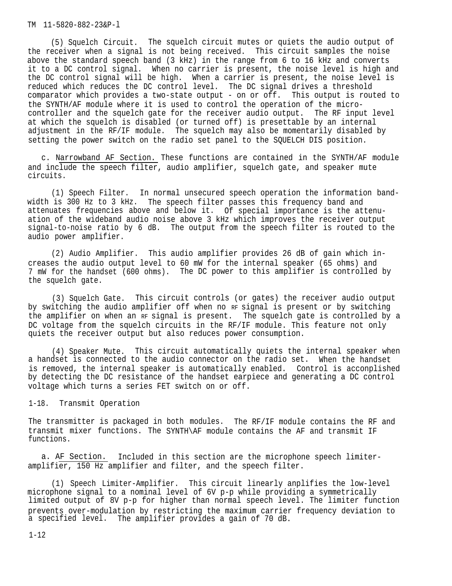<span id="page-19-0"></span>(5) Squelch Circuit. The squelch circuit mutes or quiets the audio output of the receiver when a signal is not being received. This circuit samples the noise above the standard speech band (3 kHz) in the range from 6 to 16 kHz and converts it to a DC control signal. When no carrier is present, the noise level is high and the DC control signal will be high. When a carrier is present, the noise level is reduced which reduces the DC control level. The DC signal drives a threshold comparator which provides a two-state output - on or off. This output is routed to the SYNTH/AF module where it is used to control the operation of the microcontroller and the squelch gate for the receiver audio output. The RF input level at which the squelch is disabled (or turned off) is presettable by an internal adjustment in the RF/IF module. The squelch may also be momentarily disabled by setting the power switch on the radio set panel to the SQUELCH DIS position.

c. Narrowband AF Section. These functions are contained in the SYNTH/AF module and include the speech filter, audio amplifier, squelch gate, and speaker mute circuits.

(1) Speech Filter. In normal unsecured speech operation the information bandwidth is 300 Hz to 3 kHz. The speech filter passes this frequency band and attenuates frequencies above and below it. Of special importance is the attenuation of the wideband audio noise above 3 kHz which improves the receiver output signal-to-noise ratio by 6 dB. The output from the speech filter is routed to the audio power amplifier.

(2) Audio Amplifier. This audio amplifier provides 26 dB of gain which increases the audio output level to 60 mW for the internal speaker (65 ohms) and 7 mW for the handset (600 ohms). The DC power to this amplifier is controlled by the squelch gate.

(3) Squelch Gate. This circuit controls (or gates) the receiver audio output by switching the audio amplifier off when no RF signal is present or by switching the amplifier on when an RF signal is present. The squelch gate is controlled by a DC voltage from the squelch circuits in the RF/IF module. This feature not only quiets the receiver output but also reduces power consumption.

(4) Speaker Mute. This circuit automatically quiets the internal speaker when a handset is connected to the audio connector on the radio set. When the handset is removed, the internal speaker is automatically enabled. Control is acconplished by detecting the DC resistance of the handset earpiece and generating a DC control voltage which turns a series FET switch on or off.

1-18. Transmit Operation

The transmitter is packaged in both modules. The RF/IF module contains the RF and transmit mixer functions. The SYNTH\AF module contains the AF and transmit IF functions.

a. AF Section. Included in this section are the microphone speech limiteramplifier, 150 Hz amplifier and filter, and the speech filter.

(1) Speech Limiter-Amplifier. This circuit linearly anplifies the low-level microphone signal to a nominal level of 6V p-p while providing a symmetrically limited output of 8V p-p for higher than normal speech level. The limiter function prevents over-modulation by restricting the maximum carrier frequency deviation to a specified level. The amplifier provides a gain of 70 dB.

1-12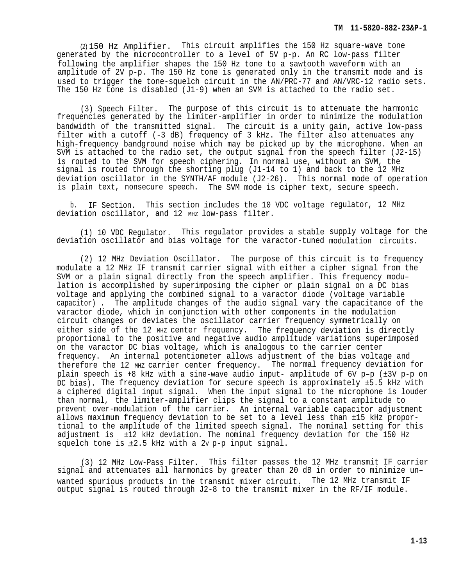(2) 150 Hz Amplifier. This circuit amplifies the 150 Hz square-wave tone generated by the microcontroller to a level of 5V p-p. An RC low-pass filter following the amplifier shapes the 150 Hz tone to a sawtooth waveform with an amplitude of 2V p-p. The 150 Hz tone is generated only in the transmit mode and is used to trigger the tone-squelch circuit in the AN/PRC-77 and AN/VRC-12 radio sets. The 150 Hz tone is disabled (J1-9) when an SVM is attached to the radio set.

(3) Speech Filter. The purpose of this circuit is to attenuate the harmonic frequencies generated by the limiter-amplifier in order to minimize the modulation bandwidth of the transmitted signal. The circuit is a unity gain, active low-pass filter with a cutoff (-3 dB) frequency of 3 kHz. The filter also attenuates any high-frequency bandground noise which may be picked up by the microphone. When an SVM is attached to the radio set, the output signal from the speech filter (J2-15) is routed to the SVM for speech ciphering. In normal use, without an SVM, the signal is routed through the shorting plug (J1-14 to 1) and back to the 12 MHz deviation oscillator in the SYNTH/AF module (J2-26). This normal mode of operation is plain text, nonsecure speech. The SVM mode is cipher text, secure speech.

b. IF Section. This section includes the 10 VDC voltage regulator, 12 MHz deviation oscillator, and 12 MHZ low-pass filter.

(1) 10 VDC Regulator. This regulator provides a stable supply voltage for the deviation oscillator and bias voltage for the varactor-tuned modulation circuits.

(2) 12 MHz Deviation Oscillator. The purpose of this circuit is to frequency modulate a 12 MHz IF transmit carrier signal with either a cipher signal from the SVM or a plain signal directly from the speech amplifier. This frequency modu– lation is accomplished by superimposing the cipher or plain signal on a DC bias voltage and applying the combined signal to a varactor diode (voltage variable capacitor) . The amplitude changes of the audio signal vary the capacitance of the varactor diode, which in conjunction with other components in the modulation circuit changes or deviates the oscillator carrier frequency symmetrically on either side of the 12 MHZ center frequency. The frequency deviation is directly proportional to the positive and negative audio amplitude variations superimposed on the varactor DC bias voltage, which is analogous to the carrier center frequency. An internal potentiometer allows adjustment of the bias voltage and therefore the 12 MHz carrier center frequency. The normal frequency deviation for plain speech is +8 kHz with a sine-wave audio input- amplitude of 6V p–p (±3V p-p on DC bias). The frequency deviation for secure speech is approximately ±5.5 kHz with a ciphered digital input signal. When the input signal to the microphone is louder than normal, the limiter-amplifier clips the signal to a constant amplitude to prevent over-modulation of the carrier. An internal variable capacitor adjustment allows maximum frequency deviation to be set to a level less than ±15 kHz proportional to the amplitude of the limited speech signal. The nominal setting for this adjustment is ±12 kHz deviation. The nominal frequency deviation for the 150 Hz squelch tone is  $\pm 2.5$  kHz with a 2v p-p input signal.

(3) 12 MHz Low-Pass Filter. This filter passes the 12 MHz transmit IF carrier signal and attenuates all harmonics by greater than 20 dB in order to minimize unwanted spurious products in the transmit mixer circuit. The 12 MHz transmit IF output signal is routed through J2-8 to the transmit mixer in the RF/IF module.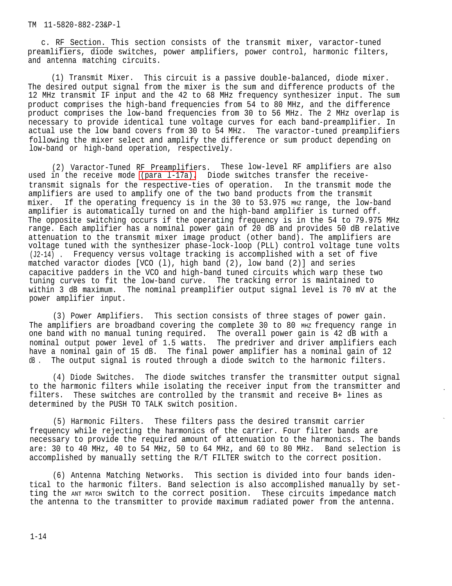c. RF Section. This section consists of the transmit mixer, varactor-tuned preamlifiers, diode switches, power amplifiers, power control, harmonic filters, and antenna matching circuits.

(1) Transmit Mixer. This circuit is a passive double-balanced, diode mixer. The desired output signal from the mixer is the sum and difference products of the 12 MHz transmit IF input and the 42 to 68 MHz frequency synthesizer input. The sum product comprises the high-band frequencies from 54 to 80 MHz, and the difference product comprises the low-band frequencies from 30 to 56 MHz. The 2 MHz overlap is necessary to provide identical tune voltage curves for each band-preamplifier. In actual use the low band covers from 30 to 54 MHz. The varactor-tuned preamplifiers following the mixer select and amplify the difference or sum product depending on low-band or high-band operation, respectively.

(2) Varactor-Tuned RF Preamplifiers. These low-level RF amplifiers are also used in the receive mode (para 1-17a). Diode switches transfer the receivetransmit signals for the respective-ties of operation. In the transmit mode the amplifiers are used to amplify one of the two band products from the transmit mixer. If the operating frequency is in the 30 to 53.975 MHZ range, the low-band amplifier is automatically turned on and the high-band amplifier is turned off. The opposite switching occurs if the operating frequency is in the 54 to 79.975 MHz range. Each amplifier has a nominal power gain of 20 dB and provides 50 dB relative attenuation to the transmit mixer image product (other band). The amplifiers are voltage tuned with the synthesizer phase-lock-loop (PLL) control voltage tune volts (J2-14) . Frequency versus voltage tracking is accomplished with a set of five matched varactor diodes [VCO (l), high band (2), low band (2)] and series capacitive padders in the VCO and high-band tuned circuits which warp these two tuning curves to fit the low-band curve. The tracking error is maintained to within 3 dB maximum. The nominal preamplifier output signal level is 70 mV at the power amplifier input.

(3) Power Amplifiers. This section consists of three stages of power gain. The amplifiers are broadband covering the complete 30 to 80 MHz frequency range in one band with no manual tuning required. The overall power gain is 42 dB with a nominal output power level of 1.5 watts. The predriver and driver amplifiers each have a nominal gain of 15 dB. The final power amplifier has a nominal gain of 12 dB . The output signal is routed through a diode switch to the harmonic filters.

(4) Diode Switches. The diode switches transfer the transmitter output signal to the harmonic filters while isolating the receiver input from the transmitter and filters. These switches are controlled by the transmit and receive B+ lines as determined by the PUSH TO TALK switch position.

(5) Harmonic Filters. These filters pass the desired transmit carrier frequency while rejecting the harmonics of the carrier. Four filter bands are necessary to provide the required amount of attenuation to the harmonics. The bands are: 30 to 40 MHz, 40 to 54 MHz, 50 to 64 MHz, and 60 to 80 MHz. Band selection is accomplished by manually setting the R/T FILTER switch to the correct position.

(6) Antenna Matching Networks. This section is divided into four bands identical to the harmonic filters. Band selection is also accomplished manually by setting the ANT MATCH switch to the correct position. These circuits impedance match the antenna to the transmitter to provide maximum radiated power from the antenna.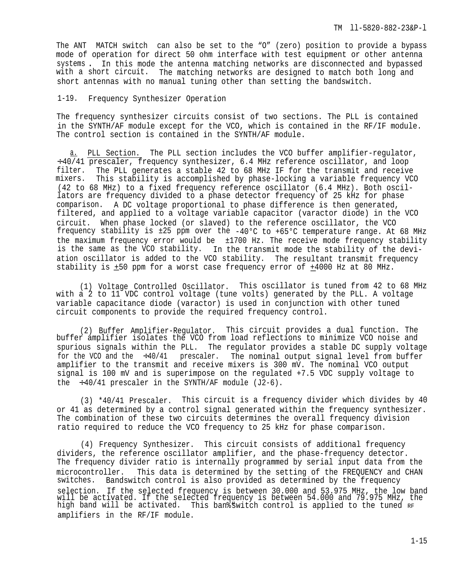<span id="page-22-0"></span>The ANT MATCH switch can also be set to the "O" (zero) position to provide a bypass mode of operation for direct 50 ohm interface with test equipment or other antenna systems . In this mode the antenna matching networks are disconnected and bypassed with a short circuit. The matching networks are designed to match both long and short antennas with no manual tuning other than setting the bandswitch.

1-19. Frequency Synthesizer Operation

The frequency synthesizer circuits consist of two sections. The PLL is contained in the SYNTH/AF module except for the VCO, which is contained in the RF/IF module. The control section is contained in the SYNTH/AF module.

a. PLL Section. The PLL section includes the VCO buffer amplifier-regulator, ÷ 40/41 prescaler, frequency synthesizer, 6.4 MHz reference oscillator, and loop filter. The PLL generates a stable 42 to 68 MHz IF for the transmit and receive mixers. This stability is accomplished by phase-locking a variable frequency VCO (42 to 68 MHz) to a fixed frequency reference oscillator (6.4 MHz). Both oscillators are frequency divided to a phase detector frequency of 25 kHz for phase comparison. A DC voltage proportional to phase difference is then generated, filtered, and applied to a voltage variable capacitor (varactor diode) in the VCO circuit. When phase locked (or slaved) to the reference oscillator, the VCO frequency stability is ±25 ppm over the -40°C to +65°C temperature range. At 68 MHz the maximum frequency error would be ±1700 Hz. The receive mode frequency stability is the same as the VCO stability. In the transmit mode the stability of the deviation oscillator is added to the VCO stability. The resultant transmit frequency stability is  $\pm 50$  ppm for a worst case frequency error of  $+4000$  Hz at 80 MHz.

(1) Voltage Controlled Oscillator. This oscillator is tuned from 42 to 68 MHz with a 2 to 11 VDC control voltage (tune volts) generated by the PLL. A voltage variable capacitance diode (varactor) is used in conjunction with other tuned circuit components to provide the required frequency control.

(2) Buffer Amplifier-Regulator. This circuit provides a dual function. The buffer amplifier isolates the VCO from load reflections to minimize VCO noise and spurious signals within the PLL. The regulator provides a stable DC supply voltage for the VCO and the  $\div 40/41$  prescaler. The nominal output signal level from buffer amplifier to the transmit and receive mixers is 300 mV. The nominal VCO output signal is 100 mV and is superimpose on the regulated +7.5 VDC supply voltage to the  $\div 40/41$  prescaler in the SYNTH/AF module (J2-6).

(3) \*40/41 Prescaler. This circuit is a frequency divider which divides by 40 or 41 as determined by a control signal generated within the frequency synthesizer. The combination of these two circuits determines the overall frequency division ratio required to reduce the VCO frequency to 25 kHz for phase comparison.

(4) Frequency Synthesizer. This circuit consists of additional frequency dividers, the reference oscillator amplifier, and the phase-frequency detector. The frequency divider ratio is internally programmed by serial input data from the microcontroller. This data is determined by the setting of the FREQUENCY and CHAN switches. Bandswitch control is also provided as determined by the frequency selection. If the selected frequency is between 30.000 and 53.975 MHz, the low band will be activated. If the selected frequency is between 54.000 and 79.975 MHz, the high band will be activated. This ban%switch control is applied to the tuned  $_{\rm RF}$ amplifiers in the RF/IF module.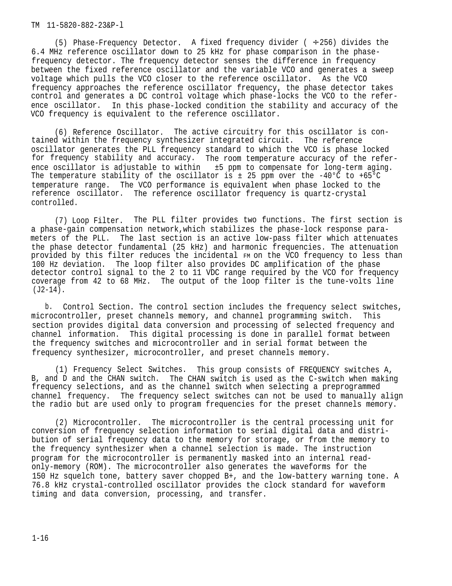(5) Phase-Frequency Detector. A fixed frequency divider ( ÷ 256) divides the 6.4 MHz reference oscillator down to 25 kHz for phase comparison in the phasefrequency detector. The frequency detector senses the difference in frequency between the fixed reference oscillator and the variable VCO and generates a sweep voltage which pulls the VCO closer to the reference oscillator. As the VCO frequency approaches the reference oscillator frequency, the phase detector takes control and generates a DC control voltage which phase-locks the VCO to the reference oscillator. In this phase-locked condition the stability and accuracy of the VCO frequency is equivalent to the reference oscillator.

(6) Reference Oscillator. The active circuitry for this oscillator is contained within the frequency synthesizer integrated circuit. The reference oscillator generates the PLL frequency standard to which the VCO is phase locked for frequency stability and accuracy. The room temperature accuracy of the reference oscillator is adjustable to within ±5 ppm to compensate for long-term aging. The temperature stability of the oscillator is  $\pm$  25 ppm over the -40°C to +65°C temperature range. The VCO performance is equivalent when phase locked to the reference oscillator. The reference oscillator frequency is quartz-crystal controlled.

(7) Loop Filter. The PLL filter provides two functions. The first section is a phase-gain compensation network,which stabilizes the phase-lock response parameters of the PLL. The last section is an active low-pass filter which attenuates the phase detector fundamental (25 kHz) and harmonic frequencies. The attenuation provided by this filter reduces the incidental FM on the VCO frequency to less than 100 Hz deviation. The loop filter also provides DC amplification of the phase detector control signal to the 2 to 11 VDC range required by the VCO for frequency coverage from 42 to 68 MHz. The output of the loop filter is the tune-volts line (J2-14).

b. Control Section. The control section includes the frequency select switches, microcontroller, preset channels memory, and channel programming switch. This section provides digital data conversion and processing of selected frequency and channel information. This digital processing is done in parallel format between the frequency switches and microcontroller and in serial format between the frequency synthesizer, microcontroller, and preset channels memory.

(1) Frequency Select Switches. This group consists of FREQUENCY switches A, B, and D and the CHAN switch. The CHAN switch is used as the C-switch when making frequency selections, and as the channel switch when selecting a preprogrammed channel frequency. The frequency select switches can not be used to manually align the radio but are used only to program frequencies for the preset channels memory.

(2) Microcontroller. The microcontroller is the central processing unit for conversion of frequency selection information to serial digital data and distribution of serial frequency data to the memory for storage, or from the memory to the frequency synthesizer when a channel selection is made. The instruction program for the microcontroller is permanently masked into an internal readonly-memory (ROM). The microcontroller also generates the waveforms for the 150 Hz squelch tone, battery saver chopped B+, and the low-battery warning tone. A 76.8 kHz crystal-controlled oscillator provides the clock standard for waveform timing and data conversion, processing, and transfer.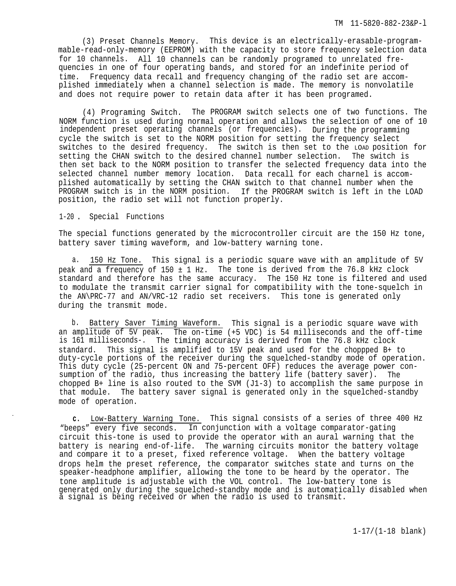<span id="page-24-0"></span>(3) Preset Channels Memory. This device is an electrically-erasable-programmable-read-only-memory (EEPROM) with the capacity to store frequency selection data for 10 channels. All 10 channels can be randomly programed to unrelated frequencies in one of four operating bands, and stored for an indefinite period of time. Frequency data recall and frequency changing of the radio set are accomplished immediately when a channel selection is made. The memory is nonvolatile and does not require power to retain data after it has been programed.

(4) Programing Switch. The PROGRAM switch selects one of two functions. The NORM function is used during normal operation and allows the selection of one of 10 independent preset operating channels (or frequencies). During the programming cycle the switch is set to the NORM position for setting the frequency select switches to the desired frequency. The switch is then set to the LOAD position for setting the CHAN switch to the desired channel number selection. The switch is then set back to the NORM position to transfer the selected frequency data into the selected channel number memory location. Data recall for each charnel is accomplished automatically by setting the CHAN switch to that channel number when the PROGRAM switch is in the NORM position. If the PROGRAM switch is left in the LOAD position, the radio set will not function properly.

### 1-20. Special Functions

The special functions generated by the microcontroller circuit are the 150 Hz tone, battery saver timing waveform, and low-battery warning tone.

a. 150 Hz Tone. This signal is a periodic square wave with an amplitude of 5V peak and a frequency of  $150 \pm 1$  Hz. The tone is derived from the  $76.8$  kHz clock standard and therefore has the same accuracy. The 150 Hz tone is filtered and used to modulate the transmit carrier signal for compatibility with the tone-squelch in the AN\PRC-77 and AN/VRC-12 radio set receivers. This tone is generated only during the transmit mode.

b. Battery Saver Timing Waveform. This signal is a periodic square wave with an amplitude of 5V peak. The on-time (+5 VDC) is 54 milliseconds and the off-time is 161 milliseconds-. The timing accuracy is derived from the 76.8 kHz clock standard. This signal is amplified to 15V peak and used for the choppped B+ to duty-cycle portions of the receiver during the squelched-standby mode of operation. This duty cycle (25-percent ON and 75-percent OFF) reduces the average power consumption of the radio, thus increasing the battery life (battery saver). The chopped B+ line is also routed to the SVM (J1-3) to accomplish the same purpose in that module. The battery saver signal is generated only in the squelched-standby mode of operation.

**c.** Low-Battery Warning Tone. This signal consists of a series of three 400 Hz "beeps" every five seconds. In conjunction with a voltage comparator-gating circuit this-tone is used to provide the operator with an aural warning that the battery is nearing end-of-life. The warning circuits monitor the battery voltage and compare it to a preset, fixed reference voltage. When the battery voltage drops helm the preset reference, the comparator switches state and turns on the speaker-headphone amplifier, allowing the tone to be heard by the operator. The tone amplitude is adjustable with the VOL control. The low-battery tone is generated only during the squelched-standby mode and is automatically disabled when a signal is being received or when the radio is used to transmit.

1-17/(1-18 blank)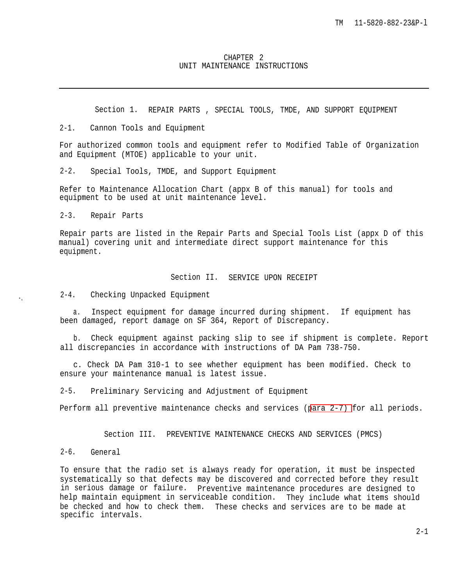#### CHAPTER 2 UNIT MAINTENANCE INSTRUCTIONS

Section 1. REPAIR PARTS , SPECIAL TOOLS, TMDE, AND SUPPORT EQUIPMENT

<span id="page-26-0"></span>2-1. Cannon Tools and Equipment

For authorized common tools and equipment refer to Modified Table of Organization and Equipment (MTOE) applicable to your unit.

2-2. Special Tools, TMDE, and Support Equipment

Refer to Maintenance Allocation Chart (appx B of this manual) for tools and equipment to be used at unit maintenance level.

2-3. Repair Parts

Repair parts are listed in the Repair Parts and Special Tools List (appx D of this manual) covering unit and intermediate direct support maintenance for this equipment.

# Section II. SERVICE UPON RECEIPT

2-4. Checking Unpacked Equipment

a. Inspect equipment for damage incurred during shipment. If equipment has been damaged, report damage on SF 364, Report of Discrepancy.

b. Check equipment against packing slip to see if shipment is complete. Report all discrepancies in accordance with instructions of DA Pam 738-750.

c. Check DA Pam 310-1 to see whether equipment has been modified. Check to ensure your maintenance manual is latest issue.

2-5. Preliminary Servicing and Adjustment of Equipment

Perform all preventive maintenance checks and services ([para 2-7\)](#page-27-0) for all periods.

Section III. PREVENTIVE MAINTENANCE CHECKS AND SERVICES (PMCS)

2-6. General

To ensure that the radio set is always ready for operation, it must be inspected systematically so that defects may be discovered and corrected before they result in serious damage or failure. Preventive maintenance procedures are designed to help maintain equipment in serviceable condition. They include what items should be checked and how to check them. These checks and services are to be made at specific intervals.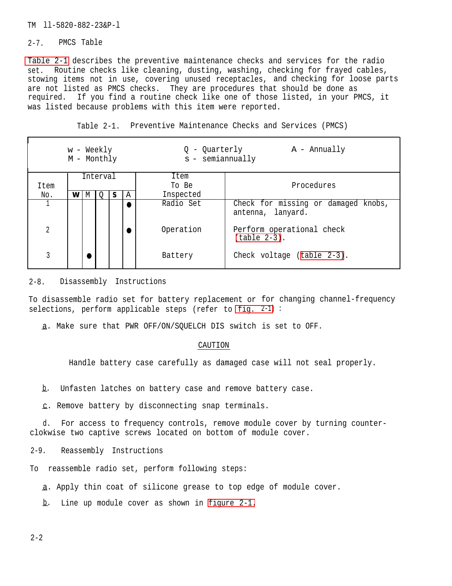#### <span id="page-27-0"></span>2-7. PMCS Table

Table 2-1 describes the preventive maintenance checks and services for the radio set. Routine checks like cleaning, dusting, washing, checking for frayed cables, stowing items not in use, covering unused receptacles, and checking for loose parts are not listed as PMCS checks. They are procedures that should be done as required. If you find a routine check like one of those listed, in your PMCS, it was listed because problems with this item were reported.

Table 2-1. Preventive Maintenance Checks and Services (PMCS)

| w - Weekly<br>M - Monthly |      |   |  | - Quarterly<br>$s$ - semiannually | $A - Annually$ |                                                          |
|---------------------------|------|---|--|-----------------------------------|----------------|----------------------------------------------------------|
| Interval                  |      |   |  | Item                              |                |                                                          |
|                           | Item |   |  | To Be                             | Procedures     |                                                          |
| No.                       | W    | M |  | A                                 | Inspected      |                                                          |
|                           |      |   |  |                                   | Radio Set      | Check for missing or damaged knobs,<br>antenna, lanyard. |
| 2                         |      |   |  |                                   | Operation      | Perform operational check<br>$(table 2-3)$ .             |
| 3                         |      |   |  |                                   | Battery        | Check voltage (table 2-3).                               |

### 2-8. Disassembly Instructions

To disassemble radio set for battery replacement or for changing channel-frequency selections, perform applicable steps (refer to [fig.](#page-28-0) 2-1) :

a. Make sure that PWR OFF/ON/SQUELCH DIS switch is set to OFF.

#### CAUTION

Handle battery case carefully as damaged case will not seal properly.

—b. Unfasten latches on battery case and remove battery case.

 $c.$  Remove battery by disconnecting snap terminals.

d. For access to frequency controls, remove module cover by turning counterclokwise two captive screws located on bottom of module cover.

2-9. Reassembly Instructions

To reassemble radio set, perform following steps:

a. Apply thin coat of silicone grease to top edge of module cover.

— b. Line up module cover as shown in [figure 2-1.](#page-28-0)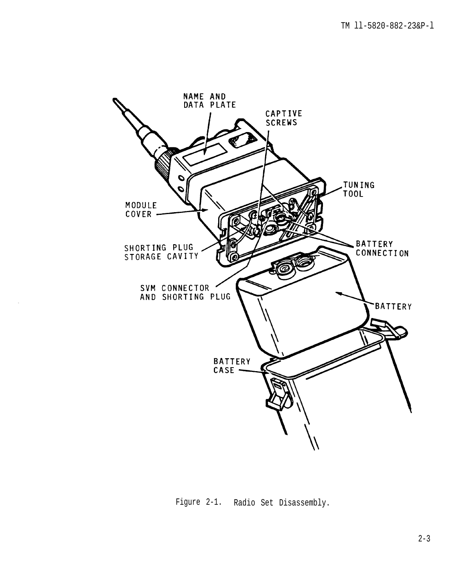<span id="page-28-0"></span>

Figure 2-1. Radio Set Disassembly.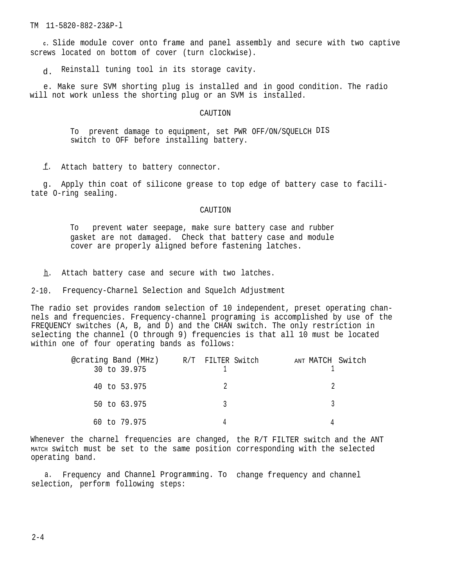<span id="page-29-0"></span>**<sup>C</sup>.** Slide module cover onto frame and panel assembly and secure with two captive screws located on bottom of cover (turn clockwise).

d. Reinstall tuning tool in its storage cavity.

e. Make sure SVM shorting plug is installed and in good condition. The radio will not work unless the shorting plug or an SVM is installed.

#### CAUTION

To prevent damage to equipment, set PWR OFF/ON/SQUELCH DIS switch to OFF before installing battery.

—f. Attach battery to battery connector.

g. Apply thin coat of silicone grease to top edge of battery case to facilitate O-ring sealing.

#### CAUTION

To prevent water seepage, make sure battery case and rubber gasket are not damaged. Check that battery case and module cover are properly aligned before fastening latches.

<u>h</u>. Attach battery case and secure with two latches.

2-10. Frequency-Charnel Selection and Squelch Adjustment

The radio set provides random selection of 10 independent, preset operating channels and frequencies. Frequency-channel programing is accomplished by use of the FREQUENCY switches (A, B, and D) and the CHAN switch. The only restriction in selecting the channel (O through 9) frequencies is that all 10 must be located within one of four operating bands as follows:

| @crating Band (MHz) R/T FILTER Switch<br>30 to 39.975 | ANT MATCH Switch |
|-------------------------------------------------------|------------------|
| 40 to 53.975                                          |                  |
| 50 to 63.975                                          |                  |
| 60 to 79.975                                          |                  |

Whenever the charnel frequencies are changed, the R/T FILTER switch and the ANT MATCH switch must be set to the same position corresponding with the selected operating band.

a. Frequency and Channel Programming. To change frequency and channel selection, perform following steps: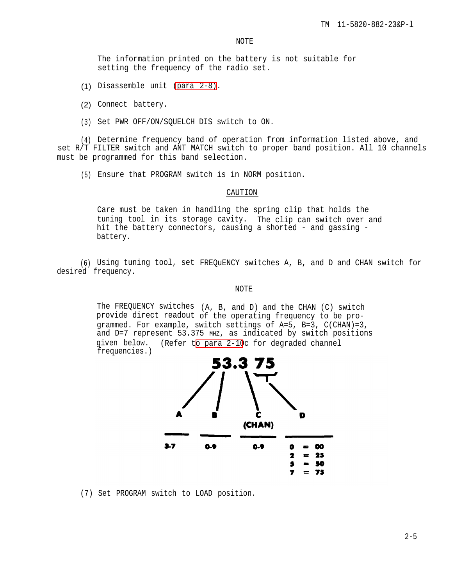The information printed on the battery is not suitable for setting the frequency of the radio set.

- (1) Disassemble unit [\(para 2-8\)](#page-27-0).
- (2) Connect battery.
- (3) Set PWR OFF/ON/SQUELCH DIS switch to ON.

(4) Determine frequency band of operation from information listed above, and set R/T FILTER switch and ANT MATCH switch to proper band position. All 10 channels must be programmed for this band selection.

(5) Ensure that PROGRAM switch is in NORM position.

#### CAUTION

Care must be taken in handling the spring clip that holds the tuning tool in its storage cavity. The clip can switch over and hit the battery connectors, causing a shorted - and gassing battery.

(6) Using tuning tool, set FREQuENCY switches A, B, and D and CHAN switch for desired frequency.

### NOTE

The FREQUENCY switches (A, B, and D) and the CHAN (C) switch provide direct readout of the operating frequency to be programmed. For example, switch settings of A=5, B=3, C(CHAN)=3, and D=7 represent 53.375 MHz, as indicated by switch positions given below. (Refer t[o para 2-10](#page-29-0)c for degraded channel frequencies.)



(7) Set PROGRAM switch to LOAD position.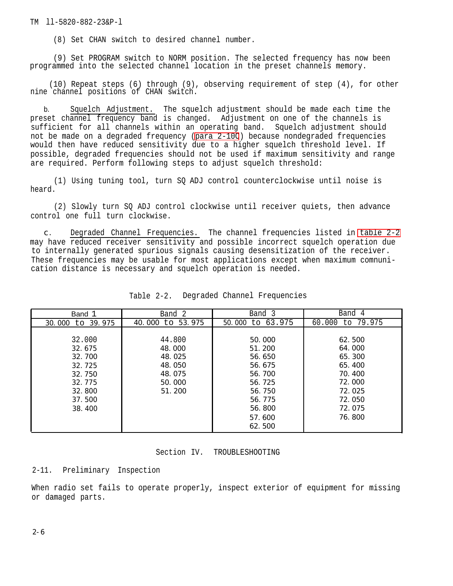(8) Set CHAN switch to desired channel number.

<span id="page-31-0"></span>(9) Set PROGRAM switch to NORM position. The selected frequency has now been programmed into the selected channel location in the preset channels memory.

(10) Repeat steps (6) through (9), observing requirement of step (4), for other nine channel positions of CHAN switch.

b. Squelch Adjustment. The squelch adjustment should be made each time the preset channel frequency band is changed. Adjustment on one of the channels is sufficient for all channels within an operating band. Squelch adjustment should not be made on a degraded frequency [\(para 2-10C](#page-29-0)) because nondegraded frequencies would then have reduced sensitivity due to a higher squelch threshold level. If possible, degraded frequencies should not be used if maximum sensitivity and range are required. Perform following steps to adjust squelch threshold:

(1) Using tuning tool, turn SQ ADJ control counterclockwise until noise is heard.

(2) Slowly turn SQ ADJ control clockwise until receiver quiets, then advance control one full turn clockwise.

c . Degraded Channel Frequencies. The channel frequencies listed in table 2-2 may have reduced receiver sensitivity and possible incorrect squelch operation due to internally generated spurious signals causing desensitization of the receiver. These frequencies may be usable for most applications except when maximum comnunication distance is necessary and squelch operation is needed.

| Band 1           | Band 2           | Band 3           | Band 4           |
|------------------|------------------|------------------|------------------|
| 30,000 to 39,975 | 40,000 to 53,975 | 50.000 to 63.975 | 60.000 to 79.975 |
|                  |                  |                  |                  |
| 32.000           | 44.800           | 50,000           | 62.500           |
| 32.675           | 48,000           | 51.200           | 64.000           |
| 32.700           | 48.025           | 56.650           | 65.300           |
| 32.725           | 48, 050          | 56.675           | 65.400           |
| 32.750           | 48.075           | 56.700           | 70.400           |
| 32.775           | 50,000           | 56.725           | 72.000           |
| 32,800           | 51.200           | 56.750           | 72.025           |
| 37.500           |                  | 56.775           | 72.050           |
| 38.400           |                  | 56.800           | 72.075           |
|                  |                  | 57.600           | 76.800           |
|                  |                  | 62.500           |                  |

| Table 2-2. |  |  |  | Degraded Channel Frequencies |
|------------|--|--|--|------------------------------|
|------------|--|--|--|------------------------------|

# Section IV. TROUBLESHOOTING

# 2-11. Preliminary Inspection

When radio set fails to operate properly, inspect exterior of equipment for missing or damaged parts.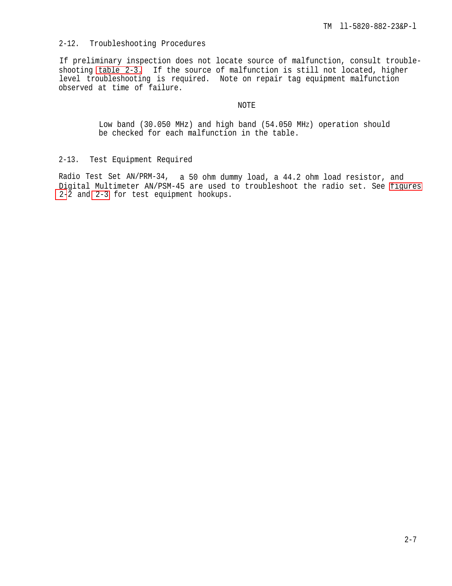# <span id="page-32-0"></span>2-12. Troubleshooting Procedures

If preliminary inspection does not locate source of malfunction, consult troubleshooting [table 2-3.](#page-34-0) If the source of malfunction is still not located, higher level troubleshooting is required. Note on repair tag equipment malfunction observed at time of failure.

## NOTE

Low band (30.050 MHz) and high band (54.050 MHZ) operation should be checked for each malfunction in the table.

# 2-13. Test Equipment Required

Radio Test Set AN/PRM-34, a 50 ohm dummy load, a 44.2 ohm load resistor, and Digital Multimeter AN/PSM-45 are used to troubleshoot the radio set. See [figures](#page-33-0) [2-](#page-33-0)2 and [2-3](#page-33-0) for test equipment hookups.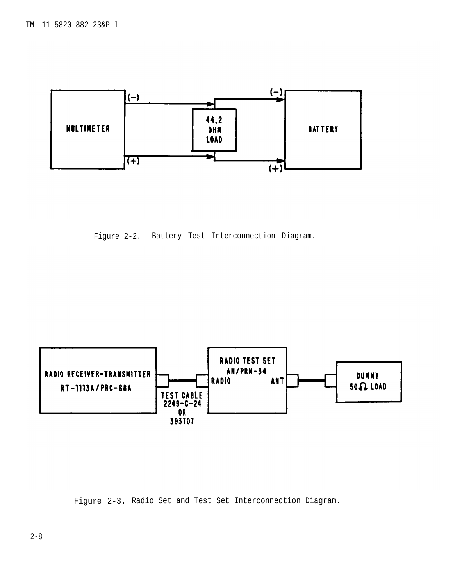<span id="page-33-0"></span>

Figure 2-2. Battery Test Interconnection Diagram.



Figure 2-3. Radio Set and Test Set Interconnection Diagram.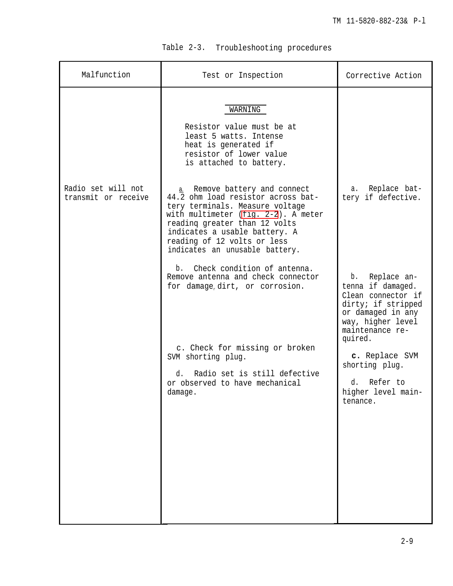| Table 2-3. |  | Troubleshooting procedures |  |
|------------|--|----------------------------|--|
|------------|--|----------------------------|--|

<span id="page-34-0"></span>

| Malfunction                               | Test or Inspection                                                                                                                                                                                                                                                               | Corrective Action                                                                                                                                          |
|-------------------------------------------|----------------------------------------------------------------------------------------------------------------------------------------------------------------------------------------------------------------------------------------------------------------------------------|------------------------------------------------------------------------------------------------------------------------------------------------------------|
|                                           | WARNING<br>Resistor value must be at<br>least 5 watts. Intense<br>heat is generated if<br>resistor of lower value<br>is attached to battery.                                                                                                                                     |                                                                                                                                                            |
| Radio set will not<br>transmit or receive | a. Remove battery and connect<br>44.2 ohm load resistor across bat-<br>tery terminals. Measure voltage<br>with multimeter (fig. 2-2). A meter<br>reading greater than 12 volts<br>indicates a usable battery. A<br>reading of 12 volts or less<br>indicates an unusable battery. | Replace bat-<br>а.<br>tery if defective.                                                                                                                   |
|                                           | Check condition of antenna.<br>b.<br>Remove antenna and check connector<br>for damage dirt, or corrosion.                                                                                                                                                                        | Replace an-<br>b.<br>tenna if damaged.<br>Clean connector if<br>dirty; if stripped<br>or damaged in any<br>way, higher level<br>maintenance re-<br>quired. |
|                                           | c. Check for missing or broken<br>SVM shorting plug.<br>Radio set is still defective<br>d.<br>or observed to have mechanical<br>damage.                                                                                                                                          | c. Replace SVM<br>shorting plug.<br>Refer to<br>d.<br>higher level main-<br>tenance.                                                                       |
|                                           |                                                                                                                                                                                                                                                                                  |                                                                                                                                                            |
|                                           |                                                                                                                                                                                                                                                                                  |                                                                                                                                                            |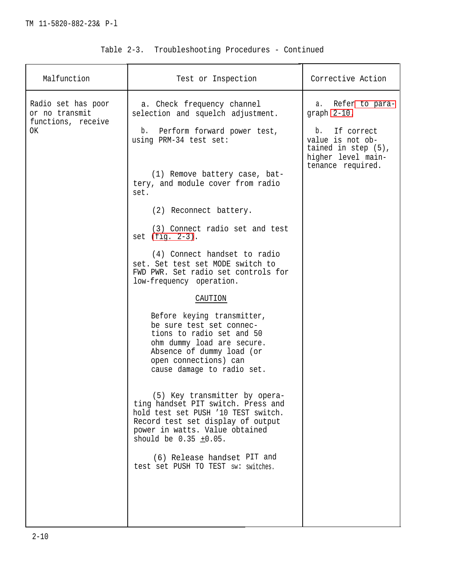| Malfunction                          | Test or Inspection                                                                                                                                                                                               | Corrective Action                                                                   |
|--------------------------------------|------------------------------------------------------------------------------------------------------------------------------------------------------------------------------------------------------------------|-------------------------------------------------------------------------------------|
| Radio set has poor<br>or no transmit | a. Check frequency channel<br>selection and squelch adjustment.                                                                                                                                                  | a. Refer to para-<br>graph 2-10.                                                    |
| functions, receive<br>OK             | b. Perform forward power test,<br>using PRM-34 test set:                                                                                                                                                         | If correct<br>b.<br>value is not ob-<br>tained in $step(5)$ ,<br>higher level main- |
|                                      | (1) Remove battery case, bat-<br>tery, and module cover from radio<br>set.                                                                                                                                       | tenance required.                                                                   |
|                                      | (2) Reconnect battery.                                                                                                                                                                                           |                                                                                     |
|                                      | (3) Connect radio set and test<br>set $(fig. 2-3)$ .                                                                                                                                                             |                                                                                     |
|                                      | (4) Connect handset to radio<br>set. Set test set MODE switch to<br>FWD PWR. Set radio set controls for<br>low-frequency operation.                                                                              |                                                                                     |
|                                      | CAUTION                                                                                                                                                                                                          |                                                                                     |
|                                      | Before keying transmitter,<br>be sure test set connec-<br>tions to radio set and 50<br>ohm dummy load are secure.<br>Absence of dummy load (or<br>open connections) can<br>cause damage to radio set.            |                                                                                     |
|                                      | (5) Key transmitter by opera-<br>ting handset PIT switch. Press and<br>hold test set PUSH '10 TEST switch.<br>Record test set display of output<br>power in watts. Value obtained<br>should be $0.35 \pm 0.05$ . |                                                                                     |
|                                      | (6) Release handset PIT and<br>test set PUSH TO TEST sw: switches.                                                                                                                                               |                                                                                     |
|                                      |                                                                                                                                                                                                                  |                                                                                     |

# Table 2-3. Troubleshooting Procedures - Continued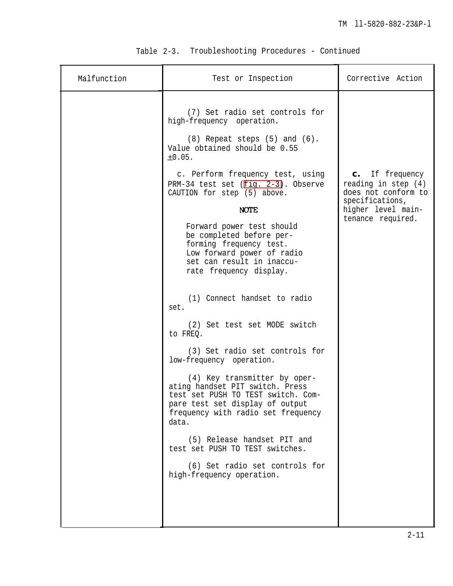| Malfunction | Test or Inspection                                                                                                                                                                      | Corrective Action                                               |
|-------------|-----------------------------------------------------------------------------------------------------------------------------------------------------------------------------------------|-----------------------------------------------------------------|
|             | (7) Set radio set controls for<br>high-frequency operation.<br>$(8)$ Repeat steps $(5)$ and $(6)$ .<br>Value obtained should be 0.55<br>±0.05.                                          |                                                                 |
|             | c. Perform frequency test, using<br>PRM-34 test set (fig. 2-3). Observe<br>CAUTION for step (5) above.                                                                                  | c. If frequency<br>reading in step $(4)$<br>does not conform to |
|             | <b>NOTE</b>                                                                                                                                                                             | specifications,<br>higher level main-                           |
|             | Forward power test should<br>be completed before per-<br>forming frequency test.<br>Low forward power of radio<br>set can result in inaccu-<br>rate frequency display.                  | tenance required.                                               |
|             | (1) Connect handset to radio<br>set.                                                                                                                                                    |                                                                 |
|             | (2) Set test set MODE switch<br>to FREQ.                                                                                                                                                |                                                                 |
|             | (3) Set radio set controls for<br>low-frequency operation.                                                                                                                              |                                                                 |
|             | (4) Key transmitter by oper-<br>ating handset PIT switch. Press<br>test set PUSH TO TEST switch. Com-<br>pare test set display of output<br>frequency with radio set frequency<br>data. |                                                                 |
|             | (5) Release handset PIT and<br>test set PUSH TO TEST switches.                                                                                                                          |                                                                 |
|             | (6) Set radio set controls for<br>high-frequency operation.                                                                                                                             |                                                                 |
|             |                                                                                                                                                                                         |                                                                 |

# Table 2-3. Troubleshooting Procedures - Continued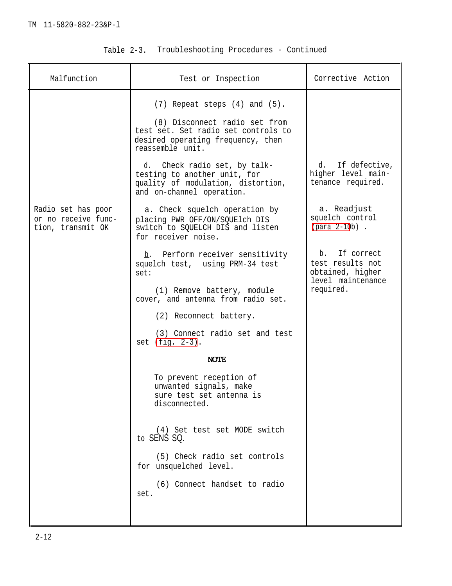| Malfunction                                                    | Test or Inspection                                                                                                              | Corrective Action                                                          |
|----------------------------------------------------------------|---------------------------------------------------------------------------------------------------------------------------------|----------------------------------------------------------------------------|
|                                                                | $(7)$ Repeat steps $(4)$ and $(5)$ .                                                                                            |                                                                            |
|                                                                | (8) Disconnect radio set from<br>test set. Set radio set controls to<br>desired operating frequency, then<br>reassemble unit.   |                                                                            |
|                                                                | d. Check radio set, by talk-<br>testing to another unit, for<br>quality of modulation, distortion,<br>and on-channel operation. | d. If defective,<br>higher level main-<br>tenance required.                |
| Radio set has poor<br>or no receive func-<br>tion, transmit OK | a. Check squelch operation by<br>placing PWR OFF/ON/SQUElch DIS<br>switch to SQUELCH DIS and listen<br>for receiver noise.      | a. Readjust<br>squelch control<br>(para 2-10b).                            |
|                                                                | b. Perform receiver sensitivity<br>squelch test, using PRM-34 test<br>set:                                                      | b. If correct<br>test results not<br>obtained, higher<br>level maintenance |
|                                                                | (1) Remove battery, module<br>cover, and antenna from radio set.                                                                | required.                                                                  |
|                                                                | (2) Reconnect battery.                                                                                                          |                                                                            |
|                                                                | (3) Connect radio set and test<br>set $(fig. 2-3)$ .                                                                            |                                                                            |
|                                                                | <b>NOTE</b>                                                                                                                     |                                                                            |
|                                                                | To prevent reception of<br>unwanted signals, make<br>sure test set antenna is<br>disconnected.                                  |                                                                            |
|                                                                | (4) Set test set MODE switch<br>to SENS SQ.                                                                                     |                                                                            |
|                                                                | (5) Check radio set controls<br>for unsquelched level.                                                                          |                                                                            |
|                                                                | (6) Connect handset to radio<br>set.                                                                                            |                                                                            |
|                                                                |                                                                                                                                 |                                                                            |

| Troubleshooting Procedures - Continued<br>Table 2-3. |  |  |  |
|------------------------------------------------------|--|--|--|
|------------------------------------------------------|--|--|--|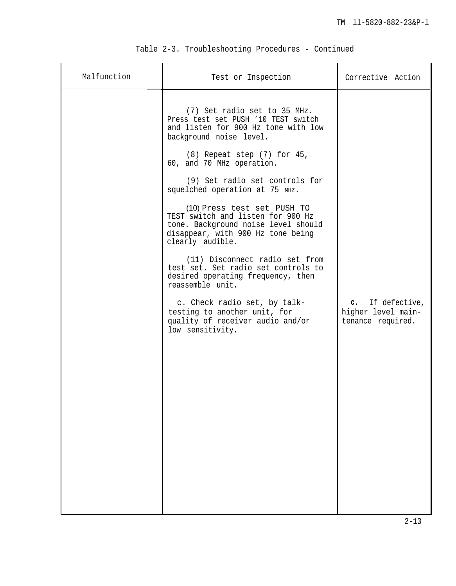| Malfunction | Test or Inspection                                                                                                                                                                                                                                                                                                                                                                                                                                                                                                                                                                                                                                                                                  | Corrective Action                                           |
|-------------|-----------------------------------------------------------------------------------------------------------------------------------------------------------------------------------------------------------------------------------------------------------------------------------------------------------------------------------------------------------------------------------------------------------------------------------------------------------------------------------------------------------------------------------------------------------------------------------------------------------------------------------------------------------------------------------------------------|-------------------------------------------------------------|
|             | (7) Set radio set to 35 MHz.<br>Press test set PUSH '10 TEST switch<br>and listen for 900 Hz tone with low<br>background noise level.<br>(8) Repeat step (7) for 45,<br>60, and 70 MHz operation.<br>(9) Set radio set controls for<br>squelched operation at 75 MHz.<br>(10) Press test set PUSH TO<br>TEST switch and listen for 900 Hz<br>tone. Background noise level should<br>disappear, with 900 Hz tone being<br>clearly audible.<br>(11) Disconnect radio set from<br>test set. Set radio set controls to<br>desired operating frequency, then<br>reassemble unit.<br>c. Check radio set, by talk-<br>testing to another unit, for<br>quality of receiver audio and/or<br>low sensitivity. | c. If defective,<br>higher level main-<br>tenance required. |

|  |  | Table 2-3. Troubleshooting Procedures - Continued |  |  |  |
|--|--|---------------------------------------------------|--|--|--|
|--|--|---------------------------------------------------|--|--|--|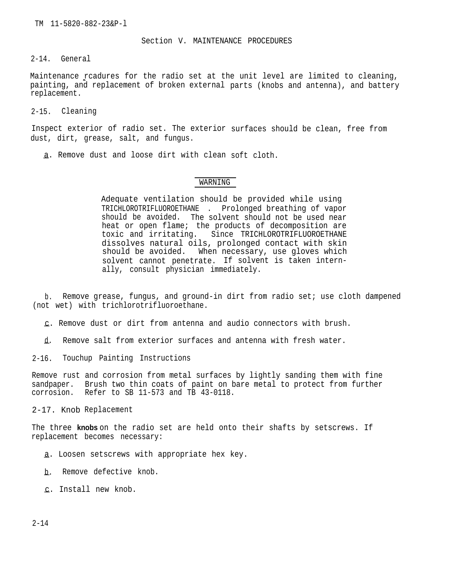Section V. MAINTENANCE PROCEDURES

2-14. General

Maintenance rcadures for the radio set at the unit level are limited to cleaning, painting, and replacement of broken external parts (knobs and antenna), and battery replacement.

2-15. Cleaning

Inspect exterior of radio set. The exterior surfaces should be clean, free from dust, dirt, grease, salt, and fungus.

a. Remove dust and loose dirt with clean soft cloth.

## WARNING

Adequate ventilation should be provided while using TRICHLOROTRIFLUOROETHANE . Prolonged breathing of vapor should be avoided. The solvent should not be used near heat or open flame; the products of decomposition are<br>toxic and irritating. Since TRICHLOROTRIFLUOROETHANE Since TRICHLOROTRIFLUOROETHANE dissolves natural oils, prolonged contact with skin should be avoided. When necessary, use gloves which solvent cannot penetrate. If solvent is taken internally, consult physician immediately.

b. Remove grease, fungus, and ground-in dirt from radio set; use cloth dampened (not wet) with trichlorotrifluoroethane.

<u>c</u>. Remove dust or dirt from antenna and audio connectors with brush.

—d. Remove salt from exterior surfaces and antenna with fresh water.

2-16. Touchup Painting Instructions

Remove rust and corrosion from metal surfaces by lightly sanding them with fine sandpaper. Brush two thin coats of paint on bare metal to protect from further corrosion. Refer to SB 11-573 and TB 43-0118.

2-17. Knob Replacement

The three **knobs** on the radio set are held onto their shafts by setscrews. If replacement becomes necessary:

- a. Loosen setscrews with appropriate hex key.
- b. Remove defective knob.
- —c. Install new knob.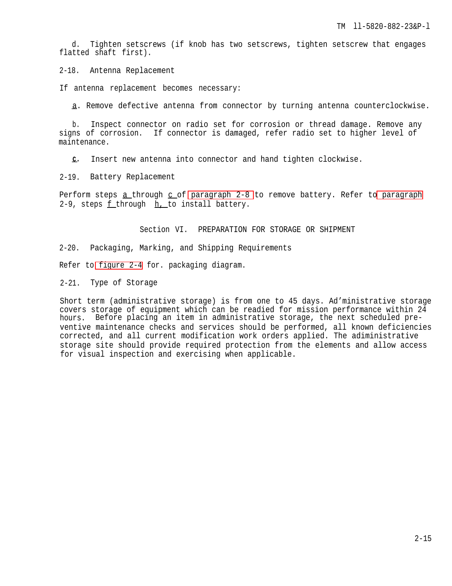d. Tighten setscrews (if knob has two setscrews, tighten setscrew that engages flatted shaft first).

2-18. Antenna Replacement

If antenna replacement becomes necessary:

—a. Remove defective antenna from connector by turning antenna counterclockwise.

b. Inspect connector on radio set for corrosion or thread damage. Remove any signs of corrosion. If connector is damaged, refer radio set to higher level of maintenance.

—**c.** Insert new antenna into connector and hand tighten clockwise.

2-19. Battery Replacement

Perform steps  $a$  through  $c$  of [paragraph 2-8](#page-27-0) to remove battery. Refer t[o paragraph](#page-27-0) 2-9, steps  $f$  through  $h$ , to install battery.

Section VI. PREPARATION FOR STORAGE OR SHIPMENT

2-20. Packaging, Marking, and Shipping Requirements

Refer to [figure 2-4](#page-41-0) for. packaging diagram.

2-21. Type of Storage

Short term (administrative storage) is from one to 45 days. Ad'ministrative storage covers storage of equipment which can be readied for mission performance within 24 hours. Before placing an item in administrative storage, the next scheduled preventive maintenance checks and services should be performed, all known deficiencies corrected, and all current modification work orders applied. The adiministrative storage site should provide required protection from the elements and allow access for visual inspection and exercising when applicable.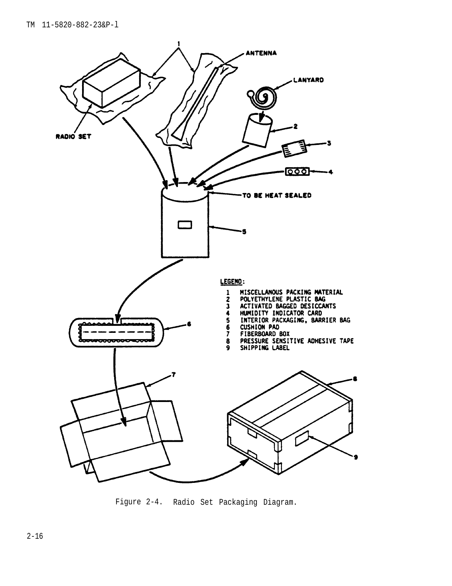<span id="page-41-0"></span>

Figure 2-4. Radio Set Packaging Diagram.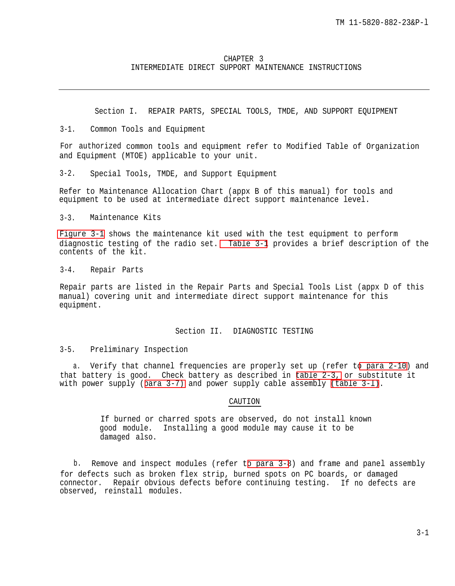## CHAPTER 3 INTERMEDIATE DIRECT SUPPORT MAINTENANCE INSTRUCTIONS

Section I. REPAIR PARTS, SPECIAL TOOLS, TMDE, AND SUPPORT EQUIPMENT

3-1. Common Tools and Equipment

For authorized common tools and equipment refer to Modified Table of Organization and Equipment (MTOE) applicable to your unit.

3-2. Special Tools, TMDE, and Support Equipment

Refer to Maintenance Allocation Chart (appx B of this manual) for tools and equipment to be used at intermediate direct support maintenance level.

3-3. Maintenance Kits

[Figure 3-1](#page-43-0) shows the maintenance kit used with the test equipment to perform diagnostic testing of the radio set. [Table 3-1](#page-44-0) provides a brief description of the contents of the kit.

3-4. Repair Parts

Repair parts are listed in the Repair Parts and Special Tools List (appx D of this manual) covering unit and intermediate direct support maintenance for this equipment.

## Section II. DIAGNOSTIC TESTING

## 3-5. Preliminary Inspection

a. Verify that channel frequencies are properly set up (refer t[o para 2-10\)](#page-29-0) and that battery is good. Check battery as described in [table 2-3,](#page-34-0) or substitute it with power supply ([para 3-7\)](#page-45-0) and power supply cable assembly [\(table 3-l\)](#page-44-0).

## CAUTION

If burned or charred spots are observed, do not install known good module. Installing a good module may cause it to be damaged also.

b. Remove and inspect modules (refer t[o para 3-8](#page-56-0)) and frame and panel assembly for defects such as broken flex strip, burned spots on PC boards, or damaged connector. Repair obvious defects before continuing testing. If no defects are observed, reinstall modules.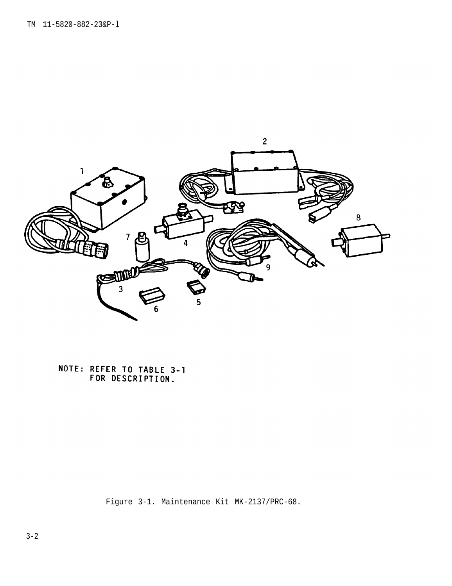<span id="page-43-0"></span>

NOTE: REFER TO TABLE 3-1<br>FOR DESCRIPTION.

Figure 3-1. Maintenance Kit MK-2137/PRC-68.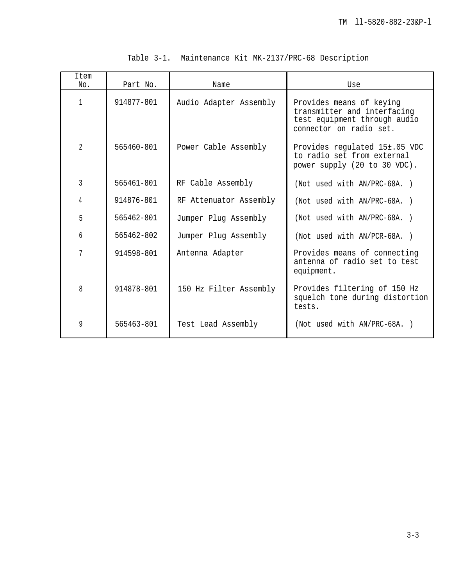<span id="page-44-0"></span>

| Item<br>No.    | Part No.   | Name                   | Use                                                                                                                |
|----------------|------------|------------------------|--------------------------------------------------------------------------------------------------------------------|
| $\mathbf{1}$   | 914877-801 | Audio Adapter Assembly | Provides means of keying<br>transmitter and interfacing<br>test equipment through audio<br>connector on radio set. |
| $\overline{2}$ | 565460-801 | Power Cable Assembly   | Provides regulated 15±.05 VDC<br>to radio set from external<br>power supply (20 to 30 VDC).                        |
| 3              | 565461-801 | RF Cable Assembly      | (Not used with AN/PRC-68A.)                                                                                        |
| 4              | 914876-801 | RF Attenuator Assembly | (Not used with AN/PRC-68A.)                                                                                        |
| 5              | 565462-801 | Jumper Plug Assembly   | (Not used with AN/PRC-68A.)                                                                                        |
| 6              | 565462-802 | Jumper Pluq Assembly   | (Not used with AN/PCR-68A.)                                                                                        |
| 7              | 914598-801 | Antenna Adapter        | Provides means of connecting<br>antenna of radio set to test<br>equipment.                                         |
| 8              | 914878-801 | 150 Hz Filter Assembly | Provides filtering of 150 Hz<br>squelch tone during distortion<br>tests.                                           |
| 9              | 565463-801 | Test Lead Assembly     | (Not used with AN/PRC-68A.)                                                                                        |

|  |  |  |  | Table 3-1. Maintenance Kit MK-2137/PRC-68 Description |  |  |
|--|--|--|--|-------------------------------------------------------|--|--|
|--|--|--|--|-------------------------------------------------------|--|--|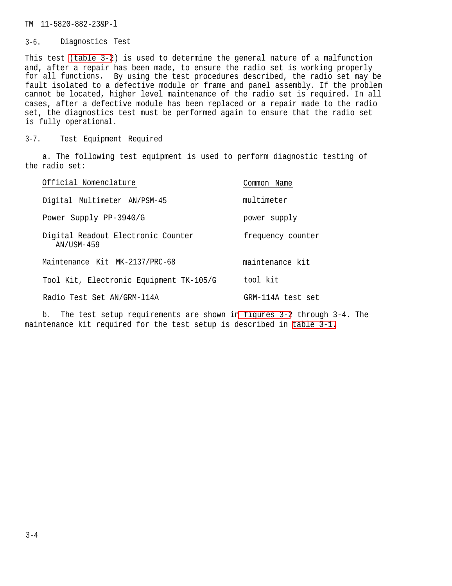## <span id="page-45-0"></span>TM 11-5820-882-23&P-l

## 3-6. Diagnostics Test

This test [\(table 3-2](#page-49-0)) is used to determine the general nature of a malfunction and, after a repair has been made, to ensure the radio set is working properly for all functions. By using the test procedures described, the radio set may be fault isolated to a defective module or frame and panel assembly. If the problem cannot be located, higher level maintenance of the radio set is required. In all cases, after a defective module has been replaced or a repair made to the radio set, the diagnostics test must be performed again to ensure that the radio set is fully operational.

3-7. Test Equipment Required

a. The following test equipment is used to perform diagnostic testing of the radio set:

| Official Nomenclature                            | Common Name       |
|--------------------------------------------------|-------------------|
| Digital Multimeter AN/PSM-45                     | multimeter        |
| Power Supply PP-3940/G                           | power supply      |
| Digital Readout Electronic Counter<br>AN/USM-459 | frequency counter |
| Maintenance Kit MK-2137/PRC-68                   | maintenance kit   |
| Tool Kit, Electronic Equipment TK-105/G          | tool kit          |
| Radio Test Set AN/GRM-114A                       | GRM-114A test set |

b. The test setup requirements are shown i[n figures 3-2](#page-46-0) through 3-4. The maintenance kit required for the test setup is described in [table 3-1.](#page-44-0)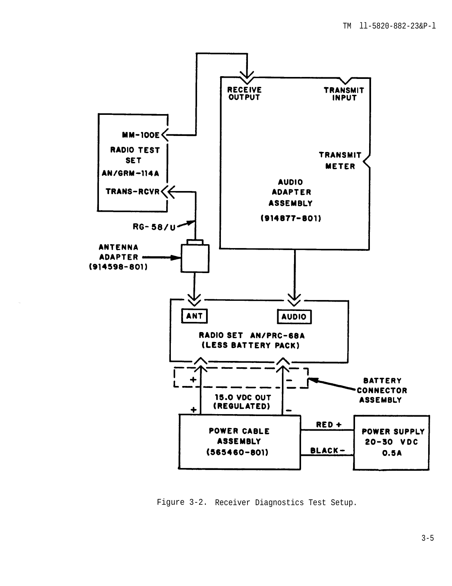<span id="page-46-0"></span>

Figure 3-2. Receiver Diagnostics Test Setup.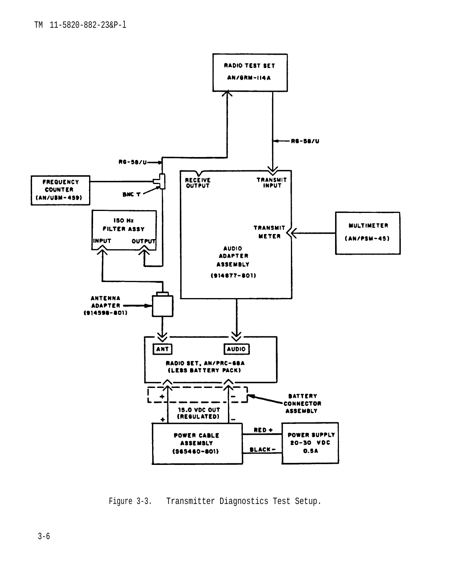<span id="page-47-0"></span>

Figure 3-3. Transmitter Diagnostics Test Setup.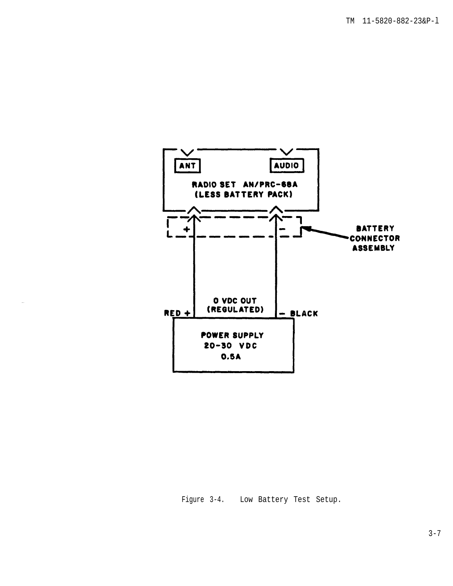<span id="page-48-0"></span>

Figure 3-4. Low Battery Test Setup.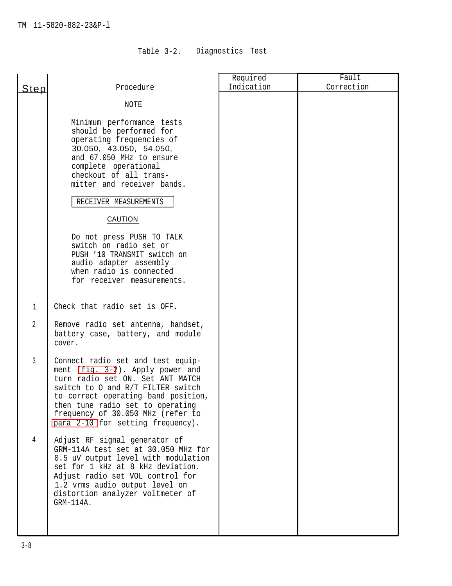# Table 3-2. Diagnostics Test

<span id="page-49-0"></span>

|                |                                                                         | Required   | Fault      |
|----------------|-------------------------------------------------------------------------|------------|------------|
| Step           | Procedure                                                               | Indication | Correction |
|                | NOTE                                                                    |            |            |
|                |                                                                         |            |            |
|                | Minimum performance tests<br>should be performed for                    |            |            |
|                | operating frequencies of                                                |            |            |
|                | 30.050, 43.050, 54.050,                                                 |            |            |
|                | and 67.050 MHz to ensure<br>complete operational                        |            |            |
|                | checkout of all trans-                                                  |            |            |
|                | mitter and receiver bands.                                              |            |            |
|                | RECEIVER MEASUREMENTS                                                   |            |            |
|                | CAUTION                                                                 |            |            |
|                | Do not press PUSH TO TALK                                               |            |            |
|                | switch on radio set or<br>PUSH '10 TRANSMIT switch on                   |            |            |
|                | audio adapter assembly                                                  |            |            |
|                | when radio is connected<br>for receiver measurements.                   |            |            |
|                |                                                                         |            |            |
| $\mathbf{1}$   | Check that radio set is OFF.                                            |            |            |
|                |                                                                         |            |            |
| 2              | Remove radio set antenna, handset,<br>battery case, battery, and module |            |            |
|                | cover.                                                                  |            |            |
| 3              | Connect radio set and test equip-                                       |            |            |
|                | ment (fig. 3-2). Apply power and                                        |            |            |
|                | turn radio set ON. Set ANT MATCH<br>switch to 0 and R/T FILTER switch   |            |            |
|                | to correct operating band position,                                     |            |            |
|                | then tune radio set to operating                                        |            |            |
|                | frequency of 30.050 MHz (refer to<br>para 2-10 for setting frequency).  |            |            |
| $\overline{4}$ |                                                                         |            |            |
|                | Adjust RF signal generator of<br>GRM-114A test set at 30.050 MHz for    |            |            |
|                | 0.5 uV output level with modulation                                     |            |            |
|                | set for 1 kHz at 8 kHz deviation.                                       |            |            |
|                | Adjust radio set VOL control for<br>1.2 vrms audio output level on      |            |            |
|                | distortion analyzer voltmeter of                                        |            |            |
|                | $GRM-114A.$                                                             |            |            |
|                |                                                                         |            |            |
|                |                                                                         |            |            |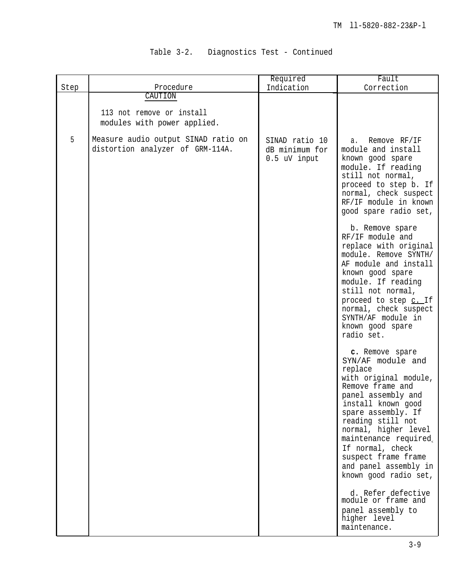# Table 3-2. Diagnostics Test - Continued

|      |                                                                                                                                                | Required                                         | Fault                                                                                                                                                                                                                                                                                                                                                                                   |
|------|------------------------------------------------------------------------------------------------------------------------------------------------|--------------------------------------------------|-----------------------------------------------------------------------------------------------------------------------------------------------------------------------------------------------------------------------------------------------------------------------------------------------------------------------------------------------------------------------------------------|
| Step | Procedure                                                                                                                                      | Indication                                       | Correction                                                                                                                                                                                                                                                                                                                                                                              |
| 5    | CAUTION<br>113 not remove or install<br>modules with power applied.<br>Measure audio output SINAD ratio on<br>distortion analyzer of GRM-114A. | SINAD ratio 10<br>dB minimum for<br>0.5 uV input | Remove RF/IF<br>а.<br>module and install<br>known good spare<br>module. If reading<br>still not normal,<br>proceed to step b. If<br>normal, check suspect<br>RF/IF module in known<br>good spare radio set,<br>b. Remove spare<br>RF/IF module and<br>replace with original<br>module. Remove SYNTH/<br>AF module and install<br>known good spare<br>module. If reading                 |
|      |                                                                                                                                                |                                                  | still not normal,<br>proceed to step c. If<br>normal, check suspect<br>SYNTH/AF module in<br>known good spare<br>radio set.<br>c. Remove spare<br>SYN/AF module and<br>replace<br>with original module,<br>Remove frame and<br>panel assembly and<br>install known good<br>spare assembly. If<br>reading still not<br>normal, higher level<br>maintenance required,<br>If normal, check |
|      |                                                                                                                                                |                                                  | suspect frame frame<br>and panel assembly in<br>known good radio set,<br>d. Refer defective<br>module or frame and<br>panel assembly to<br>higher level<br>maintenance.                                                                                                                                                                                                                 |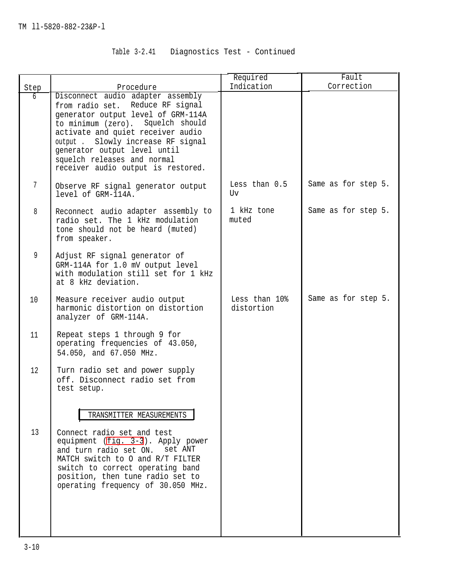# Table 3-2.41 Diagnostics Test - Continued

|                |                                                                                                                                                                                                                                                                                                                                 | Required                    | Fault               |
|----------------|---------------------------------------------------------------------------------------------------------------------------------------------------------------------------------------------------------------------------------------------------------------------------------------------------------------------------------|-----------------------------|---------------------|
| Step           | Procedure                                                                                                                                                                                                                                                                                                                       | Indication                  | Correction          |
| 6              | Disconnect audio adapter assembly<br>from radio set. Reduce RF signal<br>generator output level of GRM-114A<br>to minimum (zero). Squelch should<br>activate and quiet receiver audio<br>output. Slowly increase RF signal<br>generator output level until<br>squelch releases and normal<br>receiver audio output is restored. |                             |                     |
| $7\phantom{.}$ | Observe RF signal generator output<br>level of GRM-114A.                                                                                                                                                                                                                                                                        | Less than 0.5<br>Uv         | Same as for step 5. |
| 8              | Reconnect audio adapter assembly to<br>radio set. The 1 kHz modulation<br>tone should not be heard (muted)<br>from speaker.                                                                                                                                                                                                     | 1 kHz tone<br>muted         | Same as for step 5. |
| 9              | Adjust RF signal generator of<br>GRM-114A for 1.0 mV output level<br>with modulation still set for 1 kHz<br>at 8 kHz deviation.                                                                                                                                                                                                 |                             |                     |
| 10             | Measure receiver audio output<br>harmonic distortion on distortion<br>analyzer of GRM-114A.                                                                                                                                                                                                                                     | Less than 10%<br>distortion | Same as for step 5. |
| 11             | Repeat steps 1 through 9 for<br>operating frequencies of 43.050,<br>54.050, and 67.050 MHz.                                                                                                                                                                                                                                     |                             |                     |
| 12             | Turn radio set and power supply<br>off. Disconnect radio set from<br>test setup.                                                                                                                                                                                                                                                |                             |                     |
|                | TRANSMITTER MEASUREMENTS                                                                                                                                                                                                                                                                                                        |                             |                     |
| 13             | Connect radio set and test<br>equipment (fig. 3-3). Apply power<br>and turn radio set ON. set ANT<br>MATCH switch to 0 and R/T FILTER<br>switch to correct operating band<br>position, then tune radio set to<br>operating frequency of 30.050 MHz.                                                                             |                             |                     |
|                |                                                                                                                                                                                                                                                                                                                                 |                             |                     |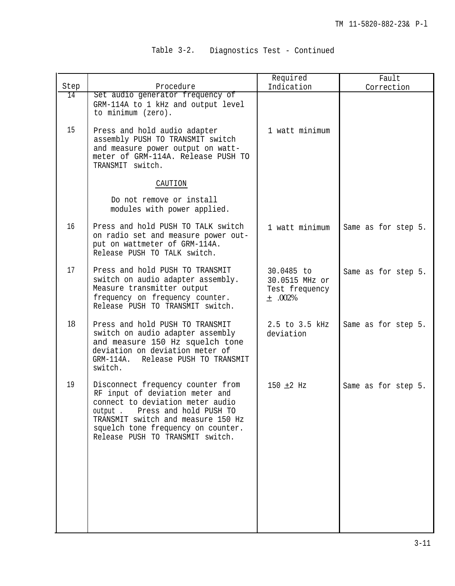# Table 3-2. Diagnostics Test - Continued

|      |                                                                                                                                                                                                                                                               | Required                                                      | Fault               |
|------|---------------------------------------------------------------------------------------------------------------------------------------------------------------------------------------------------------------------------------------------------------------|---------------------------------------------------------------|---------------------|
| Step | Procedure                                                                                                                                                                                                                                                     | Indication                                                    | Correction          |
| 14   | Set audio generator frequency of<br>GRM-114A to 1 kHz and output level<br>to minimum (zero).                                                                                                                                                                  |                                                               |                     |
| 15   | Press and hold audio adapter<br>assembly PUSH TO TRANSMIT switch<br>and measure power output on watt-<br>meter of GRM-114A. Release PUSH TO<br>TRANSMIT switch.                                                                                               | 1 watt minimum                                                |                     |
|      | CAUTION                                                                                                                                                                                                                                                       |                                                               |                     |
|      | Do not remove or install<br>modules with power applied.                                                                                                                                                                                                       |                                                               |                     |
| 16   | Press and hold PUSH TO TALK switch<br>on radio set and measure power out-<br>put on wattmeter of GRM-114A.<br>Release PUSH TO TALK switch.                                                                                                                    | 1 watt minimum                                                | Same as for step 5. |
| 17   | Press and hold PUSH TO TRANSMIT<br>switch on audio adapter assembly.<br>Measure transmitter output<br>frequency on frequency counter.<br>Release PUSH TO TRANSMIT switch.                                                                                     | 30.0485 to<br>30.0515 MHz or<br>Test frequency<br>$+ 0.002\%$ | Same as for step 5. |
| 18   | Press and hold PUSH TO TRANSMIT<br>switch on audio adapter assembly<br>and measure 150 Hz squelch tone<br>deviation on deviation meter of<br>GRM-114A. Release PUSH TO TRANSMIT<br>switch.                                                                    | 2.5 to 3.5 kHz<br>deviation                                   | Same as for step 5. |
| 19   | Disconnect frequency counter from<br>RF input of deviation meter and<br>connect to deviation meter audio<br>Press and hold PUSH TO<br>output.<br>TRANSMIT switch and measure 150 Hz<br>squelch tone frequency on counter.<br>Release PUSH TO TRANSMIT switch. | 150 $\pm 2$ Hz                                                | Same as for step 5. |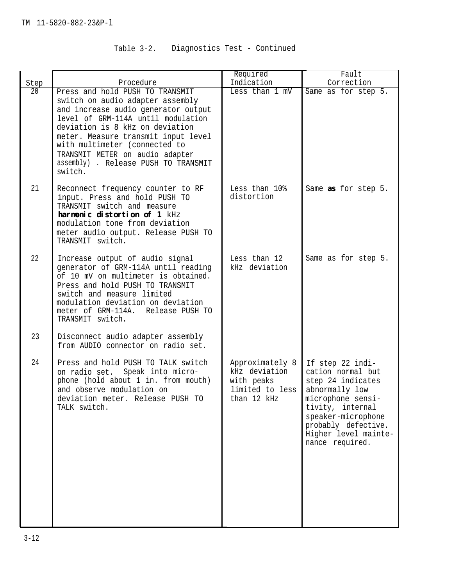# Table 3-2. Diagnostics Test - Continued

|      |                                                                                                                                                                                                                                                                                                                                                   | Required                                                                         | Fault                                                                                                                                                                                                         |
|------|---------------------------------------------------------------------------------------------------------------------------------------------------------------------------------------------------------------------------------------------------------------------------------------------------------------------------------------------------|----------------------------------------------------------------------------------|---------------------------------------------------------------------------------------------------------------------------------------------------------------------------------------------------------------|
| Step | Procedure                                                                                                                                                                                                                                                                                                                                         | Indication                                                                       | Correction                                                                                                                                                                                                    |
| 20   | Press and hold PUSH TO TRANSMIT<br>switch on audio adapter assembly<br>and increase audio generator output<br>level of GRM-114A until modulation<br>deviation is 8 kHz on deviation<br>meter. Measure transmit input level<br>with multimeter (connected to<br>TRANSMIT METER on audio adapter<br>assembly) . Release PUSH TO TRANSMIT<br>switch. | Less than 1 mV                                                                   | Same as for step 5.                                                                                                                                                                                           |
| 21   | Reconnect frequency counter to RF<br>input. Press and hold PUSH TO<br>TRANSMIT switch and measure<br>harmonic distortion of 1 kHz<br>modulation tone from deviation<br>meter audio output. Release PUSH TO<br>TRANSMIT switch.                                                                                                                    | Less than 10%<br>distortion                                                      | Same as for step 5.                                                                                                                                                                                           |
| 22   | Increase output of audio signal<br>generator of GRM-114A until reading<br>of 10 mV on multimeter is obtained.<br>Press and hold PUSH TO TRANSMIT<br>switch and measure limited<br>modulation deviation on deviation<br>meter of GRM-114A. Release PUSH TO<br>TRANSMIT switch.                                                                     | Less than 12<br>kHz deviation                                                    | Same as for step 5.                                                                                                                                                                                           |
| 23   | Disconnect audio adapter assembly<br>from AUDIO connector on radio set.                                                                                                                                                                                                                                                                           |                                                                                  |                                                                                                                                                                                                               |
| 24   | Press and hold PUSH TO TALK switch<br>on radio set. Speak into micro-<br>phone (hold about 1 in. from mouth)<br>and observe modulation on<br>deviation meter. Release PUSH TO<br>TALK switch.                                                                                                                                                     | Approximately 8<br>kHz deviation<br>with peaks<br>limited to less<br>than 12 kHz | If step 22 indi-<br>cation normal but<br>step 24 indicates<br>abnormally low<br>microphone sensi-<br>tivity, internal<br>speaker-microphone<br>probably defective.<br>Higher level mainte-<br>nance required. |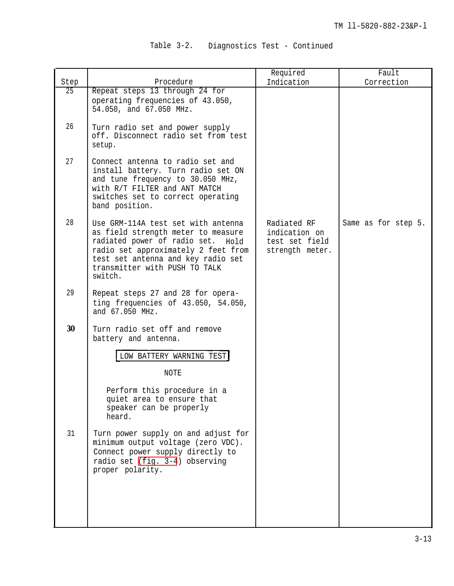| Table 3-2. |  | Diagnostics Test - Continued |  |  |  |
|------------|--|------------------------------|--|--|--|
|------------|--|------------------------------|--|--|--|

|                                                                                                                                                                                                                                                                                                          | Required                                                          | Fault               |
|----------------------------------------------------------------------------------------------------------------------------------------------------------------------------------------------------------------------------------------------------------------------------------------------------------|-------------------------------------------------------------------|---------------------|
| Procedure                                                                                                                                                                                                                                                                                                | Indication                                                        | Correction          |
| operating frequencies of 43.050,<br>54.050, and 67.050 MHz.<br>Turn radio set and power supply<br>off. Disconnect radio set from test<br>setup.                                                                                                                                                          |                                                                   |                     |
| Connect antenna to radio set and<br>install battery. Turn radio set ON<br>and tune frequency to 30.050 MHz,<br>with R/T FILTER and ANT MATCH<br>switches set to correct operating<br>band position.                                                                                                      |                                                                   |                     |
| Use GRM-114A test set with antenna<br>as field strength meter to measure<br>radiated power of radio set. Hold<br>radio set approximately 2 feet from<br>test set antenna and key radio set<br>transmitter with PUSH TO TALK<br>switch.                                                                   | Radiated RF<br>indication on<br>test set field<br>strength meter. | Same as for step 5. |
| Repeat steps 27 and 28 for opera-<br>ting frequencies of 43.050, 54.050,<br>and 67.050 MHz.                                                                                                                                                                                                              |                                                                   |                     |
| Turn radio set off and remove<br>battery and antenna.                                                                                                                                                                                                                                                    |                                                                   |                     |
| LOW BATTERY WARNING TEST<br>NOTE<br>Perform this procedure in a<br>quiet area to ensure that<br>speaker can be properly<br>heard.<br>Turn power supply on and adjust for<br>minimum output voltage (zero VDC).<br>Connect power supply directly to<br>radio set (fig. 3-4) observing<br>proper polarity. |                                                                   |                     |
|                                                                                                                                                                                                                                                                                                          | Repeat steps 13 through 24 for                                    |                     |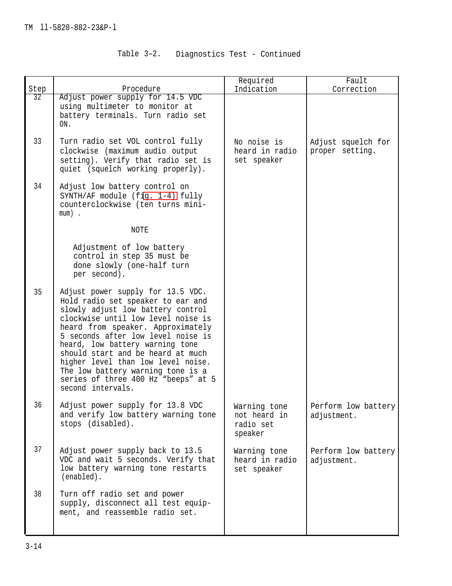| Table 3-2. |  | Diagnostics Test - Continued |  |  |  |
|------------|--|------------------------------|--|--|--|
|------------|--|------------------------------|--|--|--|

|      |                                                                                                                                                                                                                                                                                                                                                                                                                                             | Required                                             | Fault                                 |
|------|---------------------------------------------------------------------------------------------------------------------------------------------------------------------------------------------------------------------------------------------------------------------------------------------------------------------------------------------------------------------------------------------------------------------------------------------|------------------------------------------------------|---------------------------------------|
| Step | Procedure                                                                                                                                                                                                                                                                                                                                                                                                                                   | Indication                                           | Correction                            |
| 32   | Adjust power supply for 14.5 VDC<br>using multimeter to monitor at<br>battery terminals. Turn radio set<br>ON.                                                                                                                                                                                                                                                                                                                              |                                                      |                                       |
| 33   | Turn radio set VOL control fully<br>clockwise (maximum audio output<br>setting). Verify that radio set is<br>quiet (squelch working properly).                                                                                                                                                                                                                                                                                              | No noise is<br>heard in radio<br>set speaker         | Adjust squelch for<br>proper setting. |
| 34   | Adjust low battery control on<br>SYNTH/AF module (fig. 1-4) fully<br>counterclockwise (ten turns mini-<br>$mum)$ .                                                                                                                                                                                                                                                                                                                          |                                                      |                                       |
|      | NOTE                                                                                                                                                                                                                                                                                                                                                                                                                                        |                                                      |                                       |
|      | Adjustment of low battery<br>control in step 35 must be<br>done slowly (one-half turn<br>per second).                                                                                                                                                                                                                                                                                                                                       |                                                      |                                       |
| 35   | Adjust power supply for 13.5 VDC.<br>Hold radio set speaker to ear and<br>slowly adjust low battery control<br>clockwise until low level noise is<br>heard from speaker. Approximately<br>5 seconds after low level noise is<br>heard, low battery warning tone<br>should start and be heard at much<br>higher level than low level noise.<br>The low battery warning tone is a<br>series of three 400 Hz "beeps" at 5<br>second intervals. |                                                      |                                       |
| 36   | Adjust power supply for 13.8 VDC<br>and verify low battery warning tone<br>stops (disabled).                                                                                                                                                                                                                                                                                                                                                | Warning tone<br>not heard in<br>radio set<br>speaker | Perform low battery<br>adjustment.    |
| 37   | Adjust power supply back to 13.5<br>VDC and wait 5 seconds. Verify that<br>low battery warning tone restarts<br>(enabled).                                                                                                                                                                                                                                                                                                                  | Warning tone<br>heard in radio<br>set speaker        | Perform low battery<br>adjustment.    |
| 38   | Turn off radio set and power<br>supply, disconnect all test equip-<br>ment, and reassemble radio set.                                                                                                                                                                                                                                                                                                                                       |                                                      |                                       |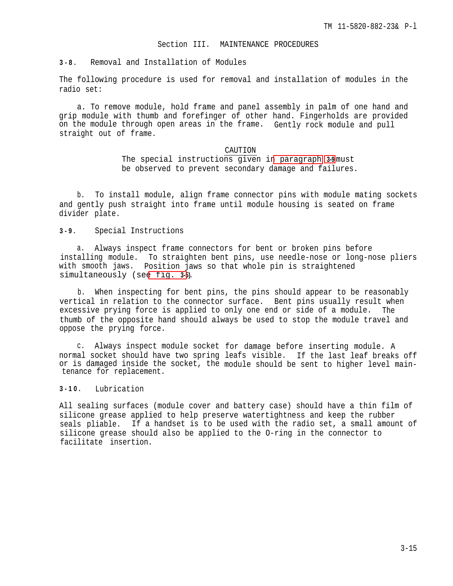#### Section III. MAINTENANCE PROCEDURES

## <span id="page-56-0"></span>**3-8 .** Removal and Installation of Modules

The following procedure is used for removal and installation of modules in the radio set:

a. To remove module, hold frame and panel assembly in palm of one hand and grip module with thumb and forefinger of other hand. Fingerholds are provided on the module through open areas in the frame. Gently rock module and pull straight out of frame.

## CAUTION

The special instructions given in paragraph **3-9** must be observed to prevent secondary damage and failures.

b. To install module, align frame connector pins with module mating sockets and gently push straight into frame until module housing is seated on frame divider plate.

**3-9 .** Special Instructions

a. Always inspect frame connectors for bent or broken pins before installing module. To straighten bent pins, use needle-nose or long-nose pliers with smooth jaws. Position jaws so that whole pin is straightened simultaneously (se[e fig.](#page-57-0) **3-5).**

b. When inspecting for bent pins, the pins should appear to be reasonably vertical in relation to the connector surface. Bent pins usually result when excessive prying force is applied to only one end or side of a module. The thumb of the opposite hand should always be used to stop the module travel and oppose the prying force.

c. Always inspect module socket for damage before inserting module. A normal socket should have two spring leafs visible. If the last leaf breaks off or is damaged inside the socket, the module should be sent to higher level maintenance for replacement.

**3-10 .** Lubrication

All sealing surfaces (module cover and battery case) should have a thin film of silicone grease applied to help preserve watertightness and keep the rubber seals pliable. If a handset is to be used with the radio set, a small amount of silicone grease should also be applied to the O-ring in the connector to facilitate insertion.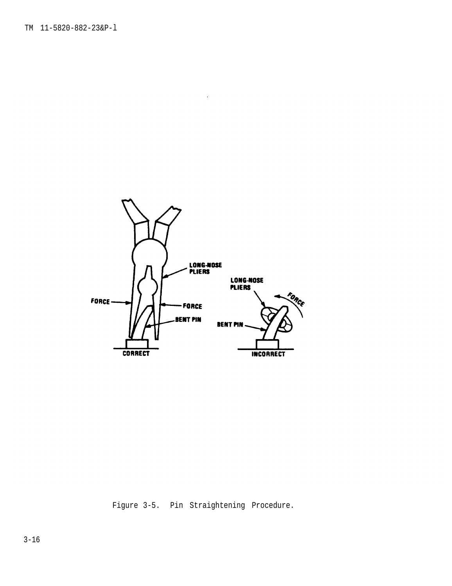<span id="page-57-0"></span>

Figure 3-5. Pin Straightening Procedure.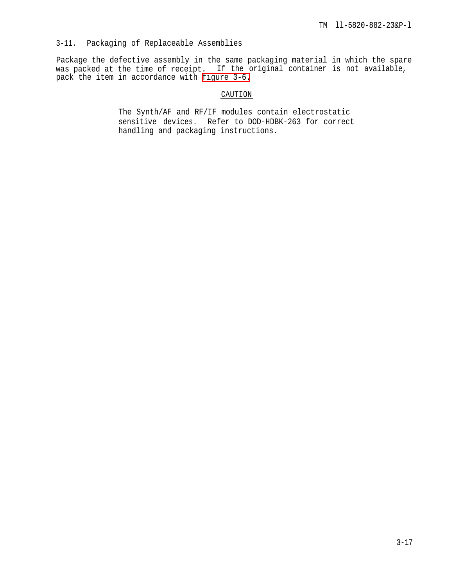## 3-11. Packaging of Replaceable Assemblies

Package the defective assembly in the same packaging material in which the spare was packed at the time of receipt. If the original container is not available, pack the item in accordance with [figure 3-6.](#page-59-0)

## CAUTION

The Synth/AF and RF/IF modules contain electrostatic sensitive devices. Refer to DOD-HDBK-263 for correct handling and packaging instructions.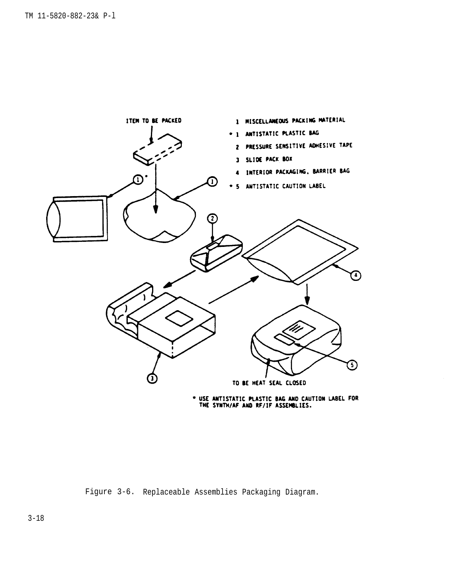<span id="page-59-0"></span>

\* USE ANTISTATIC PLASTIC BAG AND CAUTION LABEL FOR<br>THE SYNTH/AF AND RF/IF ASSEMBLIES.

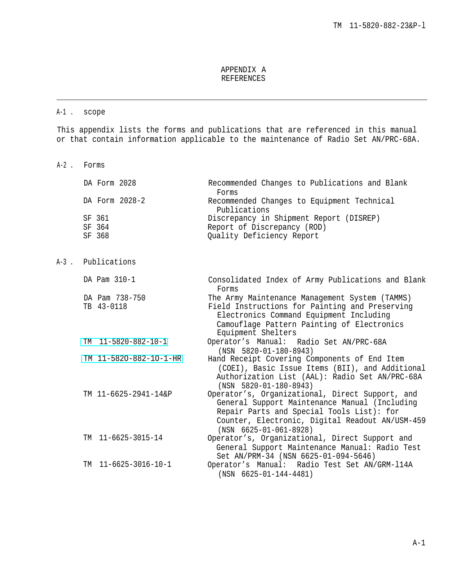## APPENDIX A REFERENCES

## A-1 . scope

This appendix lists the forms and publications that are referenced in this manual or that contain information applicable to the maintenance of Radio Set AN/PRC-68A.

A-2 . Forms

| DA Form 2028 |                | Recommended Changes to Publications and Blank |
|--------------|----------------|-----------------------------------------------|
|              |                | Forms                                         |
|              | DA Form 2028-2 | Recommended Changes to Equipment Technical    |
|              |                | Publications                                  |
| SF 361       |                | Discrepancy in Shipment Report (DISREP)       |
| SF 364       |                | Report of Discrepancy (ROD)                   |
| SF 368       |                | Quality Deficiency Report                     |

A-3 . Publications

| DA Pam 310-1                      | Consolidated Index of Army Publications and Blank<br>Forms                                                                                                                                                                         |
|-----------------------------------|------------------------------------------------------------------------------------------------------------------------------------------------------------------------------------------------------------------------------------|
| DA Pam 738-750                    | The Army Maintenance Management System (TAMMS)                                                                                                                                                                                     |
| TB 43-0118                        | Field Instructions for Painting and Preserving<br>Electronics Command Equipment Including<br>Camouflage Pattern Painting of Electronics<br>Equipment Shelters                                                                      |
| $TM$ 11-5820-882-10-1             | Operator's Manual: Radio Set AN/PRC-68A<br>$(NSN 5820 - 01 - 180 - 8943)$                                                                                                                                                          |
| TM 11-5820-882-10-1-HR            | Hand Receipt Covering Components of End Item                                                                                                                                                                                       |
|                                   | (COEI), Basic Issue Items (BII), and Additional<br>Authorization List (AAL): Radio Set AN/PRC-68A<br>$(NSN 5820-01-180-8943)$                                                                                                      |
| TM 11-6625-2941-14&P              | Operator's, Organizational, Direct Support, and<br>General Support Maintenance Manual (Including<br>Repair Parts and Special Tools List): for<br>Counter, Electronic, Digital Readout AN/USM-459<br>$(NSN 6625 - 01 - 061 - 8928)$ |
| TM 11-6625-3015-14                | Operator's, Organizational, Direct Support and<br>General Support Maintenance Manual: Radio Test                                                                                                                                   |
|                                   | Set AN/PRM-34 (NSN 6625-01-094-5646)                                                                                                                                                                                               |
| $11 - 6625 - 3016 - 10 - 1$<br>TМ | Operator's Manual: Radio Test Set AN/GRM-114A<br>$(NSN 6625 - 01 - 144 - 4481)$                                                                                                                                                    |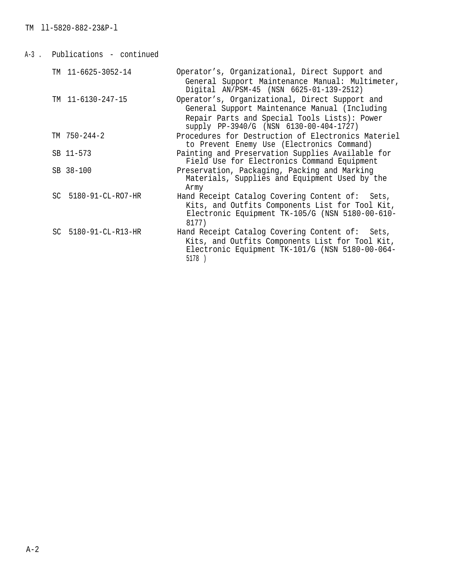| A-3 . | Publications - continued |                                                                                                                                                                                            |
|-------|--------------------------|--------------------------------------------------------------------------------------------------------------------------------------------------------------------------------------------|
|       | TM 11-6625-3052-14       | Operator's, Organizational, Direct Support and<br>General Support Maintenance Manual: Multimeter,<br>Digital AN/PSM-45 (NSN 6625-01-139-2512)                                              |
|       | TM 11-6130-247-15        | Operator's, Organizational, Direct Support and<br>General Support Maintenance Manual (Including<br>Repair Parts and Special Tools Lists): Power<br>supply PP-3940/G (NSN 6130-00-404-1727) |
|       | $TM$ 750-244-2           | Procedures for Destruction of Electronics Materiel<br>to Prevent Enemy Use (Electronics Command)                                                                                           |
|       | SB 11-573                | Painting and Preservation Supplies Available for<br>Field Use for Electronics Command Equipment                                                                                            |
|       | SB 38-100                | Preservation, Packaging, Packing and Marking<br>Materials, Supplies and Equipment Used by the<br>Army                                                                                      |
|       | SC 5180-91-CL-RO7-HR     | Hand Receipt Catalog Covering Content of: Sets,<br>Kits, and Outfits Components List for Tool Kit,<br>Electronic Equipment TK-105/G (NSN 5180-00-610-<br>8177)                             |
|       | SC 5180-91-CL-R13-HR     | Hand Receipt Catalog Covering Content of:<br>Sets,<br>Kits, and Outfits Components List for Tool Kit,<br>Electronic Equipment TK-101/G (NSN 5180-00-064-<br>5178 )                         |
|       |                          |                                                                                                                                                                                            |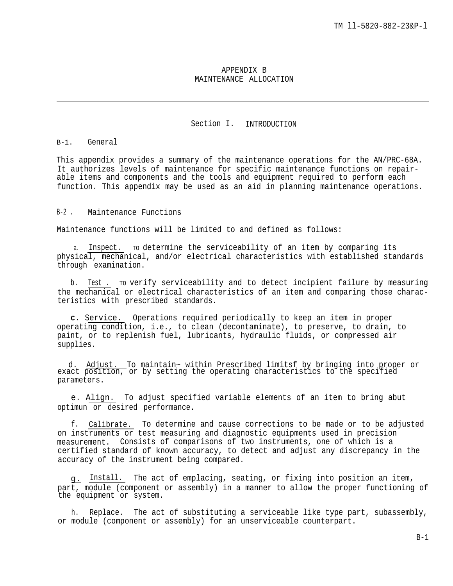## APPENDIX B MAINTENANCE ALLOCATION

## Section I. INTRODUCTION

#### B-1. General

This appendix provides a summary of the maintenance operations for the AN/PRC-68A. It authorizes levels of maintenance for specific maintenance functions on repairable items and components and the tools and equipment required to perform each function. This appendix may be used as an aid in planning maintenance operations.

## B-2 . Maintenance Functions

Maintenance functions will be limited to and defined as follows:

a. Inspect. To determine the serviceability of an item by comparing its physical, mechanical, and/or electrical characteristics with established standards through examination.

b. Test . To verify serviceability and to detect incipient failure by measuring the mechanical or electrical characteristics of an item and comparing those characteristics with prescribed standards.

**c.** Service. Operations required periodically to keep an item in proper operating condition, i.e., to clean (decontaminate), to preserve, to drain, to paint, or to replenish fuel, lubricants, hydraulic fluids, or compressed air supplies.

d. Adjust. To maintain~ within Prescribed limitsf by bringing into proper or exact position, or by setting the operating characteristics to the specified parameters.

e. Align. To adjust specified variable elements of an item to bring abut optimun or desired performance.

f. Calibrate. To determine and cause corrections to be made or to be adjusted on instruments or test measuring and diagnostic equipments used in precision measurement. Consists of comparisons of two instruments, one of which is a certified standard of known accuracy, to detect and adjust any discrepancy in the accuracy of the instrument being compared.

g. Install. The act of emplacing, seating, or fixing into position an item, part, module (component or assembly) in a manner to allow the proper functioning of the equipment or system.

h. Replace. The act of substituting a serviceable like type part, subassembly, or module (component or assembly) for an unserviceable counterpart.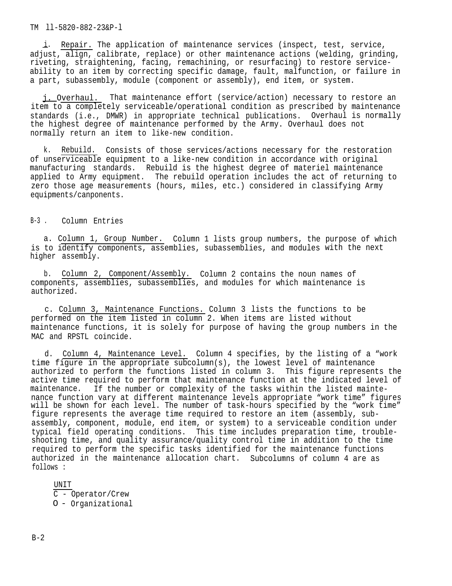TM ll-5820-882-23&P-l

i. Repair. The application of maintenance services (inspect, test, service, adjust, align, calibrate, replace) or other maintenance actions (welding, grinding, riveting, straightening, facing, remachining, or resurfacing) to restore serviceability to an item by correcting specific damage, fault, malfunction, or failure in a part, subassembly, module (component or assembly), end item, or system.

j. Overhaul. That maintenance effort (service/action) necessary to restore an item to a completely serviceable/operational condition as prescribed by maintenance standards (i.e., DMWR) in appropriate technical publications. Overhaul is normally the highest degree of maintenance performed by the Army. Overhaul does not normally return an item to like-new condition.

k. Rebuild. Consists of those services/actions necessary for the restoration of unserviceable equipment to a like-new condition in accordance with original manufacturing standards. Rebuild is the highest degree of materiel maintenance applied to Army equipment. The rebuild operation includes the act of returning to zero those age measurements (hours, miles, etc.) considered in classifying Army equipments/canponents.

B-3 . Column Entries

a. Column 1, Group Number. Column 1 lists group numbers, the purpose of which is to identify components, assemblies, subassemblies, and modules with the next higher assembly.

b. Column 2, Component/Assembly. Column 2 contains the noun names of components, assemblies, subassemblies, and modules for which maintenance is authorized.

c. Column 3, Maintenance Functions. Column 3 lists the functions to be performed on the item listed in column 2. When items are listed without maintenance functions, it is solely for purpose of having the group numbers in the MAC and RPSTL coincide.

d. Column 4, Maintenance Level. Column 4 specifies, by the listing of a "work time figure in the appropriate subcolumn(s), the lowest level of maintenance authorized to perform the functions listed in column 3. This figure represents the active time required to perform that maintenance function at the indicated level of maintenance. If the number or complexity of the tasks within the listed maintenance function vary at different maintenance levels appropriate "work time" figures will be shown for each level. The number of task-hours specified by the "work time" figure represents the average time required to restore an item (assembly, subassembly, component, module, end item, or system) to a serviceable condition under typical field operating conditions. This time includes preparation time, troubleshooting time, and quality assurance/quality control time in addition to the time required to perform the specific tasks identified for the maintenance functions authorized in the maintenance allocation chart. Subcolumns of column 4 are as follows :

UNIT C - Operator/Crew O - Organizational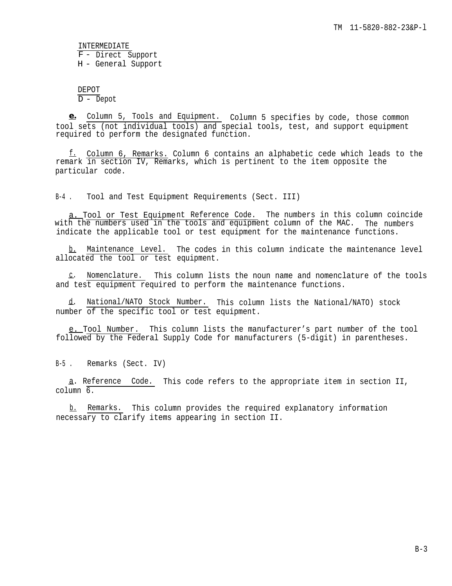INTERMEDIATE F - Direct Support H - General Support

DEPOT  $\overline{D - \text{Depot}}$ 

**e.** Column 5, Tools and Equipment. Column 5 specifies by code, those common tool sets (not individual tools) and special tools, test, and support equipment required to perform the designated function.

f. Column 6, Remarks. Column 6 contains an alphabetic cede which leads to the remark in section IV, Remarks, which is pertinent to the item opposite the particular code.

B-4 . Tool and Test Equipment Requirements (Sect. III)

a. Tool or Test Equipment Reference Code. The numbers in this column coincide with the numbers used in the tools and equipment column of the MAC. The numbers indicate the applicable tool or test equipment for the maintenance functions.

b. Maintenance Level. The codes in this column indicate the maintenance level allocated the tool or test equipment.

— c. Nomenclature. This column lists the noun name and nomenclature of the tools and test equipment required to perform the maintenance functions.

d. National/NATO Stock Number. This column lists the National/NATO) stock number of the specific tool or test equipment.

e. Tool Number. This column lists the manufacturer's part number of the tool followed by the Federal Supply Code for manufacturers (5-digit) in parentheses.

B-5 . Remarks (Sect. IV)

—a. Reference Code. This code refers to the appropriate item in section II,  $colum<sub>0</sub>$  6.

b. Remarks. This column provides the required explanatory information necessary to clarify items appearing in section II.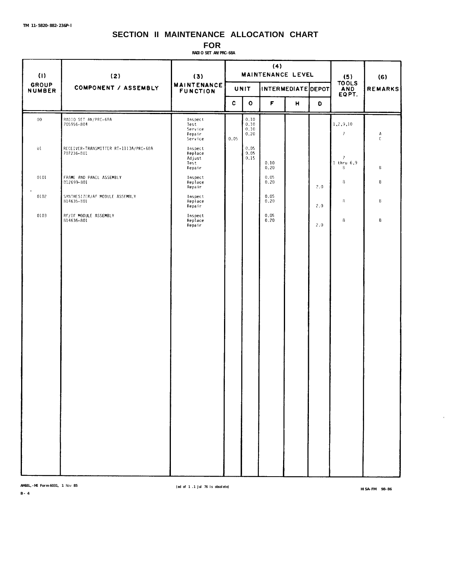# **SECTION II MAINTENANCE ALLOCATION CHART**

**FOR**

**RADIO SET AN/PRC-68A**

| $\left(1\right)$              | (2)                                                 | (3)                                             | (4)<br>MAINTENANCE LEVEL |                              |              |   | (5)<br><b>TOOLS</b> | (6)                                   |        |
|-------------------------------|-----------------------------------------------------|-------------------------------------------------|--------------------------|------------------------------|--------------|---|---------------------|---------------------------------------|--------|
| <b>GROUP</b><br><b>NUMBER</b> | COMPONENT / ASSEMBLY                                | <b>MAINTENANCE</b><br><b>FUNCTION</b>           |                          | INTERMEDIATE DEPOT<br>UNIT   |              |   | <b>AND</b><br>EQPT. | <b>REMARKS</b>                        |        |
|                               |                                                     |                                                 | C                        | $\mathbf{o}$                 | F            | н | O                   |                                       |        |
| $00\,$                        | RADIO SET AN/PRC-68A<br>705956-804                  | Inspect<br>Test<br>Service<br>Repair<br>Service | 0.05                     | 0.10<br>0.10<br>0.10<br>0.20 |              |   |                     | 1,2,9,10<br>$\mathcal{I}$             | А<br>C |
| 01                            | RECEIVER-TRANSMITTER RT-1113A/PRC-68A<br>707236-801 | Inspect<br>Replace<br>Adjust<br>Test<br>Repair  |                          | 0.05<br>0.05<br>0.15         | 0.10<br>0.20 |   |                     | $\overline{I}$<br>$1$ thru $6.9$<br>8 | B      |
| 0101<br>$\bullet$             | FRAME AND PANEL ASSEMBLY<br>812699-801              | Inspect<br>Replace<br>Repair                    |                          |                              | 0.05<br>0.20 |   | 2.0                 | 8                                     | B      |
| 0102                          | SYNTHESIZER/AF MODULE ASSEMBLY<br>814635-801        | Inspect<br>Replace<br>Repair                    |                          |                              | 0.05<br>0.20 |   | 2.0                 | 8                                     | B      |
| 0103                          | RF/IF MODULE ASSEMBLY<br>814636-801                 | Inspect<br>Replace<br>Repair                    |                          |                              | 0.05<br>0.20 |   | 2.0                 | 8                                     | B      |
|                               |                                                     |                                                 |                          |                              |              |   |                     |                                       |        |

**AMSEL,-ME Form 6031, 1** Nov **<sup>85</sup> (ed of 1 .1 Jul 76 is obsolete) HISA-FM 98-86**

 $\bar{\epsilon}$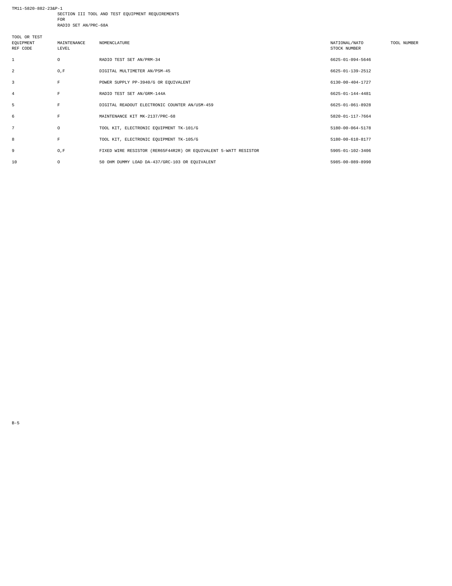TM11-5820-882-23&P-1 SECTION III TOOL AND TEST EQUIPMENT REQUIREMENTS FOR

RADIO SET AN/PRC-68A

| TOOL OR TEST<br>EQUIPMENT<br>REF CODE | MAINTENANCE<br>LEVEL | NOMENCLATURE                                                    | NATIONAL/NATO<br>STOCK NUMBER | TOOL NUMBER |
|---------------------------------------|----------------------|-----------------------------------------------------------------|-------------------------------|-------------|
| -1                                    | $\circ$              | RADIO TEST SET AN/PRM-34                                        | 6625-01-094-5646              |             |
| 2                                     | O, F                 | DIGITAL MULTIMETER AN/PSM-45                                    | 6625-01-139-2512              |             |
| 3                                     | F                    | POWER SUPPLY PP-3940/G OR EQUIVALENT                            | 6130-00-404-1727              |             |
| 4                                     | $\mathbf F$          | RADIO TEST SET AN/GRM-144A                                      | 6625-01-144-4481              |             |
| 5                                     | $\mathbf{F}% _{0}$   | DIGITAL READOUT ELECTRONIC COUNTER AN/USM-459                   | 6625-01-061-8928              |             |
| 6                                     | $\mathbf{F}% _{0}$   | MAINTENANCE KIT MK-2137/PRC-68                                  | 5820-01-117-7664              |             |
| $\overline{7}$                        | $\circ$              | TOOL KIT, ELECTRONIC EQUIPMENT TK-101/G                         | 5180-00-064-5178              |             |
| 8                                     | $\mathbf F$          | TOOL KIT, ELECTRONIC EQUIPMENT TK-105/G                         | 5180-00-610-8177              |             |
| 9                                     | O, F                 | FIXED WIRE RESISTOR (RER65F44R2R) OR EQUIVALENT 5-WATT RESISTOR | 5905-01-102-3406              |             |
| 10                                    | $\circ$              | 50 OHM DUMMY LOAD DA-437/GRC-103 OR EQUIVALENT                  | 5985-00-089-8990              |             |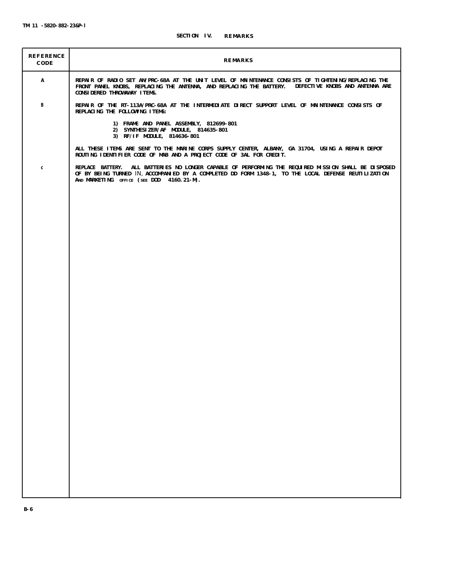| REFERENCE<br>CODE | REMARKS                                                                                                                                                                                                                                                    |
|-------------------|------------------------------------------------------------------------------------------------------------------------------------------------------------------------------------------------------------------------------------------------------------|
| Α                 | REPAIR OF RADIO SET AN/PRC-68A AT THE UNIT LEVEL OF MAINTENANCE CONSISTS OF TIGHTENING/REPLACING THE<br>FRONT PANEL KNOBS, REPLACING THE ANTENNA, AND REPLACING THE BATTERY. DEFECTIVE KNOBS AND ANTENNA ARE<br>CONSIDERED THROWAWAY ITEMS.                |
| В                 | REPAIR OF THE RT-113A/PRC-68A AT THE INTERMEDIATE DIRECT SUPPORT LEVEL OF MAINTENANCE CONSISTS OF<br>REPLACING THE FOLLOWING ITEMS:                                                                                                                        |
|                   | 1) FRAME AND PANEL ASSEMBLY, 812699-801<br>2) SYNTHESIZER/AF MODULE, 814635-801<br>3) RF/IF MODULE, 814636-801                                                                                                                                             |
|                   | ALL THESE ITEMS ARE SENT TO THE MARINE CORPS SUPPLY CENTER, ALBANY, GA 31704, USING A REPAIR DEPOT<br>ROUTING IDENTIFIER CODE OF MAB AND A PROJECT CODE OF 3AL FOR CREDIT.                                                                                 |
| C                 | REPLACE BATTERY. ALL BATTERIES NO LONGER CAPABLE OF PERFORMING THE REQUIRED MISSION SHALL BE DISPOSED<br>OF BY BEING TURNED IN, ACCOMPANIED BY A COMPLETED DD FORM 1348-1, TO THE LOCAL DEFENSE REUTILIZATION<br>AND MARKETING OFFICE (SEE DOD 4160.21-M). |
|                   |                                                                                                                                                                                                                                                            |
|                   |                                                                                                                                                                                                                                                            |
|                   |                                                                                                                                                                                                                                                            |
|                   |                                                                                                                                                                                                                                                            |
|                   |                                                                                                                                                                                                                                                            |
|                   |                                                                                                                                                                                                                                                            |
|                   |                                                                                                                                                                                                                                                            |
|                   |                                                                                                                                                                                                                                                            |
|                   |                                                                                                                                                                                                                                                            |
|                   |                                                                                                                                                                                                                                                            |
|                   |                                                                                                                                                                                                                                                            |
|                   |                                                                                                                                                                                                                                                            |
|                   |                                                                                                                                                                                                                                                            |
|                   |                                                                                                                                                                                                                                                            |
|                   |                                                                                                                                                                                                                                                            |
|                   |                                                                                                                                                                                                                                                            |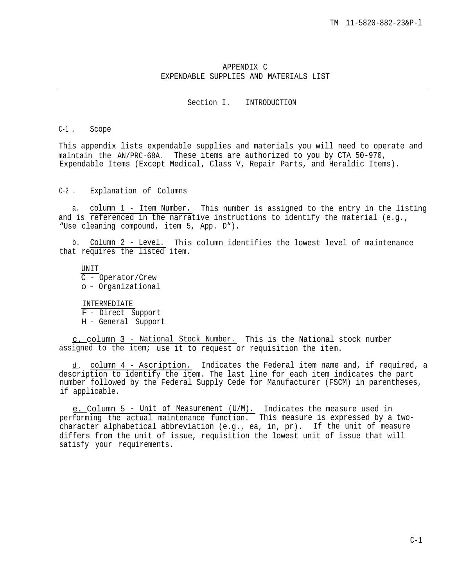## APPENDIX C EXPENDABLE SUPPLIES AND MATERIALS LIST

Section I. INTRODUCTION

## C-1 . Scope

This appendix lists expendable supplies and materials you will need to operate and maintain the AN/PRC-68A. These items are authorized to you by CTA 50-970, Expendable Items (Except Medical, Class V, Repair Parts, and Heraldic Items).

 $C-2$ . Explanation of Columns

a. column 1 - Item Number. This number is assigned to the entry in the listing and is referenced in the narrative instructions to identify the material (e.g., "Use cleaning compound, item 5, App. D").

b. Column 2 - Level. This column identifies the lowest level of maintenance that requires the listed item.

UNIT C - Operator/Crew o - Organizational

INTERMEDIATE F - Direct Support H - General Support

c. column 3 - National Stock Number. This is the National stock number assigned to the item; use it to request or requisition the item.

d. column 4 - Ascription. Indicates the Federal item name and, if required, a description to identify the item. The last line for each item indicates the part number followed by the Federal Supply Cede for Manufacturer (FSCM) in parentheses, if applicable.

<u>e. C</u>olumn 5 - Unit of Measurement (U/M). Indicates the measure used in performing the actual maintenance function. This measure is expressed by a twocharacter alphabetical abbreviation (e.g., ea, in, pr). If the unit of measure differs from the unit of issue, requisition the lowest unit of issue that will satisfy your requirements.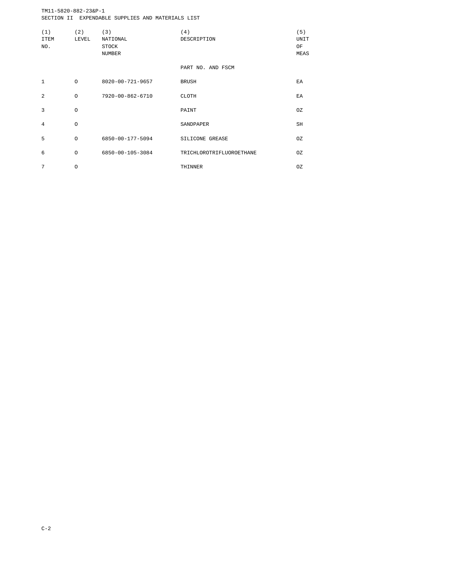TM11-5820-882-23&P-1 SECTION II EXPENDABLE SUPPLIES AND MATERIALS LIST

| (1)<br><b>TTEM</b><br>NO. | (2)<br>LEVEL | (3)<br>NATIONAL<br>STOCK<br><b>NUMBER</b> | (4)<br>DESCRIPTION       | (5)<br>UNIT<br>OF<br>MEAS |
|---------------------------|--------------|-------------------------------------------|--------------------------|---------------------------|
|                           |              |                                           | PART NO. AND FSCM        |                           |
| $\mathbf{1}$              | $\circ$      | 8020-00-721-9657                          | <b>BRUSH</b>             | ΕA                        |
| $\overline{a}$            | $\Omega$     | 7920-00-862-6710                          | CLOTH                    | F.A                       |
| 3                         | $\circ$      |                                           | PAINT                    | OZ.                       |
| $\overline{4}$            | $\circ$      |                                           | SANDPAPER                | SH                        |
| 5                         | $\Omega$     | 6850-00-177-5094                          | SILICONE GREASE          | OZ                        |
| 6                         | $\Omega$     | 6850-00-105-3084                          | TRICHLOROTRIFLUOROETHANE | OZ                        |
| 7                         | O            |                                           | THINNER                  | OZ.                       |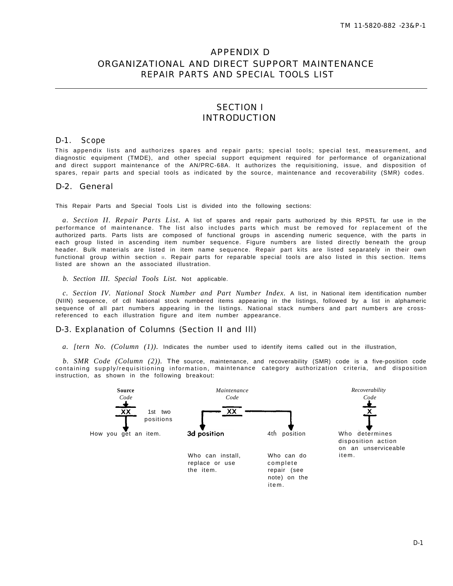# APPENDIX D ORGANIZATIONAL AND DIRECT SUPPORT MAINTENANCE REPAIR PARTS AND SPECIAL TOOLS LIST

## SECTION I INTRODUCTION

## D-1. Scope

This appendix lists and authorizes spares and repair parts; special tools; special test, measurement, and diagnostic equipment (TMDE), and other special support equipment required for performance of organizational and direct support maintenance of the AN/PRC-68A. It authorizes the requisitioning, issue, and disposition of spares, repair parts and special tools as indicated by the source, maintenance and recoverability (SMR) codes.

## D-2. General

This Repair Parts and Special Tools List is divided into the following sections:

*a. Section II. Repair Parts List.* A list of spares and repair parts authorized by this RPSTL far use in the performance of maintenance. The list also includes parts which must be removed for replacement of the authorized parts. Parts lists are composed of functional groups in ascending numeric sequence, with the parts in each group listed in ascending item number sequence. Figure numbers are listed directly beneath the group header. Bulk materials are listed in item name sequence. Repair part kits are listed separately in their own functional group within section II. Repair parts for reparable special tools are also listed in this section. Items listed are shown an the associated illustration.

*b. Section III. Special Tools List.* Not applicable.

*c. Section IV. National Stock Number and Part Number Index.* A list, in National item identification number (NIIN) sequence, of cdl National stock numbered items appearing in the listings, followed by a list in alphameric sequence of all part numbers appearing in the listings. National stack numbers and part numbers are crossreferenced to each illustration figure and item number appearance.

## D-3. Explanation of Columns (Section II and Ill)

*a. [tern No. (Column (1)).* Indicates the number used to identify items called out in the illustration,

*b. SMR Code (Column (2)).* The source, maintenance, and recoverability (SMR) code is a five-position code containing supply/requisitioning information, maintenance category authorization criteria, and disposition instruction, as shown in the following breakout:

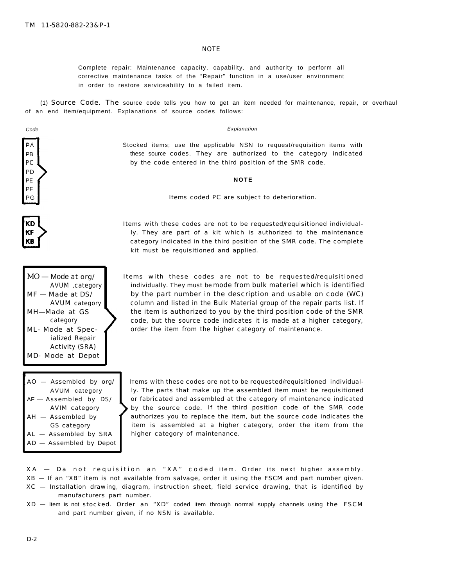#### **NOTE**

Complete repair: Maintenance capacity, capability, and authority to perform all corrective maintenance tasks of the "Repair" function in a use/user environment in order to restore serviceability to a failed item.

(1) *Source Code. The* source code tells you how to get an item needed for maintenance, repair, or overhaul of an end item/equipment. Explanations of source codes follows:

Explanation

Stocked items; use the applicable NSN to request/requisition items with these source codes. They are authorized to the category indicated by the code entered in the third position of the SMR code.

**NOTE**

Items coded PC are subject to deterioration.

Items with these codes are not to be requested/requisitioned individually. They are part of a kit which is authorized to the maintenance category indicated in the third position of the SMR code. The complete kit must be requisitioned and applied.

- $MO$  Mode at org/ AVUM ,category MF — Made at DS/ AVUM category MH—Made at GS category ML- Mode at Specialized Repair Activity (SRA) MD- Mode at Depot
- AO Assembled by org/ AVUM category AF - Assembled by DS/ AVIM category AH — Assembled by GS category AL — Assembled by SRA AD — Assembled by Depot
- Items with these codes are not to be requested/requisitioned individually. They must be mode from bulk materiel which is identified by the part number in the description and usable on code (WC) column and listed in the Bulk Material group of the repair parts list. If the item is authorized to you by the third position code of the SMR code, but the source code indicates it is made at a higher category, order the item from the higher category of maintenance.

ITems with these codes ore not to be requested/requisitioned individually. The parts that make up the assembled item must be requisitioned or fabricated and assembled at the category of maintenance indicated by the source code. If the third position code of the SMR code authorizes you to replace the item, but the source code indicates the item is assembled at a higher category, order the item from the higher category of maintenance.

PC PD PE PF PG

**KD** KF KB

Code

XA — Da not requisition an "XA" coded item. Order its next higher assembly . XB — If an "XB" item is not available from salvage, order it using the FSCM and part number given.

XC — Installation drawing, diagram, instruction sheet, field service drawing, that is identified by manufacturers part number.

XD — Item is not stocked. Order an "XD" coded item through normal supply channels using the FSCM and part number given, if no NSN is available.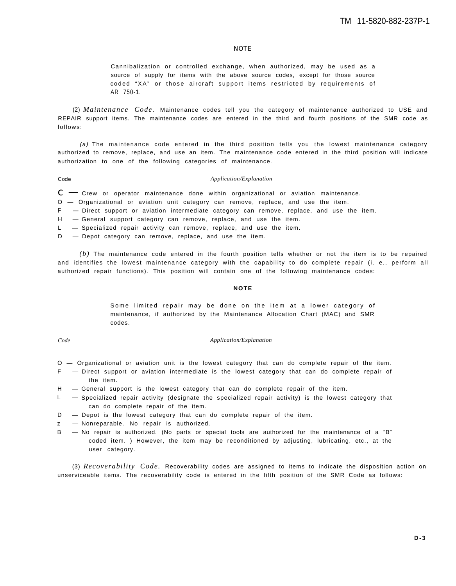#### **NOTE**

Cannibalization or controlled exchange, when authorized, may be used as a source of supply for items with the above source codes, except for those source coded "XA" or those aircraft support items restricted by requirements of AR 750-1.

(2) *Maintenance Code.* Maintenance codes tell you the category of maintenance authorized to USE and REPAIR support items. The maintenance codes are entered in the third and fourth positions of the SMR code as follows:

(a) The maintenance code entered in the third position tells you the lowest maintenance category authorized to remove, replace, and use an item. The maintenance code entered in the third position will indicate authorization to one of the following categories of maintenance.

#### Code *Application/Explanation*

 $c - c$  rew or operator maintenance done within organizational or aviation maintenance.

O — Organizational or aviation unit category can remove, replace, and use the item.

F — Direct support or aviation intermediate category can remove, replace, and use the item.

H — General support category can remove, replace, and use the item.

L — Specialized repair activity can remove, replace, and use the item.

D – Depot category can remove, replace, and use the item.

*(b)* The maintenance code entered in the fourth position tells whether or not the item is to be repaired and identifies the lowest maintenance category with the capability to do complete repair (i. e., perform all authorized repair functions). This position will contain one of the following maintenance codes:

#### **NOTE**

Some limited repair may be done on the item at a lower category of maintenance, if authorized by the Maintenance Allocation Chart (MAC) and SMR codes.

#### *Code Application/Explanation*

- O Organizational or aviation unit is the lowest category that can do complete repair of the item.
- F Direct support or aviation intermediate is the lowest category that can do complete repair of the item.
- H General support is the lowest category that can do complete repair of the item.
- L Specialized repair activity (designate the specialized repair activity) is the lowest category that can do complete repair of the item.
- D Depot is the lowest category that can do complete repair of the item.
- z Nonreparable. No repair is authorized.
- B No repair is authorized. (No parts or special tools are authorized for the maintenance of a "B" coded item. ) However, the item may be reconditioned by adjusting, lubricating, etc., at the user category.

(3) *Recoverability Code.* Recoverability codes are assigned to items to indicate the disposition action on unserviceable items. The recoverability code is entered in the fifth position of the SMR Code as follows: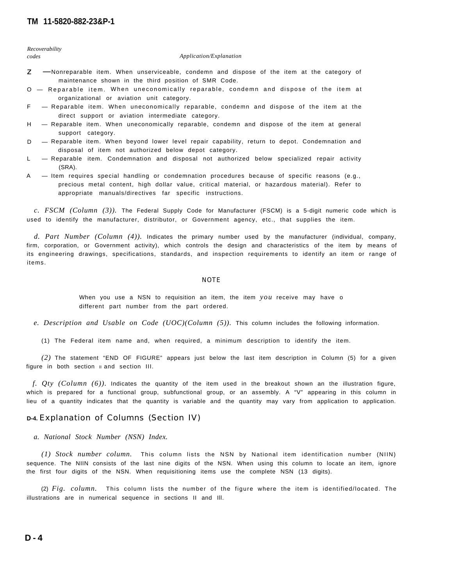*Recoverability*

#### *codes Application/Explanation*

- $Z -$  Nonreparable item. When unserviceable, condemn and dispose of the item at the category of maintenance shown in the third position of SMR Code.
- O Reparable item. When uneconomically reparable, condemn and dispose of the item at organizational or aviation unit category.
- F Reparable item. When uneconomically reparable, condemn and dispose of the item at the direct support or aviation intermediate category.
- H Reparable item. When uneconomically reparable, condemn and dispose of the item at general support category.
- D Reparable item. When beyond lower level repair capability, return to depot. Condemnation and disposal of item not authorized below depot category.
- L Reparable item. Condemnation and disposal not authorized below specialized repair activity (SRA).
- A Item requires special handling or condemnation procedures because of specific reasons (e.g., precious metal content, high dollar value, critical material, or hazardous material). Refer to appropriate manuals/directives far specific instructions.

*c. FSCM (Column (3)).* The Federal Supply Code for Manufacturer (FSCM) is a 5-digit numeric code which is used to identify the manufacturer, distributor, or Government agency, etc., that supplies the item.

*d. Part Number (Column (4)).* Indicates the primary number used by the manufacturer (individual, company, firm, corporation, or Government activity), which controls the design and characteristics of the item by means of its engineering drawings, specifications, standards, and inspection requirements to identify an item or range of items.

#### **NOTE**

When you use a NSN to requisition an item, the item *you* receive may have o different part number from the part ordered.

*e. Description and Usable on Code (UOC)(Column (5)).* This column includes the following information.

(1) The Federal item name and, when required, a minimum description to identify the item.

*(2)* The statement "END OF FIGURE" appears just below the last item description in Column (5) for a given figure in both section  $\parallel$  and section III.

*f. Qty (Column (6)).* Indicates the quantity of the item used in the breakout shown an the illustration figure, which is prepared for a functional group, subfunctional group, or an assembly. A "V" appearing in this column in lieu of a quantity indicates that the quantity is variable and the quantity may vary from application to application.

### **D-4.** Explanation of Columns (Section IV)

*a. National Stock Number (NSN) Index.*

*(1) Stock number column.* This column lists the NSN by National item identification number (NIIN) sequence. The NIIN consists of the last nine digits of the NSN. When using this column to locate an item, ignore the first four digits of the NSN. When requisitioning items use the complete NSN (13 digits).

(2) *Fig. column.* This column lists the number of the figure where the item is identified/located. The illustrations are in numerical sequence in sections II and Ill.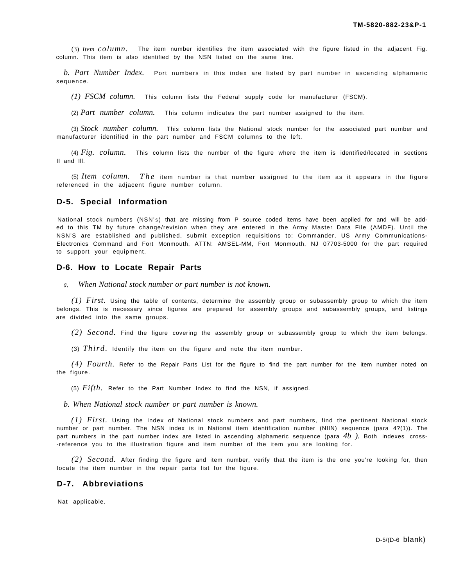(3) *Item column.* The item number identifies the item associated with the figure listed in the adjacent Fig. column. This item is also identified by the NSN listed on the same line.

*b. Part Number Index.* Port numbers in this index are listed by part number in ascending alphameric sequence.

*(1) FSCM column.* This column lists the Federal supply code for manufacturer (FSCM).

(2) *Part number column.* This column indicates the part number assigned to the item.

(3) *Stock number column.* This column lists the National stock number for the associated part number and manufacturer identified in the part number and FSCM columns to the left.

(4) *Fig. column.* This column lists the number of the figure where the item is identified/located in sections II and Ill.

(5) *Item column. The* item number is that number assigned to the item as it appears in the figure referenced in the adjacent figure number column.

#### **D-5. Special Information**

National stock numbers (NSN'S) that are missing from P source coded items have been applied for and will be added to this TM by future change/revision when they are entered in the Army Master Data File (AMDF). Until the NSN'S are established and published, submit exception requisitions to: Commander, US Army Communications-Electronics Command and Fort Monmouth, ATTN: AMSEL-MM, Fort Monmouth, NJ 07703-5000 for the part required to support your equipment.

#### **D-6. How to Locate Repair Parts**

*a. When National stock number or part number is not known.*

*(1) First.* Using the table of contents, determine the assembly group or subassembly group to which the item belongs. This is necessary since figures are prepared for assembly groups and subassembly groups, and listings are divided into the same groups.

*(2) Second.* Find the figure covering the assembly group or subassembly group to which the item belongs.

(3) *Third.* Identify the item on the figure and note the item number.

*(4) Fourth.* Refer to the Repair Parts List for the figure to find the part number for the item number noted on the figure.

(5) *Fifth.* Refer to the Part Number Index to find the NSN, if assigned.

*b. When National stock number or part number is known.*

*(1) First.* Using the Index of National stock numbers and part numbers, find the pertinent National stock number or part number. The NSN index is in National item identification number (NIIN) sequence (para 4?(1)). The part numbers in the part number index are listed in ascending alphameric sequence (para *4b ).* Both indexes cross- -reference you to the illustration figure and item number of the item you are looking for.

*(2) Second.* After finding the figure and item number, verify that the item is the one you're Iooking for, then Iocate the item number in the repair parts list for the figure.

### **D-7. Abbreviations**

Nat applicable.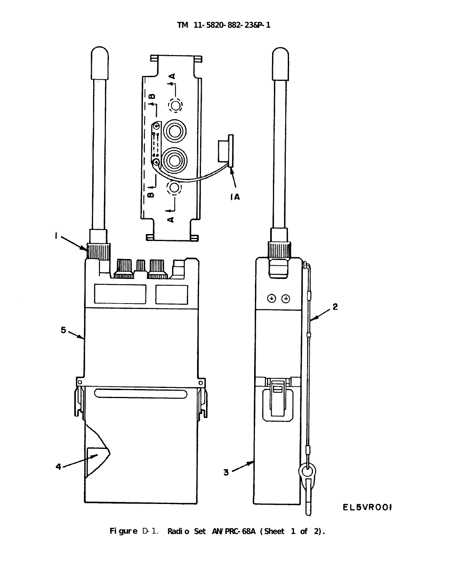<span id="page-76-0"></span>

**Figure** D-1. **Radio Set AN/PRC-68A (Sheet 1 of 2).**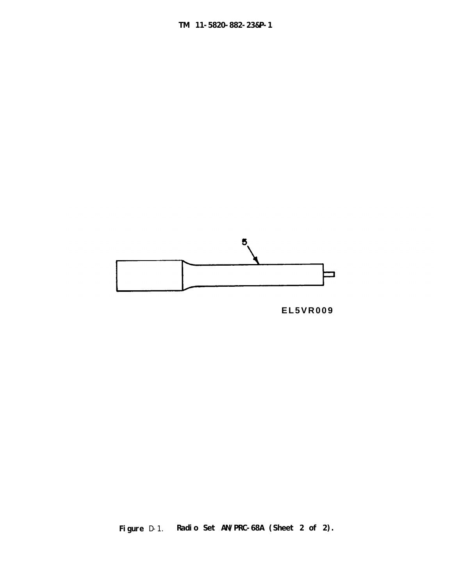



**Figure** D-1. **Radio Set AN/PRC-68A (Sheet 2 of 2).**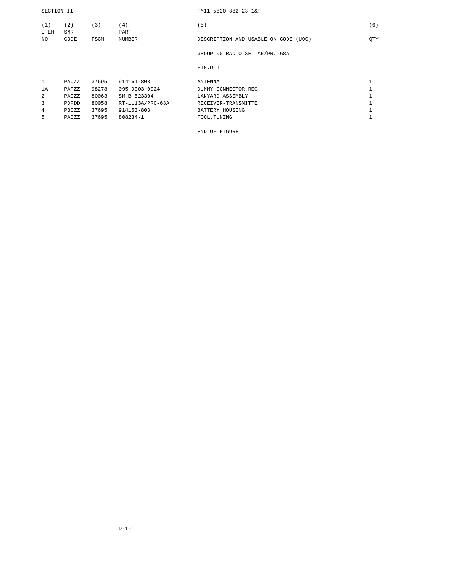#### SECTION II TM11-5820-882-23-1&P

| (1)         | (2)                | (3)   | (4)                   | (5)                                     | (6) |
|-------------|--------------------|-------|-----------------------|-----------------------------------------|-----|
| ITEM<br>NO. | <b>SMR</b><br>CODE | FSCM  | PART<br><b>NUMBER</b> | DESCRIPTION AND USABLE ON CODE<br>(UOC) | OTY |
|             |                    |       |                       | GROUP 00 RADIO SET AN/PRC-68A           |     |
|             |                    |       |                       | $FIG.D-1$                               |     |
| 1           | PAOZZ              | 37695 | 914161-803            | <b>ANTENNA</b>                          | щ   |
| 1A          | PAFZZ              | 98278 | 095-9003-0024         | DUMMY CONNECTOR, REC                    |     |
| 2           | PAOZZ              | 80063 | SM-B-523304           | LANYARD ASSEMBLY                        |     |
| 3           | <b>PDFDD</b>       | 80058 | RT-1113A/PRC-68A      | RECEIVER-TRANSMITTE                     |     |
| 4           | PBOZZ              | 37695 | 914153-803            | BATTERY HOUSING                         |     |
| 5           | PAOZZ              | 37695 | 808234-1              | TOOL, TUNING                            |     |

END OF FIGURE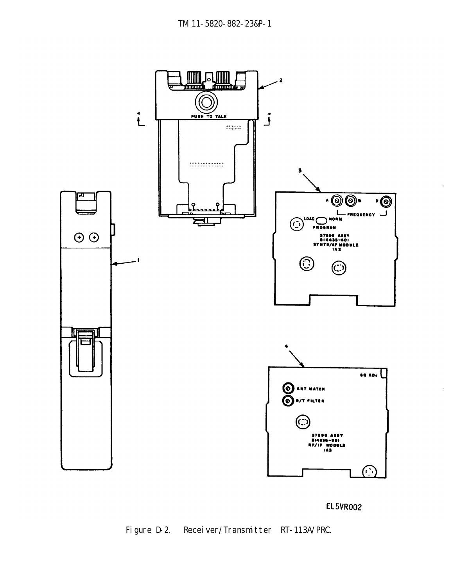<span id="page-79-0"></span>

# **EL5VR002**

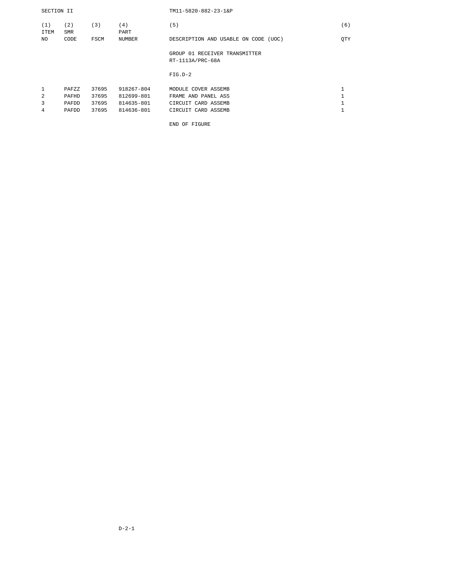| SECTION II         |                   |       |               | $TM11 - 5820 - 882 - 23 - 16P$       |     |
|--------------------|-------------------|-------|---------------|--------------------------------------|-----|
| (1)<br><b>ITEM</b> | (2)<br><b>SMR</b> | (3)   | (4)<br>PART   | (5)                                  | (6) |
| NO.                | CODE              | FSCM  | <b>NUMBER</b> | DESCRIPTION AND USABLE ON CODE (UOC) | QTY |
|                    |                   |       |               | GROUP 01 RECEIVER TRANSMITTER        |     |
|                    |                   |       |               | RT-1113A/PRC-68A                     |     |
|                    |                   |       |               | $FIG.D-2$                            |     |
| 1                  | PAFZZ             | 37695 | 918267-804    | MODULE COVER ASSEMB                  |     |
| 2                  | PAFHD             | 37695 | 812699-801    | FRAME AND PANEL ASS                  |     |
| 3                  | PAFDD             | 37695 | 814635-801    | CIRCUIT CARD ASSEMB                  |     |
| 4                  | PAFDD             | 37695 | 814636-801    | CIRCUIT CARD ASSEMB                  |     |

END OF FIGURE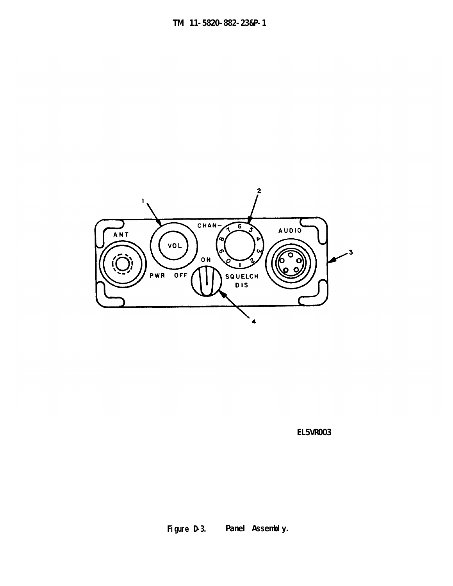<span id="page-81-0"></span>

**EL5VR003**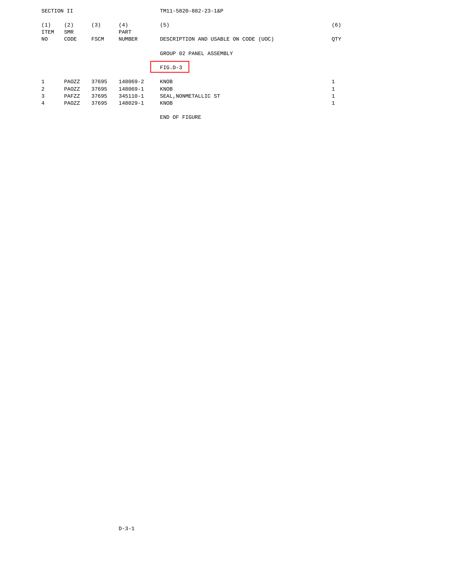| SECTION II         |            |       |               | TM11-5820-882-23-1&P                 |              |
|--------------------|------------|-------|---------------|--------------------------------------|--------------|
| (1)<br><b>ITEM</b> | (2)<br>SMR | (3)   | (4)<br>PART   | (5)                                  | (6)          |
| NO.                | CODE       | FSCM  | <b>NUMBER</b> | DESCRIPTION AND USABLE ON CODE (UOC) | QTY          |
|                    |            |       |               | GROUP 02 PANEL ASSEMBLY              |              |
|                    |            |       |               | $FIG.D-3$                            |              |
| $\mathbf{1}$       | PAOZZ      | 37695 | 148069-2      | KNOB                                 | $\mathbf{1}$ |
| 2                  | PAOZZ      | 37695 | 148069-1      | KNOB                                 | $\mathbf{1}$ |
| 3                  | PAFZZ      | 37695 | 345110-1      | SEAL, NONMETALLIC ST                 | $\mathbf{1}$ |
| 4                  | PAOZZ      | 37695 | 148029-1      | KNOB                                 | $\mathbf{1}$ |
|                    |            |       |               | END OF FIGURE                        |              |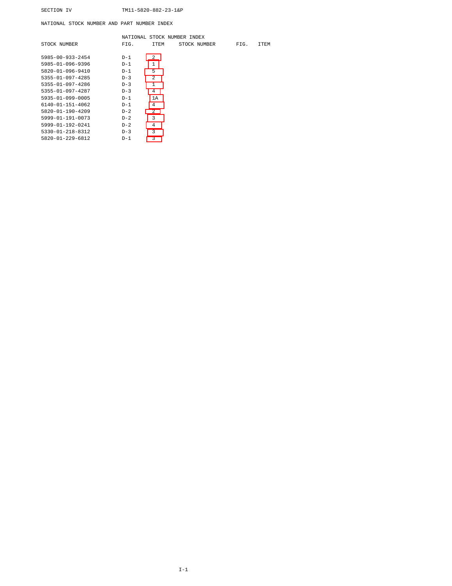NATIONAL STOCK NUMBER AND PART NUMBER INDEX

| ITEM           |  |              |      |             |
|----------------|--|--------------|------|-------------|
|                |  | STOCK NUMBER | FIG. | <b>ITEM</b> |
| $\mathfrak{D}$ |  |              |      |             |
| $\mathbf{1}$   |  |              |      |             |
| 5              |  |              |      |             |
| 2              |  |              |      |             |
| $\mathbf{1}$   |  |              |      |             |
| $\overline{4}$ |  |              |      |             |
| 1A             |  |              |      |             |
| $\overline{4}$ |  |              |      |             |
| $\mathfrak{D}$ |  |              |      |             |
| 3              |  |              |      |             |
| 4              |  |              |      |             |
| 3              |  |              |      |             |
| 3              |  |              |      |             |
|                |  |              |      |             |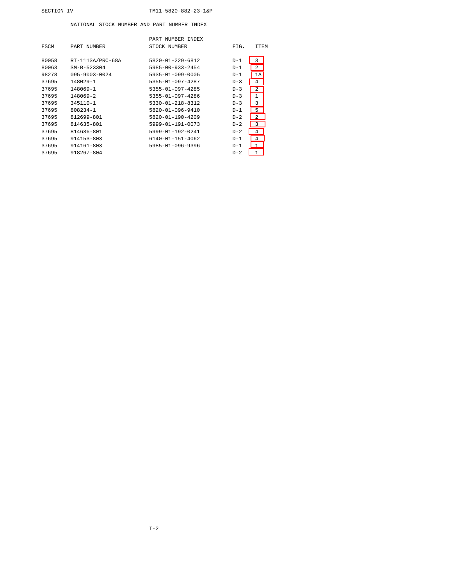#### SECTION IV TM11-5820-882-23-1&P

#### NATIONAL STOCK NUMBER AND PART NUMBER INDEX

|       |                     | PART NUMBER INDEX        |       |                |
|-------|---------------------|--------------------------|-------|----------------|
| FSCM  | PART NUMBER         | STOCK NUMBER             | FIG.  | <b>ITEM</b>    |
|       |                     |                          |       |                |
| 80058 | RT-1113A/PRC-68A    | $5820 - 01 - 229 - 6812$ | $D-1$ | 3              |
| 80063 | $SM-B-523304$       | 5985-00-933-2454         | $D-1$ | 2              |
| 98278 | $095 - 9003 - 0024$ | 5935-01-099-0005         | $D-1$ | 1A             |
| 37695 | 148029-1            | $5355 - 01 - 097 - 4287$ | $D-3$ | 4              |
| 37695 | 148069-1            | 5355-01-097-4285         | $D-3$ | 2              |
| 37695 | $148069 - 2$        | $5355 - 01 - 097 - 4286$ | $D-3$ | 1              |
| 37695 | 345110-1            | 5330-01-218-8312         | $D-3$ | 3              |
| 37695 | 808234-1            | $5820 - 01 - 096 - 9410$ | $D-1$ | 5              |
| 37695 | 812699-801          | $5820 - 01 - 190 - 4209$ | $D-2$ | $\overline{2}$ |
| 37695 | 814635-801          | 5999-01-191-0073         | $D-2$ | 3              |
| 37695 | 814636-801          | $5999 - 01 - 192 - 0241$ | $D-2$ | 4              |
| 37695 | 914153-803          | $6140 - 01 - 151 - 4062$ | $D-1$ | $\overline{4}$ |
| 37695 | 914161-803          | $5985 - 01 - 096 - 9396$ | $D-1$ | 1              |
| 37695 | 918267-804          |                          | $D-2$ | 1              |
|       |                     |                          |       |                |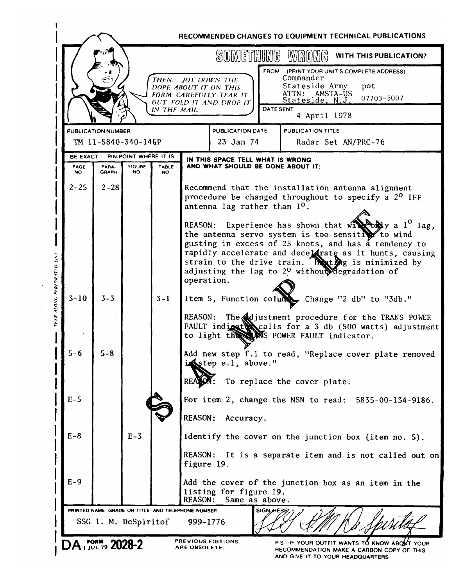|                 |                       |                       |                     |                                                                                                       |                   | SOMETHING WRONG                                                                               | WITH THIS PUBLICATION?                                                                                                                                                                                                                                                                                                                                                                                                                                                                             |
|-----------------|-----------------------|-----------------------|---------------------|-------------------------------------------------------------------------------------------------------|-------------------|-----------------------------------------------------------------------------------------------|----------------------------------------------------------------------------------------------------------------------------------------------------------------------------------------------------------------------------------------------------------------------------------------------------------------------------------------------------------------------------------------------------------------------------------------------------------------------------------------------------|
|                 |                       |                       | IN THE MAIL!        | THEN. . JOT DOWN THE<br>DOPE ABOUT IT ON THIS<br>FORM. CAREFULLY TEAR IT.<br>OUT, FOLD IT AND DROP IT |                   | Commander<br>Stateside Army<br>ATTN: AMSTA-US<br>Stateside, N.J.<br>DATE SENT<br>4 April 1978 | FROM (PRINT YOUR UNIT'S COMPLETE ADDRESS)<br>pot<br>07703-5007                                                                                                                                                                                                                                                                                                                                                                                                                                     |
|                 | PUBLICATION NUMBER    |                       |                     |                                                                                                       | PUBLICATION DATE  | PUBLICATION TITLE                                                                             |                                                                                                                                                                                                                                                                                                                                                                                                                                                                                                    |
|                 |                       | TM 11-5840-340-14&P   |                     |                                                                                                       | 23 Jan 74         |                                                                                               | Radar Set AN/PRC-76                                                                                                                                                                                                                                                                                                                                                                                                                                                                                |
| <b>BE EXACT</b> |                       | PIN-POINT WHERE IT IS |                     | IN THIS SPACE TELL WHAT IS WRONG                                                                      |                   |                                                                                               |                                                                                                                                                                                                                                                                                                                                                                                                                                                                                                    |
| PAGE<br>NO.     | PARA-<br><b>GRAPH</b> | <b>FIGURE</b><br>NO.  | <b>TABLE</b><br>NO. |                                                                                                       |                   | AND WHAT SHOULD BE DONE ABOUT IT:                                                             |                                                                                                                                                                                                                                                                                                                                                                                                                                                                                                    |
| $2 - 25$        | $2 - 28$              |                       |                     | antenna lag rather than 1 <sup>0</sup> .<br>operation.                                                |                   |                                                                                               | Recommend that the installation antenna alignment<br>procedure be changed throughout to specify a 2 <sup>0</sup> IFF<br>REASON: Experience has shown that $\mathbf{w}_1 \mathbf{w}_2 \mathbf{w}_3$ a $1^0$ lag,<br>the antenna servo system is too sensitive to wind<br>gusting in excess of 25 knots, and has a tendency to<br>rapidly accelerate and decelerate as it hunts, causing<br>strain to the drive train. That the is minimized by<br>adjusting the lag to $2^0$ without degradation of |
| $3 - 10$        | $3 - 3$               |                       | $3 - 1$             | <b>REASON:</b>                                                                                        |                   |                                                                                               | Item 5, Function column Change "2 db" to "3db."<br>The djustment procedure for the TRANS POWER                                                                                                                                                                                                                                                                                                                                                                                                     |
| $5 - 6$         | $5 - 8$               |                       |                     | instep e.1, above."<br><b>REA</b>                                                                     |                   | to light the MS POWER FAULT indicator.<br>To replace the cover plate.                         | FAULT indicates calls for a 3 db (500 watts) adjustment<br>Add new step f.1 to read, "Replace cover plate removed                                                                                                                                                                                                                                                                                                                                                                                  |
| $E-5$           |                       |                       |                     | <b>REASON:</b>                                                                                        | Accuracy.         |                                                                                               | For item 2, change the NSN to read: 5835-00-134-9186.                                                                                                                                                                                                                                                                                                                                                                                                                                              |
| $E-8$           |                       | $E-3$                 |                     |                                                                                                       |                   |                                                                                               | Identify the cover on the junction box (item no. 5).                                                                                                                                                                                                                                                                                                                                                                                                                                               |
|                 |                       |                       |                     | <b>REASON:</b><br>figure 19.                                                                          |                   |                                                                                               | It is a separate item and is not called out on                                                                                                                                                                                                                                                                                                                                                                                                                                                     |
| $E-9$           |                       |                       |                     | listing for figure 19.<br><b>REASON:</b>                                                              | Same as above.    |                                                                                               | Add the cover of the junction box as an item in the                                                                                                                                                                                                                                                                                                                                                                                                                                                |
|                 |                       |                       |                     | PRINTED NAME. GRADE OR TITLE, AND TELEPHONE NUMBER                                                    | <b>SIGNALEBEL</b> |                                                                                               |                                                                                                                                                                                                                                                                                                                                                                                                                                                                                                    |
|                 |                       | SSG I. M. DeSpiritof  |                     | 999-1776                                                                                              |                   |                                                                                               |                                                                                                                                                                                                                                                                                                                                                                                                                                                                                                    |

 $\frac{1}{\sqrt{2}}$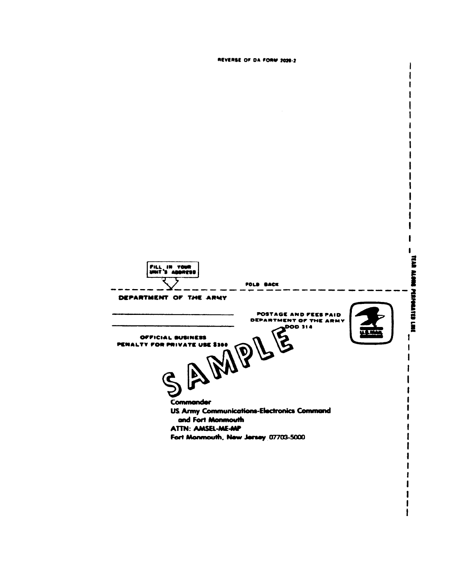ł TEAR ALONG PERPOATED LINE **PILL IN YOUR**<br>UNIT'S ADDRESS POLD BACK DEPARTMENT OF THE ARMY THE TAND POOP 114 POSTAGE AND FEES PAID DEPARTMENT OF THE ARMY AMPL Œ  $\mathbf{I}$ OFFICIAL BUSINESS PENALTY FOR PRIVATE USE \$300  $\mathbf{I}$ Commander **US Army Communications-Electronics Command** and Fort Monmouth **ATTN: AMSEL-ME-MP** Fort Monmouth, New Jersey 07703-5000

REVERSE OF DA FORM 2020-2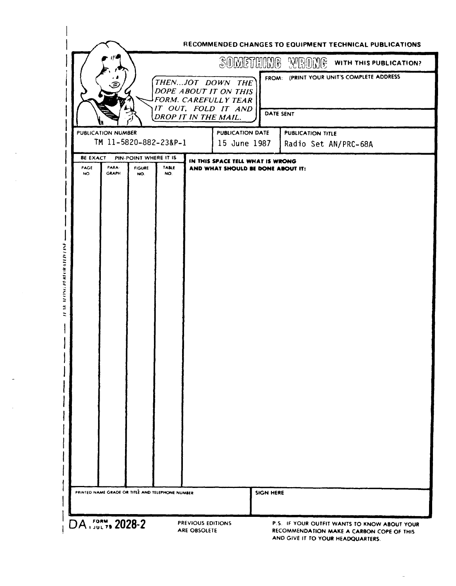|                 |                                                  |                       |     | SOMETHING WRONG                                                                                                         |                      | WITH THIS PUBLICATION?                    |
|-----------------|--------------------------------------------------|-----------------------|-----|-------------------------------------------------------------------------------------------------------------------------|----------------------|-------------------------------------------|
|                 |                                                  |                       |     | THENJOT DOWN THE<br>DOPE ABOUT IT ON THIS<br><b>FORM. CAREFULLY TEAR</b><br>IT OUT, FOLD IT AND<br>DROP IT IN THE MAIL. | DATE SENT            | FROM: (PRINT YOUR UNIT'S COMPLETE ADDRESS |
|                 | PUBLICATION NUMBER<br>TM 11-5820-882-23&P-1      |                       |     | <b>PUBLICATION DATE</b><br>15 June 1987                                                                                 | PUBLICATION TITLE    |                                           |
| <b>BE EXACT</b> |                                                  | PIN-POINT WHERE IT IS |     | IN THIS SPACE TELL WHAT IS WRONG                                                                                        | Radio Set AN/PRC-68A |                                           |
| NO.             | <b>GRAPH</b>                                     | NO.                   | NO. |                                                                                                                         |                      |                                           |
|                 | PRINTED NAME GRADE OR TITLE AND TELEPHONE NUMBER |                       |     | <b>SIGN HERE</b>                                                                                                        |                      |                                           |
|                 |                                                  |                       |     |                                                                                                                         |                      |                                           |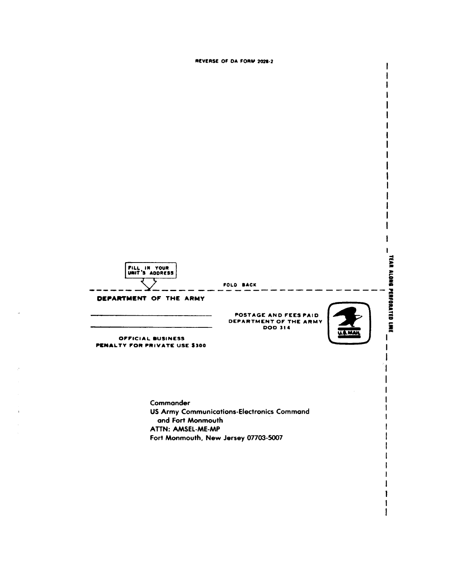



ATTN: AMSEL-ME-MP Fort Monmouth, New Jersey 07703-5007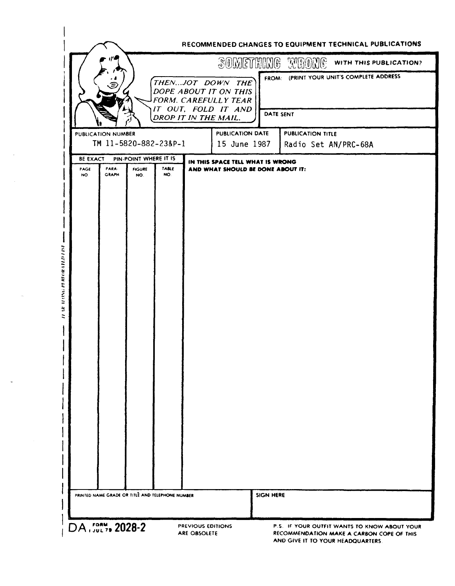|                                                              | SOMETHING WRONE                                                                          | WITH THIS PUBLICATION?                                 |
|--------------------------------------------------------------|------------------------------------------------------------------------------------------|--------------------------------------------------------|
|                                                              | THENJOT DOWN THE<br>DOPE ABOUT IT ON THIS<br>FORM. CAREFULLY TEAR<br>IT OUT, FOLD IT AND | FROM: (PRINT YOUR UNIT'S COMPLETE ADDRESS<br>DATE SENT |
|                                                              | DROP IT IN THE MAIL.                                                                     |                                                        |
| PUBLICATION NUMBER<br>TM 11-5820-882-23&P-1                  | PUBLICATION DATE<br>15 June 1987                                                         | <b>PUBLICATION TITLE</b><br>Radio Set AN/PRC-68A       |
| <b>BE EXACT</b><br>PIN-POINT WHERE IT IS                     | IN THIS SPACE TELL WHAT IS WRONG                                                         |                                                        |
| PARA-<br>PAGE<br><b>FIGURE</b><br><b>GRAPH</b><br>NO.<br>NO. | TABLE<br>AND WHAT SHOULD BE DONE ABOUT IT:<br>NO.                                        |                                                        |
|                                                              |                                                                                          |                                                        |
|                                                              |                                                                                          |                                                        |
|                                                              |                                                                                          |                                                        |
|                                                              |                                                                                          |                                                        |
|                                                              |                                                                                          |                                                        |
|                                                              |                                                                                          |                                                        |
|                                                              |                                                                                          |                                                        |
|                                                              |                                                                                          |                                                        |
|                                                              |                                                                                          |                                                        |
|                                                              |                                                                                          |                                                        |
|                                                              |                                                                                          |                                                        |
|                                                              |                                                                                          |                                                        |
|                                                              |                                                                                          |                                                        |
|                                                              |                                                                                          |                                                        |
|                                                              |                                                                                          |                                                        |
|                                                              |                                                                                          |                                                        |
|                                                              |                                                                                          |                                                        |
|                                                              |                                                                                          |                                                        |
|                                                              |                                                                                          |                                                        |
|                                                              |                                                                                          |                                                        |
|                                                              |                                                                                          |                                                        |
|                                                              |                                                                                          |                                                        |
|                                                              |                                                                                          |                                                        |
| PRINTED NAME GRADE OR TITLE AND TELEPHONE NUMBER             | <b>SIGN HERE</b>                                                                         |                                                        |

 $\sim$ 

 $\hat{\theta}_i$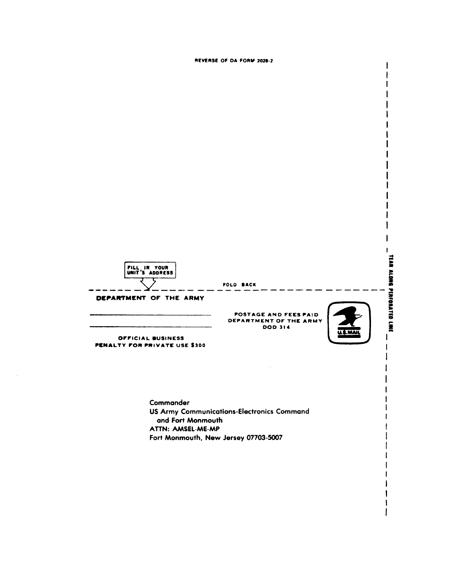

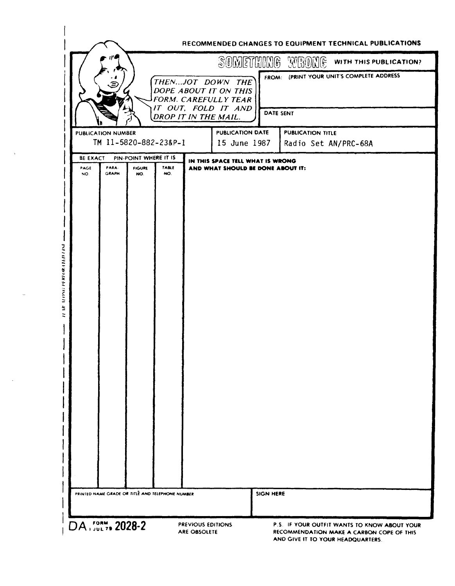|                         |                                                    |                                                                   |                                                                       |                  | SOMETHUMG WROME WITH THIS PUBLICATION?           |
|-------------------------|----------------------------------------------------|-------------------------------------------------------------------|-----------------------------------------------------------------------|------------------|--------------------------------------------------|
|                         |                                                    | THENJOT DOWN THE<br>DOPE ABOUT IT ON THIS<br>FORM. CAREFULLY TEAR |                                                                       |                  | FROM: (PRINT YOUR UNIT'S COMPLETE ADDRESS        |
|                         |                                                    | IT OUT, FOLD IT AND<br>DROP IT IN THE MAIL.                       |                                                                       | DATE SENT        |                                                  |
|                         | <b>PUBLICATION NUMBER</b><br>TM 11-5820-882-23&P-1 |                                                                   | <b>PUBLICATION DATE</b><br>15 June 1987                               |                  | <b>PUBLICATION TITLE</b><br>Radio Set AN/PRC-68A |
| <b>BE EXACT</b><br>PAGE | PIN-POINT WHERE IT IS<br>PARA-<br><b>FIGURE</b>    | <b>TABLE</b>                                                      | IN THIS SPACE TELL WHAT IS WRONG<br>AND WHAT SHOULD BE DONE ABOUT IT: |                  |                                                  |
|                         |                                                    |                                                                   |                                                                       |                  |                                                  |
|                         | PRINTED NAME GRADE OR TITLE AND TELEPHONE NUMBER   |                                                                   |                                                                       | <b>SIGN HERE</b> |                                                  |

À

 $\alpha$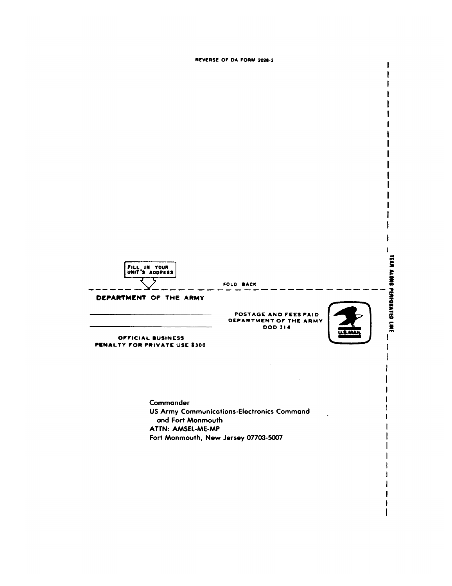

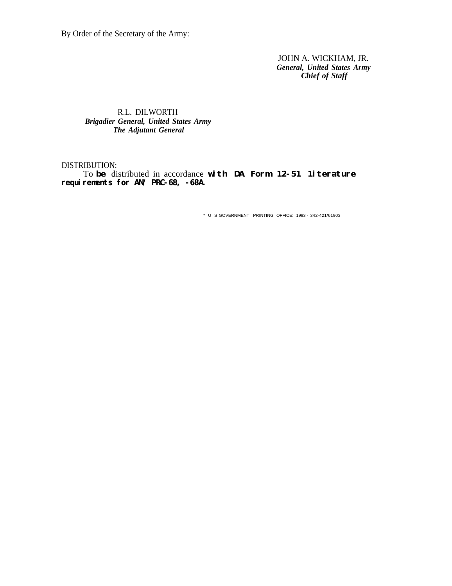By Order of the Secretary of the Army:

JOHN A. WICKHAM, JR. *General, United States Army Chief of Staff*

## R.L. DILWORTH *Brigadier General, United States Army The Adjutant General*

## DISTRIBUTION:

To **be** distributed in accordance **with DA Form 12-51 1iterature** requirements for AN/ PRC-68, -68A.

\* U S GOVERNMENT PRINTING OFFICE: 1993 - 342-421/61903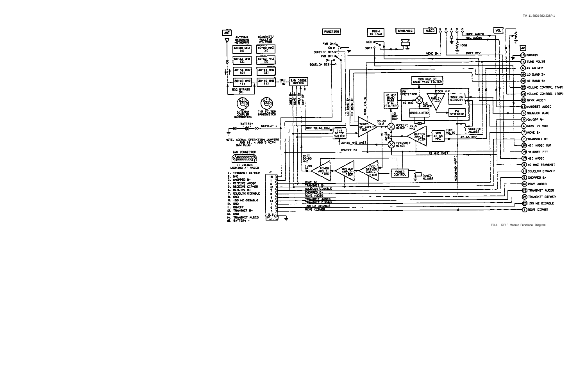

FO-1. RF/IF Module Functional Diagram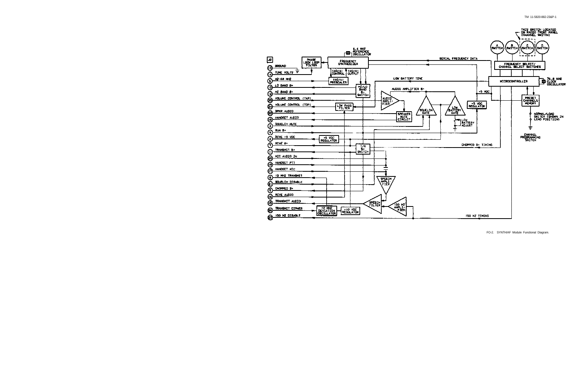

TM 11-5820-882-23&P-1

FO-2. SYNTH/AF Module Functional Diagram.